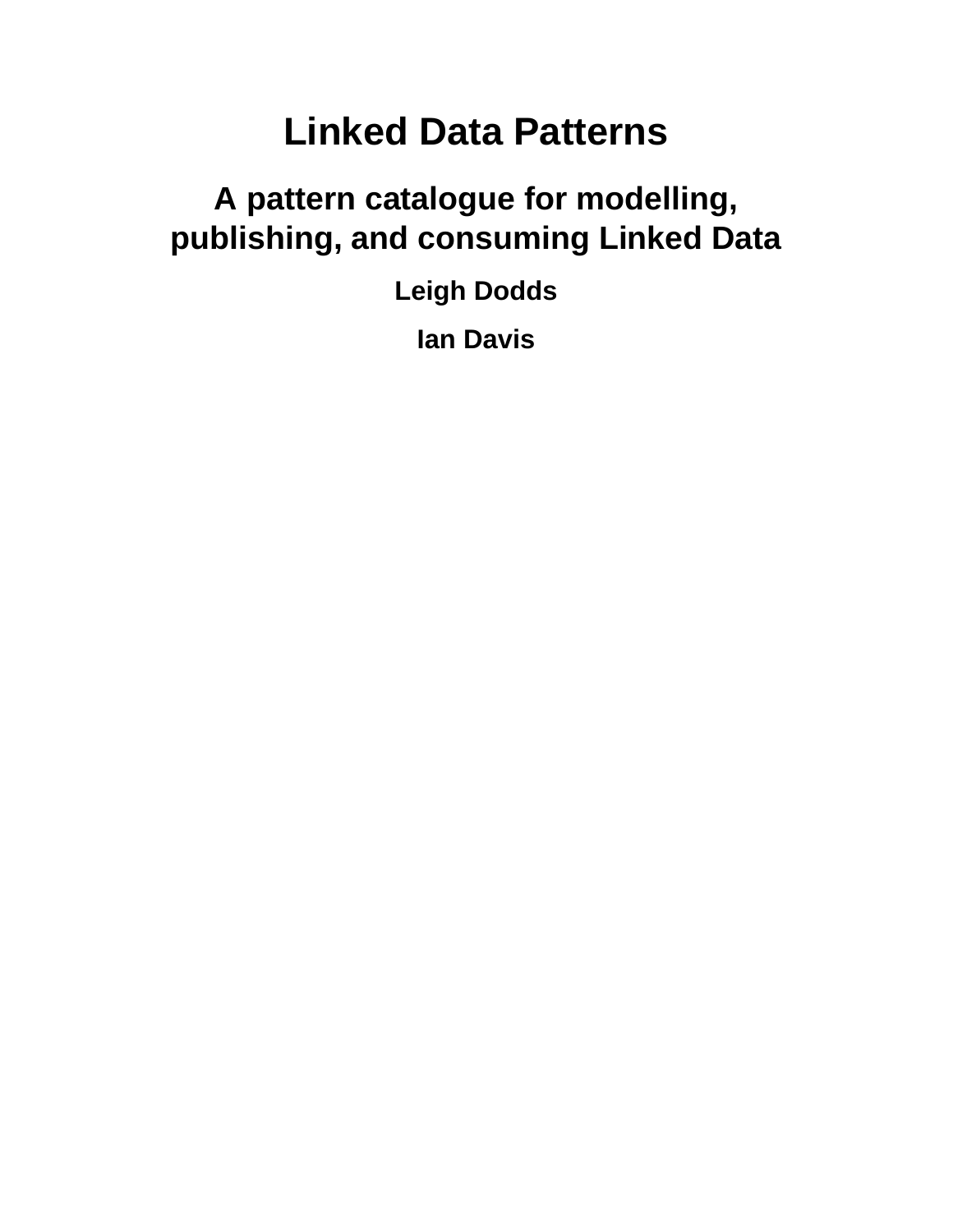# **Linked Data Patterns**

## **A pattern catalogue for modelling, publishing, and consuming Linked Data**

**Leigh Dodds**

**Ian Davis**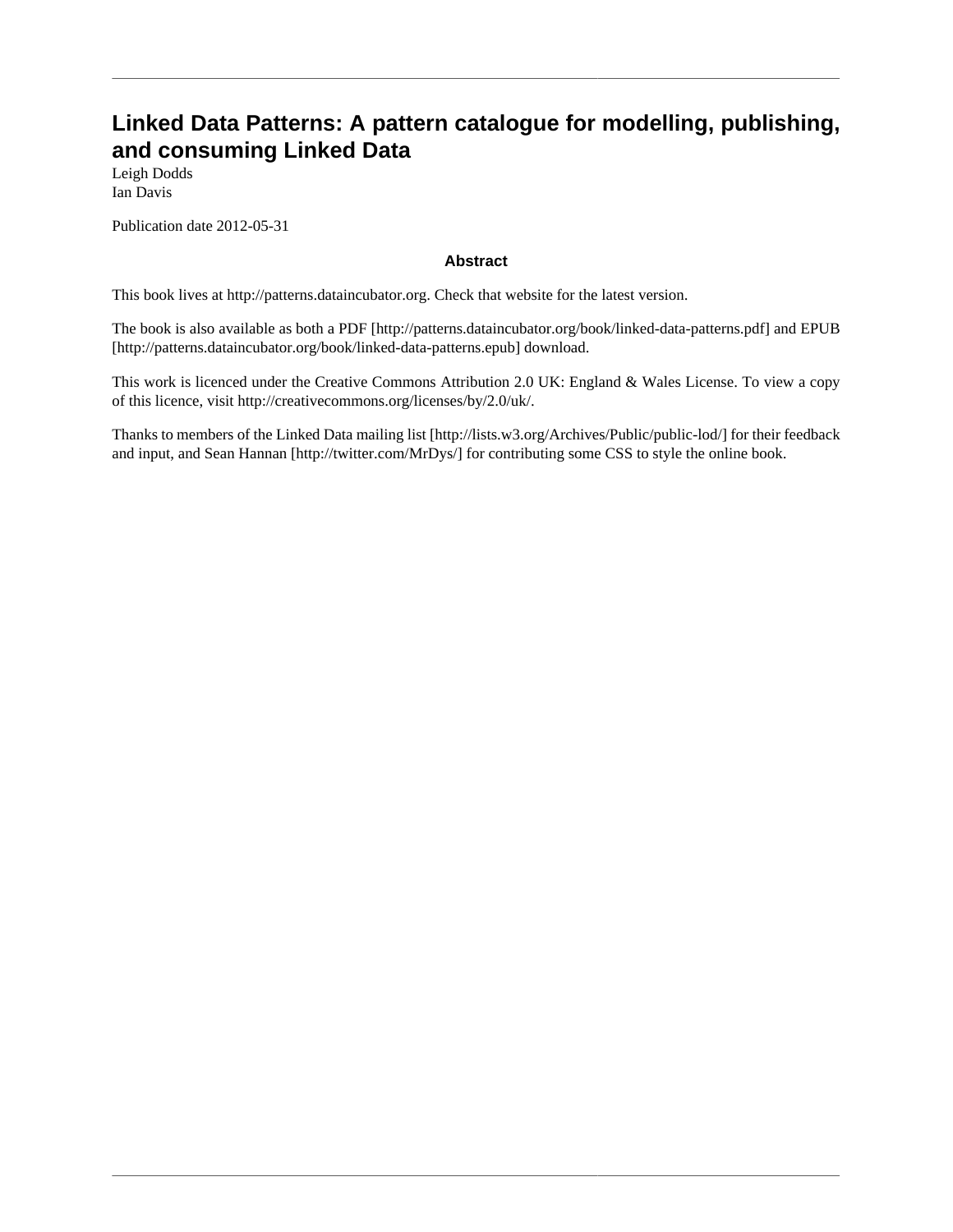#### **Linked Data Patterns: A pattern catalogue for modelling, publishing, and consuming Linked Data**

Leigh Dodds Ian Davis

Publication date 2012-05-31

#### **Abstract**

This book lives at <http://patterns.dataincubator.org>. Check that website for the latest version.

The book is also available as both a [PDF](http://patterns.dataincubator.org/book/linked-data-patterns.pdf) [[http://patterns.dataincubator.org/book/linked-data-patterns.pdf\]](http://patterns.dataincubator.org/book/linked-data-patterns.pdf) and [EPUB](http://patterns.dataincubator.org/book/linked-data-patterns.epub) [\[http://patterns.dataincubator.org/book/linked-data-patterns.epub](http://patterns.dataincubator.org/book/linked-data-patterns.epub)] download.

This work is licenced under the Creative Commons Attribution 2.0 UK: England & Wales License. To view a copy of this licence, visit <http://creativecommons.org/licenses/by/2.0/uk/>.

Thanks to members of the [Linked Data mailing list](http://lists.w3.org/Archives/Public/public-lod/) [[http://lists.w3.org/Archives/Public/public-lod/\]](http://lists.w3.org/Archives/Public/public-lod/) for their feedback and input, and [Sean Hannan](http://twitter.com/MrDys/) [\[http://twitter.com/MrDys/\]](http://twitter.com/MrDys/) for contributing some CSS to style the online book.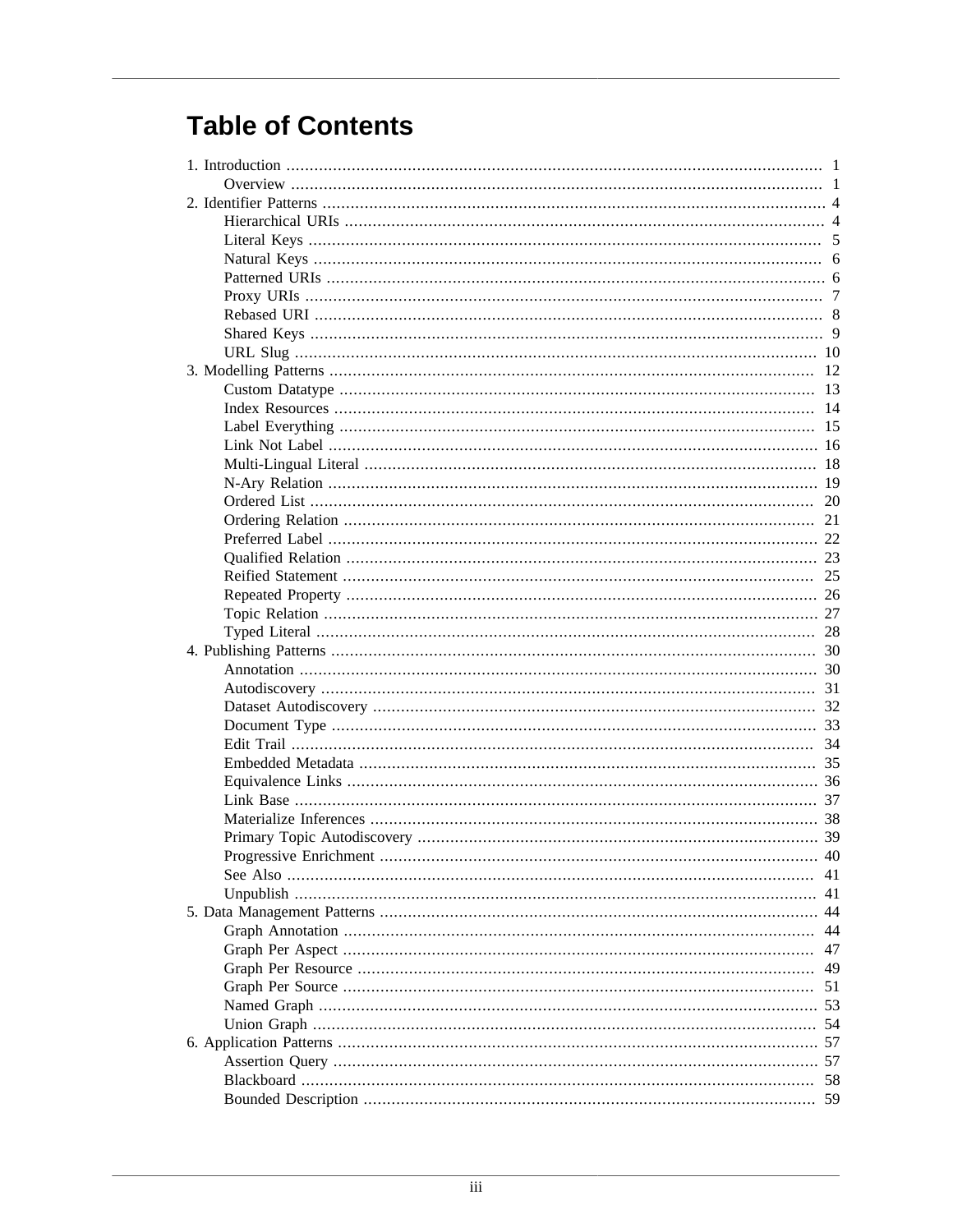## **Table of Contents**

| 41 |
|----|
| 41 |
|    |
| 44 |
| 47 |
| 49 |
| 51 |
|    |
|    |
|    |
|    |
| 58 |
|    |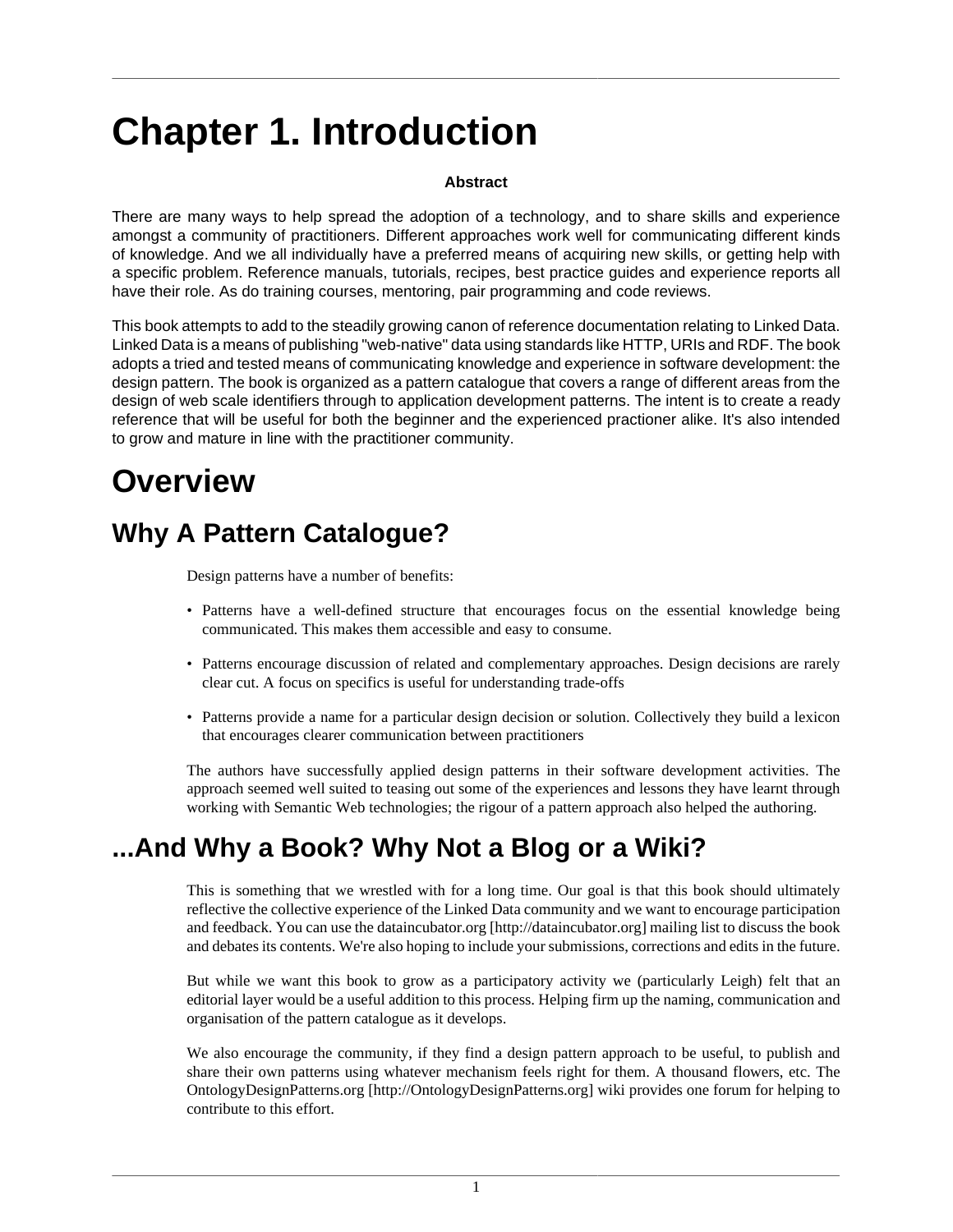# <span id="page-4-0"></span>**Chapter 1. Introduction**

#### **Abstract**

There are many ways to help spread the adoption of a technology, and to share skills and experience amongst a community of practitioners. Different approaches work well for communicating different kinds of knowledge. And we all individually have a preferred means of acquiring new skills, or getting help with a specific problem. Reference manuals, tutorials, recipes, best practice guides and experience reports all have their role. As do training courses, mentoring, pair programming and code reviews.

This book attempts to add to the steadily growing canon of reference documentation relating to Linked Data. Linked Data is a means of publishing "web-native" data using standards like HTTP, URIs and RDF. The book adopts a tried and tested means of communicating knowledge and experience in software development: the design pattern. The book is organized as a pattern catalogue that covers a range of different areas from the design of web scale identifiers through to application development patterns. The intent is to create a ready reference that will be useful for both the beginner and the experienced practioner alike. It's also intended to grow and mature in line with the practitioner community.

## <span id="page-4-1"></span>**Overview**

### **Why A Pattern Catalogue?**

Design patterns have a number of benefits:

- Patterns have a well-defined structure that encourages focus on the essential knowledge being communicated. This makes them accessible and easy to consume.
- Patterns encourage discussion of related and complementary approaches. Design decisions are rarely clear cut. A focus on specifics is useful for understanding trade-offs
- Patterns provide a name for a particular design decision or solution. Collectively they build a lexicon that encourages clearer communication between practitioners

The authors have successfully applied design patterns in their software development activities. The approach seemed well suited to teasing out some of the experiences and lessons they have learnt through working with Semantic Web technologies; the rigour of a pattern approach also helped the authoring.

### **...And Why a Book? Why Not a Blog or a Wiki?**

This is something that we wrestled with for a long time. Our goal is that this book should ultimately reflective the collective experience of the Linked Data community and we want to encourage participation and feedback. You can use the [dataincubator.org \[http://dataincubator.org](http://dataincubator.org)] mailing list to discuss the book and debates its contents. We're also hoping to include your submissions, corrections and edits in the future.

But while we want this book to grow as a participatory activity we (particularly Leigh) felt that an editorial layer would be a useful addition to this process. Helping firm up the naming, communication and organisation of the pattern catalogue as it develops.

We also encourage the community, if they find a design pattern approach to be useful, to publish and share their own patterns using whatever mechanism feels right for them. A thousand flowers, etc. The [OntologyDesignPatterns.org](http://OntologyDesignPatterns.org) [\[http://OntologyDesignPatterns.org](http://OntologyDesignPatterns.org)] wiki provides one forum for helping to contribute to this effort.

1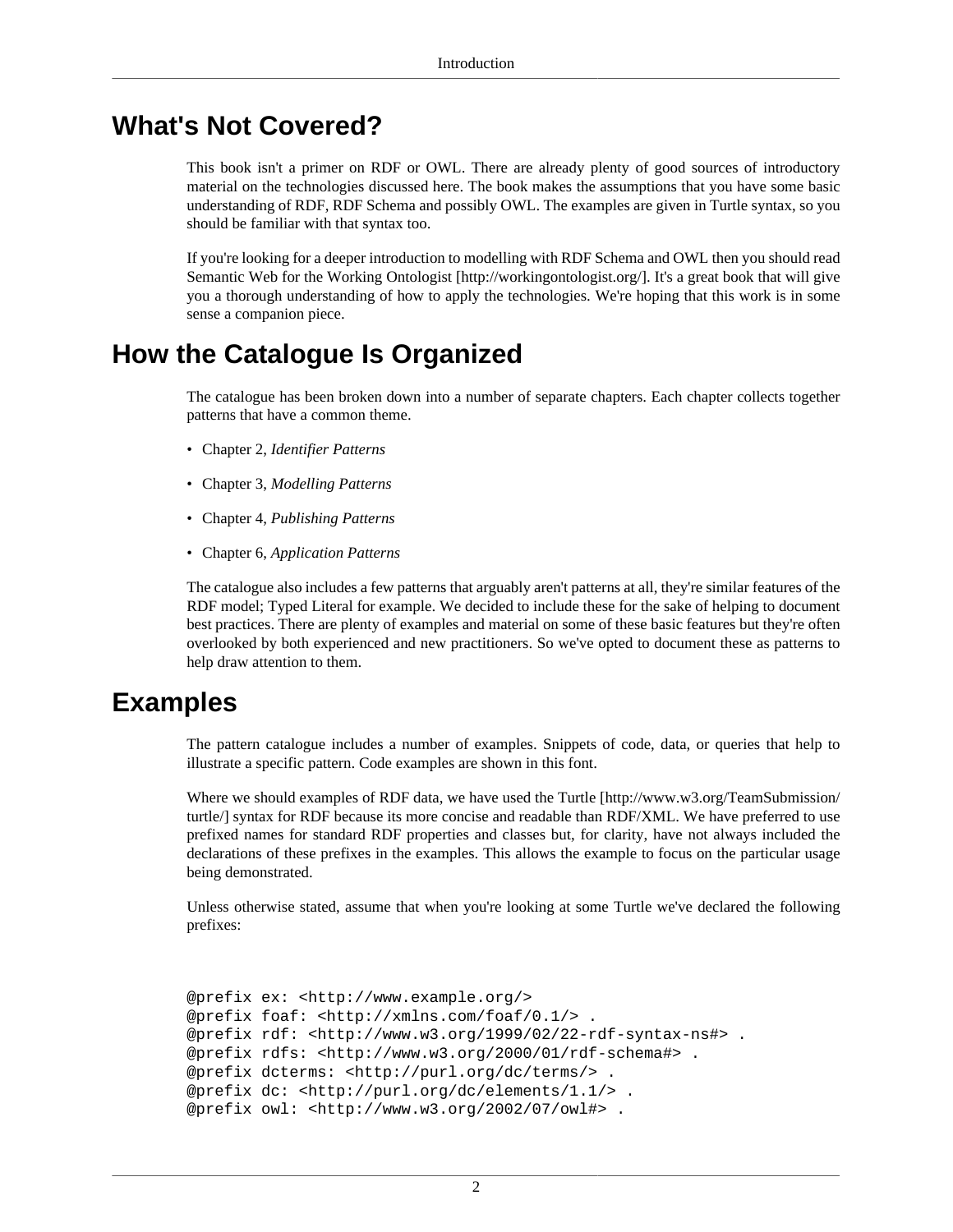#### **What's Not Covered?**

This book isn't a primer on RDF or OWL. There are already plenty of good sources of introductory material on the technologies discussed here. The book makes the assumptions that you have some basic understanding of RDF, RDF Schema and possibly OWL. The examples are given in Turtle syntax, so you should be familiar with that syntax too.

If you're looking for a deeper introduction to modelling with RDF Schema and OWL then you should read [Semantic Web for the Working Ontologist \[http://workingontologist.org/](http://workingontologist.org/)]. It's a great book that will give you a thorough understanding of how to apply the technologies. We're hoping that this work is in some sense a companion piece.

#### **How the Catalogue Is Organized**

The catalogue has been broken down into a number of separate chapters. Each chapter collects together patterns that have a common theme.

- Chapter 2, *[Identifier Patterns](#page-7-0)*
- Chapter 3, *[Modelling Patterns](#page-15-0)*
- Chapter 4, *[Publishing Patterns](#page-33-0)*
- Chapter 6, *[Application Patterns](#page-60-0)*

The catalogue also includes a few patterns that arguably aren't patterns at all, they're similar features of the RDF model; [Typed Literal](#page-31-0) for example. We decided to include these for the sake of helping to document best practices. There are plenty of examples and material on some of these basic features but they're often overlooked by both experienced and new practitioners. So we've opted to document these as patterns to help draw attention to them.

#### **Examples**

The pattern catalogue includes a number of examples. Snippets of code, data, or queries that help to illustrate a specific pattern. Code examples are shown in this font.

Where we should examples of RDF data, we have used the [Turtle](http://www.w3.org/TeamSubmission/turtle/) [[http://www.w3.org/TeamSubmission/](http://www.w3.org/TeamSubmission/turtle/) [turtle/\]](http://www.w3.org/TeamSubmission/turtle/) syntax for RDF because its more concise and readable than RDF/XML. We have preferred to use prefixed names for standard RDF properties and classes but, for clarity, have not always included the declarations of these prefixes in the examples. This allows the example to focus on the particular usage being demonstrated.

Unless otherwise stated, assume that when you're looking at some Turtle we've declared the following prefixes:

```
@prefix ex: <http://www.example.org/>
@prefix foaf: <http://xmlns.com/foaf/0.1/> .
@prefix rdf: <http://www.w3.org/1999/02/22-rdf-syntax-ns#> .
@prefix rdfs: <http://www.w3.org/2000/01/rdf-schema#> .
@prefix dcterms: <http://purl.org/dc/terms/> .
@prefix dc: <http://purl.org/dc/elements/1.1/> .
@prefix owl: <http://www.w3.org/2002/07/owl#> .
```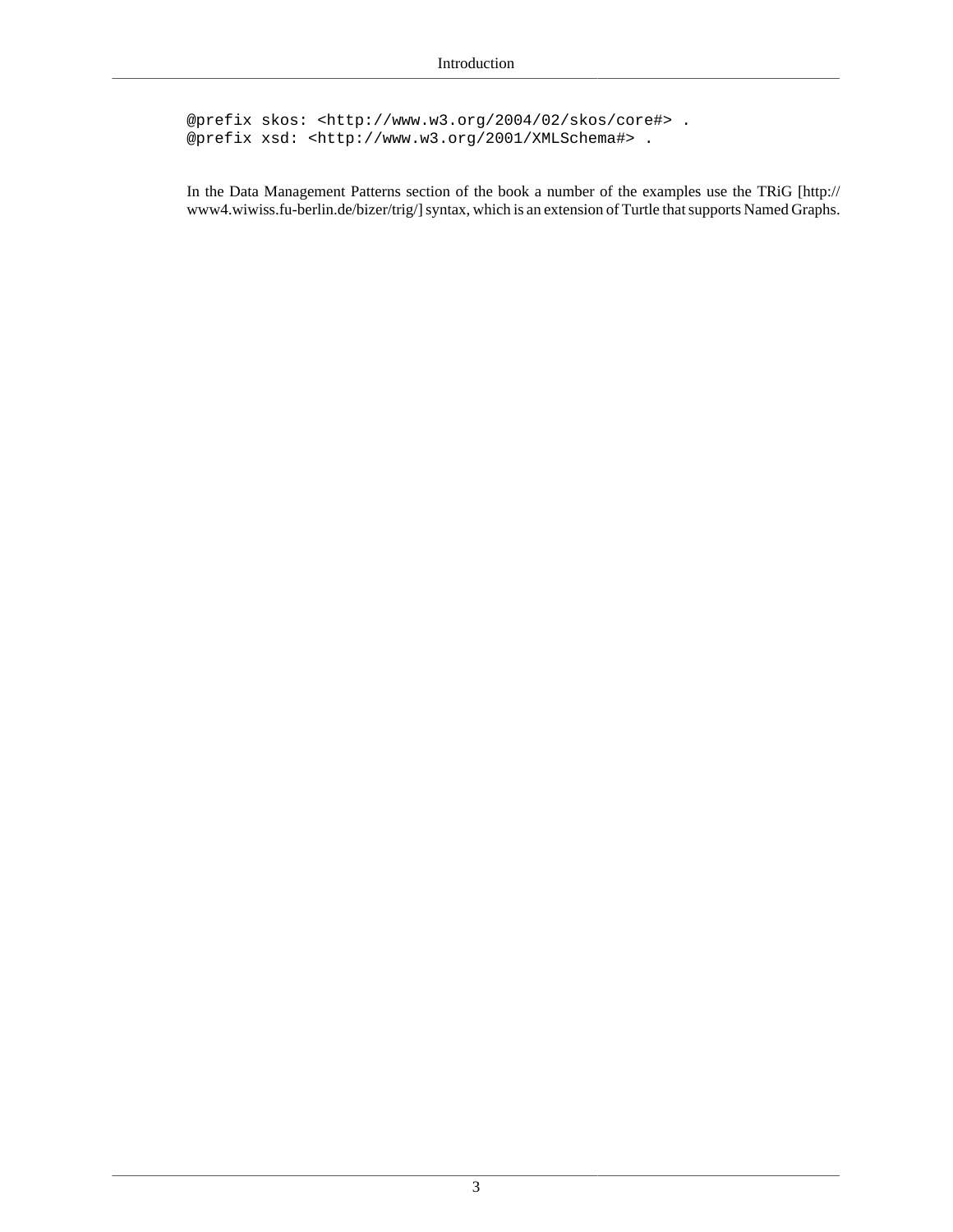@prefix skos: <http://www.w3.org/2004/02/skos/core#> . @prefix xsd: <http://www.w3.org/2001/XMLSchema#> .

In the [Data Management Patterns](#page-47-0) section of the book a number of the examples use the [TRiG](http://www4.wiwiss.fu-berlin.de/bizer/trig/) [\[http://](http://www4.wiwiss.fu-berlin.de/bizer/trig/) [www4.wiwiss.fu-berlin.de/bizer/trig/\]](http://www4.wiwiss.fu-berlin.de/bizer/trig/) syntax, which is an extension of Turtle that supports Named Graphs.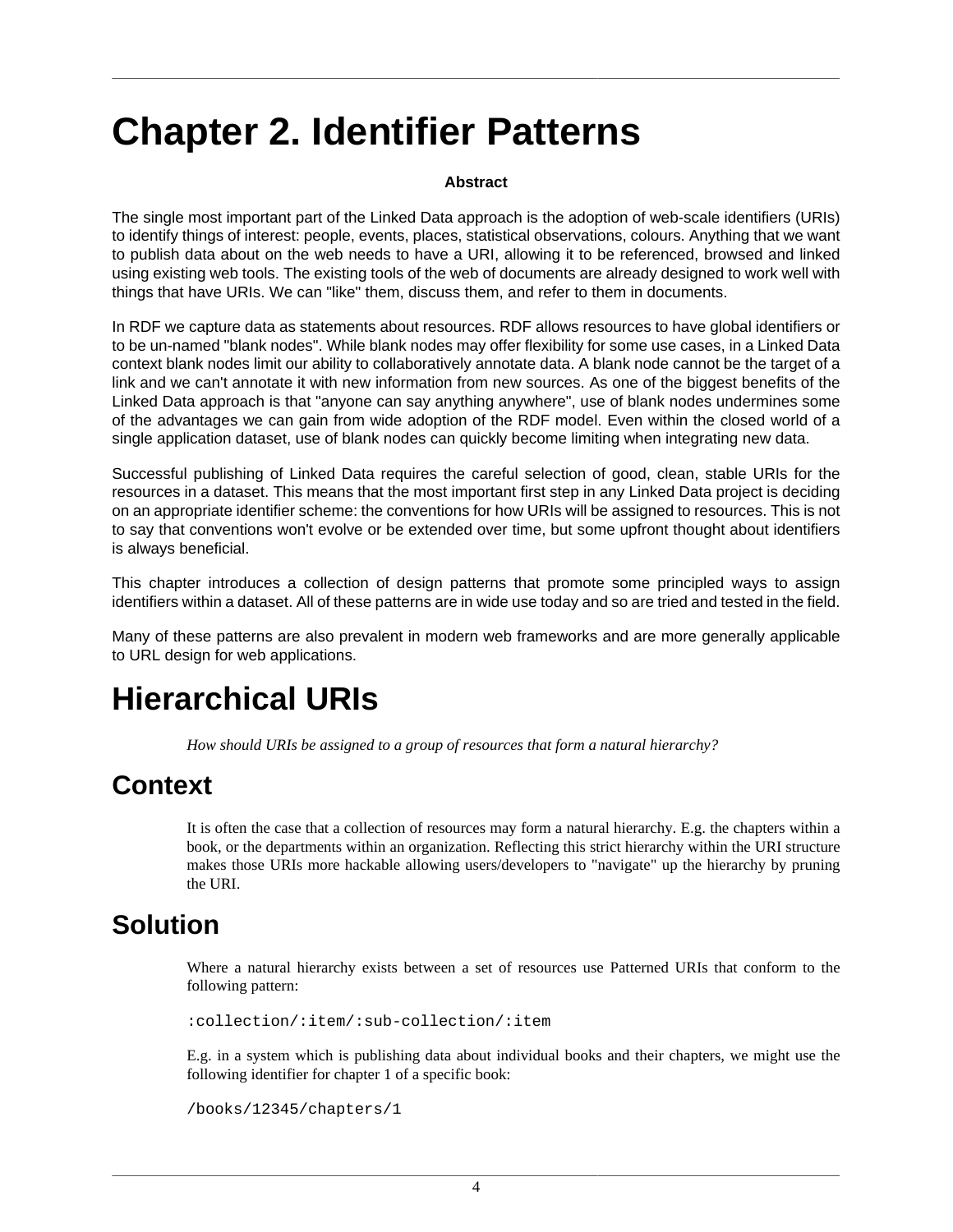# <span id="page-7-0"></span>**Chapter 2. Identifier Patterns**

#### **Abstract**

The single most important part of the Linked Data approach is the adoption of web-scale identifiers (URIs) to identify things of interest: people, events, places, statistical observations, colours. Anything that we want to publish data about on the web needs to have a URI, allowing it to be referenced, browsed and linked using existing web tools. The existing tools of the web of documents are already designed to work well with things that have URIs. We can "like" them, discuss them, and refer to them in documents.

In RDF we capture data as statements about resources. RDF allows resources to have global identifiers or to be un-named "blank nodes". While blank nodes may offer flexibility for some use cases, in a Linked Data context blank nodes limit our ability to collaboratively annotate data. A blank node cannot be the target of a link and we can't annotate it with new information from new sources. As one of the biggest benefits of the Linked Data approach is that "anyone can say anything anywhere", use of blank nodes undermines some of the advantages we can gain from wide adoption of the RDF model. Even within the closed world of a single application dataset, use of blank nodes can quickly become limiting when integrating new data.

Successful publishing of Linked Data requires the careful selection of good, clean, stable URIs for the resources in a dataset. This means that the most important first step in any Linked Data project is deciding on an appropriate identifier scheme: the conventions for how URIs will be assigned to resources. This is not to say that conventions won't evolve or be extended over time, but some upfront thought about identifiers is always beneficial.

This chapter introduces a collection of design patterns that promote some principled ways to assign identifiers within a dataset. All of these patterns are in wide use today and so are tried and tested in the field.

Many of these patterns are also prevalent in modern web frameworks and are more generally applicable to URL design for web applications.

## <span id="page-7-1"></span>**Hierarchical URIs**

*How should URIs be assigned to a group of resources that form a natural hierarchy?*

#### **Context**

It is often the case that a collection of resources may form a natural hierarchy. E.g. the chapters within a book, or the departments within an organization. Reflecting this strict hierarchy within the URI structure makes those URIs more hackable allowing users/developers to "navigate" up the hierarchy by pruning the URI.

#### **Solution**

Where a natural hierarchy exists between a set of resources use [Patterned URIs](#page-9-1) that conform to the following pattern:

:collection/:item/:sub-collection/:item

E.g. in a system which is publishing data about individual books and their chapters, we might use the following identifier for chapter 1 of a specific book:

/books/12345/chapters/1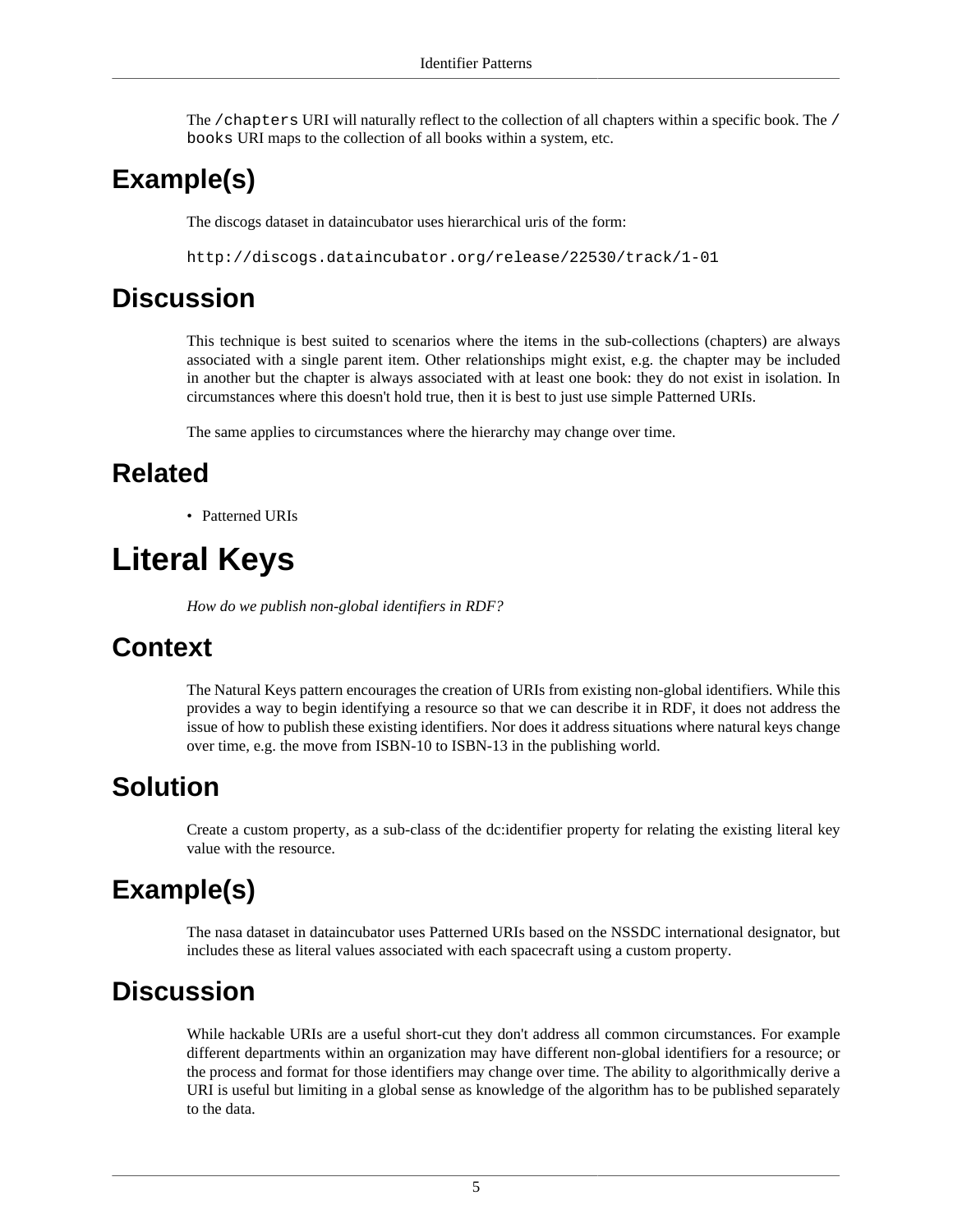The /chapters URI will naturally reflect to the collection of all chapters within a specific book. The / books URI maps to the collection of all books within a system, etc.

### **Example(s)**

The discogs dataset in dataincubator uses hierarchical uris of the form:

http://discogs.dataincubator.org/release/22530/track/1-01

#### **Discussion**

This technique is best suited to scenarios where the items in the sub-collections (chapters) are always associated with a single parent item. Other relationships might exist, e.g. the chapter may be included in another but the chapter is always associated with at least one book: they do not exist in isolation. In circumstances where this doesn't hold true, then it is best to just use simple Patterned URIs.

The same applies to circumstances where the hierarchy may change over time.

#### **Related**

• [Patterned URIs](#page-9-1)

## <span id="page-8-0"></span>**Literal Keys**

*How do we publish non-global identifiers in RDF?*

### **Context**

The [Natural Keys](#page-9-0) pattern encourages the creation of URIs from existing non-global identifiers. While this provides a way to begin identifying a resource so that we can describe it in RDF, it does not address the issue of how to publish these existing identifiers. Nor does it address situations where natural keys change over time, e.g. the move from ISBN-10 to ISBN-13 in the publishing world.

### **Solution**

Create a custom property, as a sub-class of the dc:identifier property for relating the existing literal key value with the resource.

### **Example(s)**

The nasa dataset in dataincubator uses [Patterned URIs](#page-9-1) based on the NSSDC international designator, but includes these as literal values associated with each spacecraft using a custom property.

### **Discussion**

While hackable URIs are a useful short-cut they don't address all common circumstances. For example different departments within an organization may have different non-global identifiers for a resource; or the process and format for those identifiers may change over time. The ability to algorithmically derive a URI is useful but limiting in a global sense as knowledge of the algorithm has to be published separately to the data.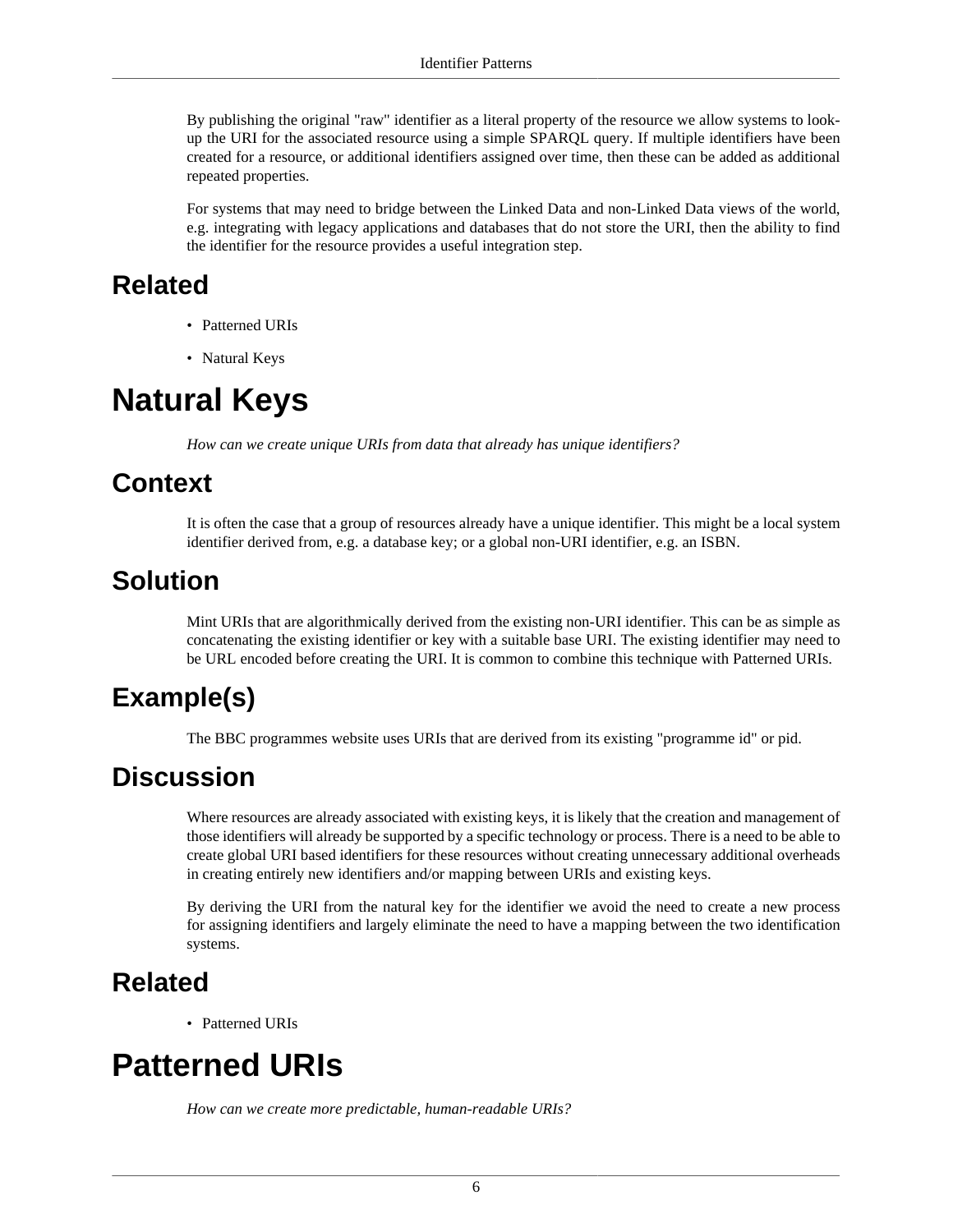By publishing the original "raw" identifier as a literal property of the resource we allow systems to lookup the URI for the associated resource using a simple SPARQL query. If multiple identifiers have been created for a resource, or additional identifiers assigned over time, then these can be added as additional repeated properties.

For systems that may need to bridge between the Linked Data and non-Linked Data views of the world, e.g. integrating with legacy applications and databases that do not store the URI, then the ability to find the identifier for the resource provides a useful integration step.

#### **Related**

- [Patterned URIs](#page-9-1)
- [Natural Keys](#page-9-0)

## <span id="page-9-0"></span>**Natural Keys**

*How can we create unique URIs from data that already has unique identifiers?*

### **Context**

It is often the case that a group of resources already have a unique identifier. This might be a local system identifier derived from, e.g. a database key; or a global non-URI identifier, e.g. an ISBN.

#### **Solution**

Mint URIs that are algorithmically derived from the existing non-URI identifier. This can be as simple as concatenating the existing identifier or key with a suitable base URI. The existing identifier may need to be URL encoded before creating the URI. It is common to combine this technique with Patterned URIs.

### **Example(s)**

The BBC programmes website uses URIs that are derived from its existing "programme id" or pid.

#### **Discussion**

Where resources are already associated with existing keys, it is likely that the creation and management of those identifiers will already be supported by a specific technology or process. There is a need to be able to create global URI based identifiers for these resources without creating unnecessary additional overheads in creating entirely new identifiers and/or mapping between URIs and existing keys.

By deriving the URI from the natural key for the identifier we avoid the need to create a new process for assigning identifiers and largely eliminate the need to have a mapping between the two identification systems.

### **Related**

• [Patterned URIs](#page-9-1)

## <span id="page-9-1"></span>**Patterned URIs**

*How can we create more predictable, human-readable URIs?*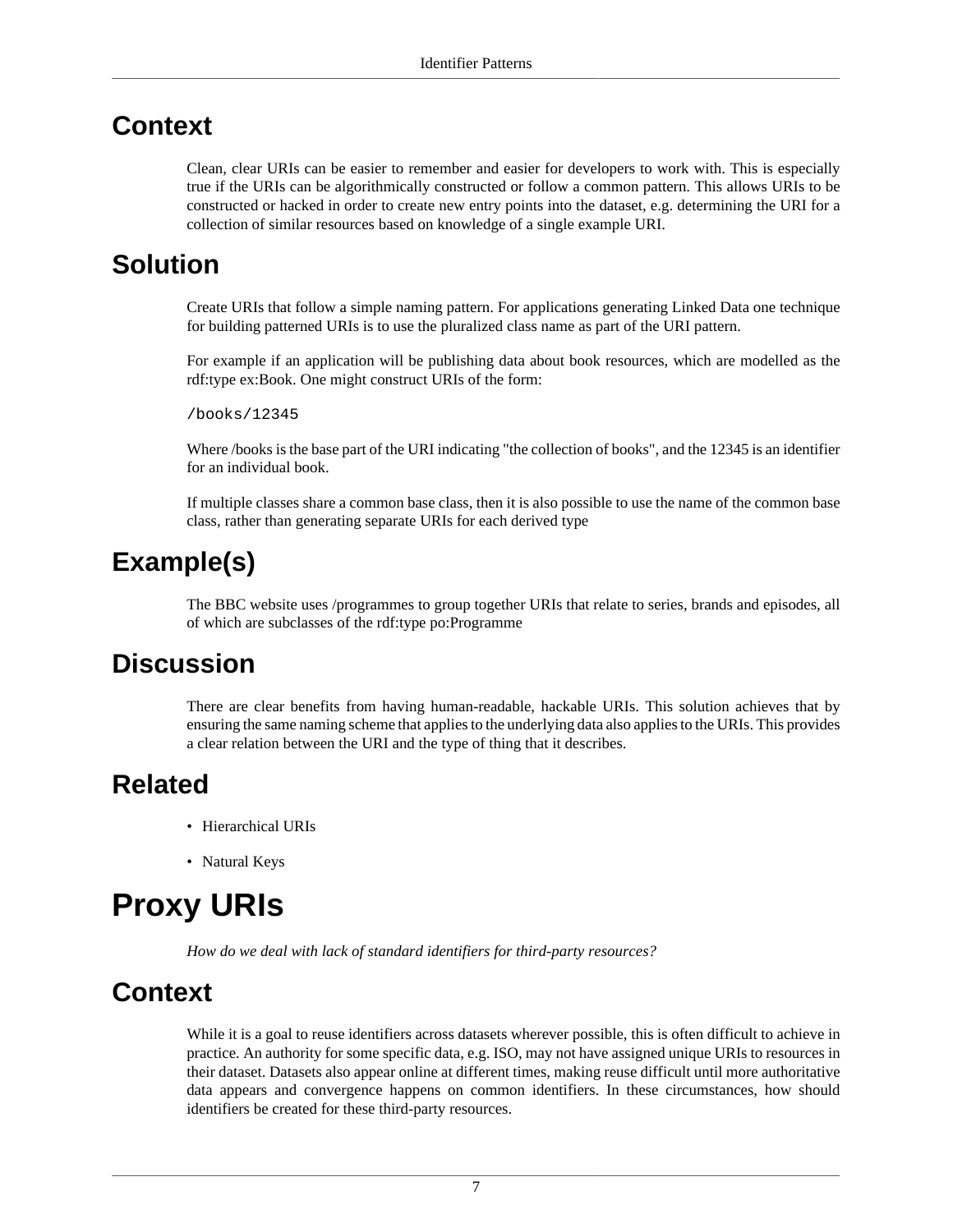#### **Context**

Clean, clear URIs can be easier to remember and easier for developers to work with. This is especially true if the URIs can be algorithmically constructed or follow a common pattern. This allows URIs to be constructed or hacked in order to create new entry points into the dataset, e.g. determining the URI for a collection of similar resources based on knowledge of a single example URI.

#### **Solution**

Create URIs that follow a simple naming pattern. For applications generating Linked Data one technique for building patterned URIs is to use the pluralized class name as part of the URI pattern.

For example if an application will be publishing data about book resources, which are modelled as the rdf:type ex:Book. One might construct URIs of the form:

/books/12345

Where /books is the base part of the URI indicating "the collection of books", and the 12345 is an identifier for an individual book.

If multiple classes share a common base class, then it is also possible to use the name of the common base class, rather than generating separate URIs for each derived type

### **Example(s)**

The BBC website uses /programmes to group together URIs that relate to series, brands and episodes, all of which are subclasses of the rdf:type po:Programme

#### **Discussion**

There are clear benefits from having human-readable, hackable URIs. This solution achieves that by ensuring the same naming scheme that applies to the underlying data also applies to the URIs. This provides a clear relation between the URI and the type of thing that it describes.

#### **Related**

- [Hierarchical URIs](#page-7-1)
- [Natural Keys](#page-9-0)

## <span id="page-10-0"></span>**Proxy URIs**

*How do we deal with lack of standard identifiers for third-party resources?*

#### **Context**

While it is a goal to reuse identifiers across datasets wherever possible, this is often difficult to achieve in practice. An authority for some specific data, e.g. ISO, may not have assigned unique URIs to resources in their dataset. Datasets also appear online at different times, making reuse difficult until more authoritative data appears and convergence happens on common identifiers. In these circumstances, how should identifiers be created for these third-party resources.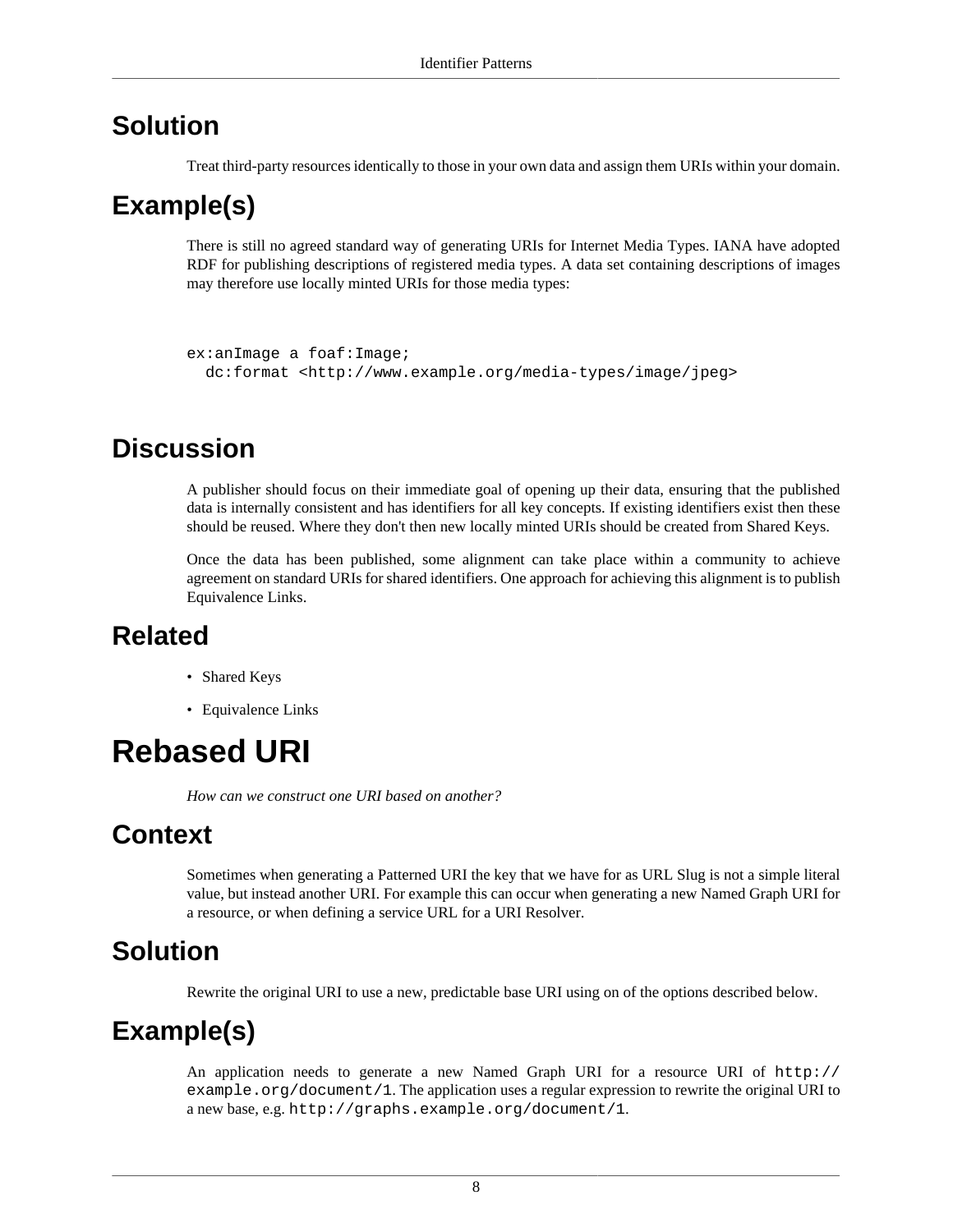#### **Solution**

Treat third-party resources identically to those in your own data and assign them URIs within your domain.

#### **Example(s)**

There is still no agreed standard way of generating URIs for Internet Media Types. IANA have adopted RDF for publishing descriptions of registered media types. A data set containing descriptions of images may therefore use locally minted URIs for those media types:

```
ex:anImage a foaf:Image;
  dc:format <http://www.example.org/media-types/image/jpeg>
```
#### **Discussion**

A publisher should focus on their immediate goal of opening up their data, ensuring that the published data is internally consistent and has identifiers for all key concepts. If existing identifiers exist then these should be reused. Where they don't then new locally minted URIs should be created from [Shared Keys.](#page-12-0)

Once the data has been published, some alignment can take place within a community to achieve agreement on standard URIs for shared identifiers. One approach for achieving this alignment is to publish [Equivalence Links.](#page-39-0)

#### **Related**

- [Shared Keys](#page-12-0)
- [Equivalence Links](#page-39-0)

## <span id="page-11-0"></span>**Rebased URI**

*How can we construct one URI based on another?*

#### **Context**

Sometimes when generating a [Patterned URI](#page-9-1) the key that we have for as [URL Slug](#page-13-0) is not a simple literal value, but instead another URI. For example this can occur when generating a new Named Graph URI for a resource, or when defining a service URL for a [URI Resolver](#page-76-0).

#### **Solution**

Rewrite the original URI to use a new, predictable base URI using on of the options described below.

#### **Example(s)**

An application needs to generate a new Named Graph URI for a resource URI of http:// example.org/document/1. The application uses a regular expression to rewrite the original URI to a new base, e.g. http://graphs.example.org/document/1.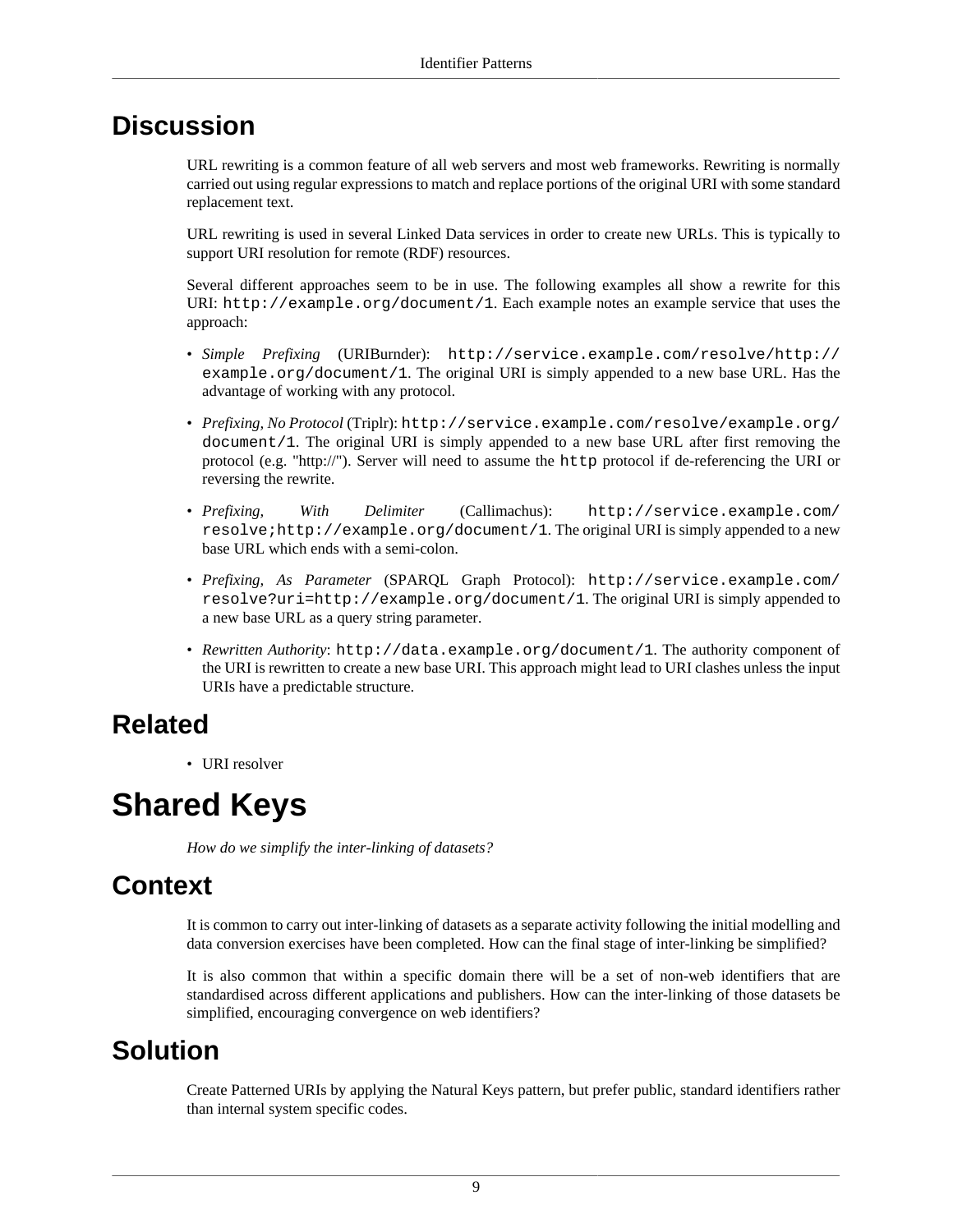URL rewriting is a common feature of all web servers and most web frameworks. Rewriting is normally carried out using regular expressions to match and replace portions of the original URI with some standard replacement text.

URL rewriting is used in several Linked Data services in order to create new URLs. This is typically to support [URI resolution](#page-76-0) for remote (RDF) resources.

Several different approaches seem to be in use. The following examples all show a rewrite for this URI: http://example.org/document/1. Each example notes an example service that uses the approach:

- *Simple Prefixing* (URIBurnder): http://service.example.com/resolve/http:// example.org/document/1. The original URI is simply appended to a new base URL. Has the advantage of working with any protocol.
- *Prefixing, No Protocol* (Triplr): http://service.example.com/resolve/example.org/ document/1. The original URI is simply appended to a new base URL after first removing the protocol (e.g. "http://"). Server will need to assume the http protocol if de-referencing the URI or reversing the rewrite.
- *Prefixing, With Delimiter* (Callimachus): http://service.example.com/ resolve;http://example.org/document/1. The original URI is simply appended to a new base URL which ends with a semi-colon.
- *Prefixing, As Parameter* (SPARQL Graph Protocol): http://service.example.com/ resolve?uri=http://example.org/document/1. The original URI is simply appended to a new base URL as a query string parameter.
- *Rewritten Authority*: http://data.example.org/document/1. The authority component of the URI is rewritten to create a new base URI. This approach might lead to URI clashes unless the input URIs have a predictable structure.

### **Related**

• [URI resolver](#page-76-0)

## <span id="page-12-0"></span>**Shared Keys**

*How do we simplify the inter-linking of datasets?*

### **Context**

It is common to carry out inter-linking of datasets as a separate activity following the initial modelling and data conversion exercises have been completed. How can the final stage of inter-linking be simplified?

It is also common that within a specific domain there will be a set of non-web identifiers that are standardised across different applications and publishers. How can the inter-linking of those datasets be simplified, encouraging convergence on web identifiers?

#### **Solution**

Create [Patterned URIs](#page-9-1) by applying the [Natural Keys](#page-9-0) pattern, but prefer public, standard identifiers rather than internal system specific codes.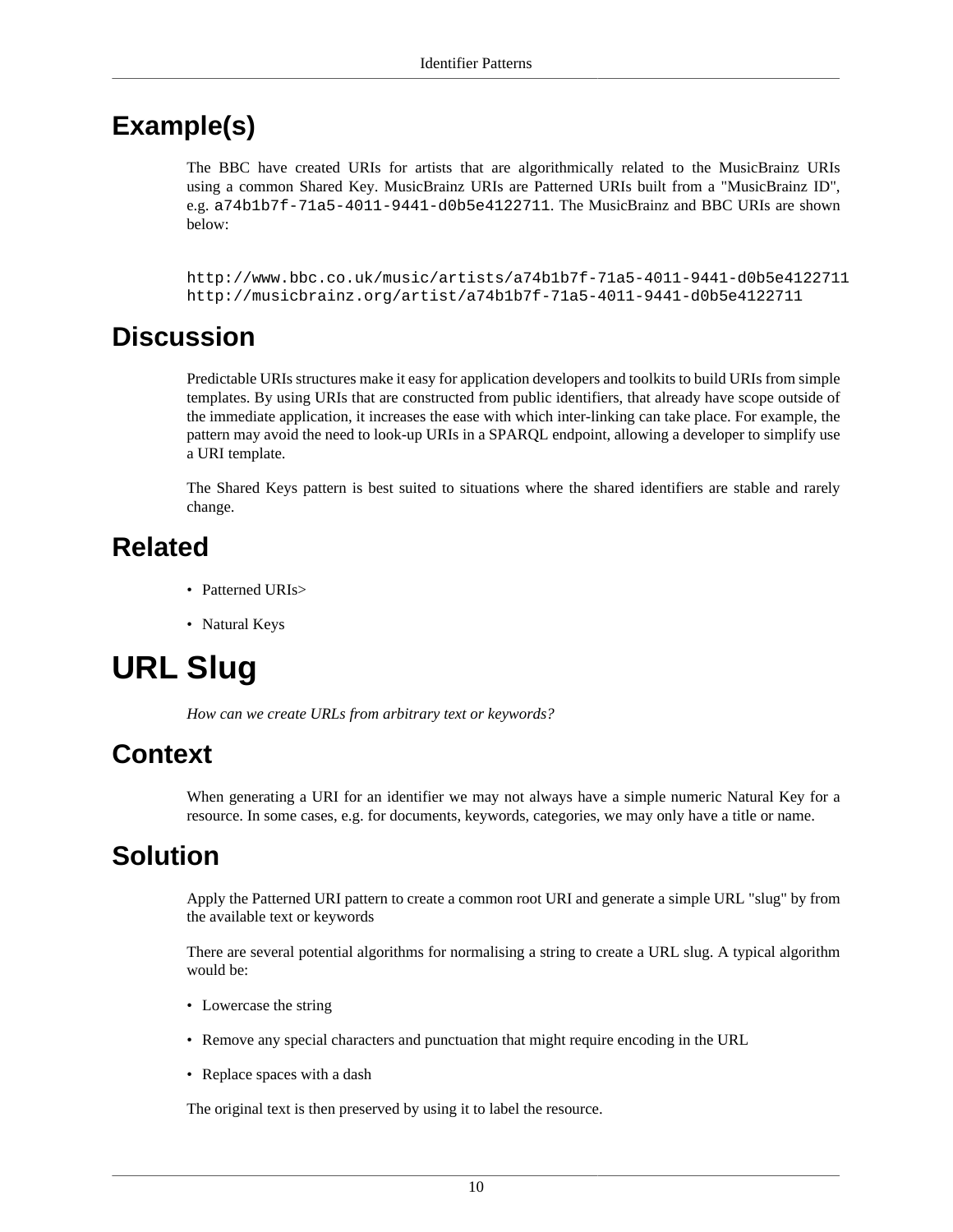#### **Example(s)**

The BBC have created URIs for artists that are algorithmically related to the MusicBrainz URIs using a common Shared Key. MusicBrainz URIs are [Patterned URIs](#page-9-1) built from a "MusicBrainz ID", e.g. a74b1b7f-71a5-4011-9441-d0b5e4122711. The MusicBrainz and BBC URIs are shown below:

http://www.bbc.co.uk/music/artists/a74b1b7f-71a5-4011-9441-d0b5e4122711 http://musicbrainz.org/artist/a74b1b7f-71a5-4011-9441-d0b5e4122711

#### **Discussion**

Predictable URIs structures make it easy for application developers and toolkits to build URIs from simple templates. By using URIs that are constructed from public identifiers, that already have scope outside of the immediate application, it increases the ease with which inter-linking can take place. For example, the pattern may avoid the need to look-up URIs in a SPARQL endpoint, allowing a developer to simplify use a URI template.

The Shared Keys pattern is best suited to situations where the shared identifiers are stable and rarely change.

### **Related**

- [Patterned URIs](#page-9-1)>
- [Natural Keys](#page-9-0)

## <span id="page-13-0"></span>**URL Slug**

*How can we create URLs from arbitrary text or keywords?*

#### **Context**

When generating a URI for an identifier we may not always have a simple numeric [Natural Key](#page-9-0) for a resource. In some cases, e.g. for documents, keywords, categories, we may only have a title or name.

#### **Solution**

Apply the [Patterned URI](#page-9-1) pattern to create a common root URI and generate a simple URL "slug" by from the available text or keywords

There are several potential algorithms for normalising a string to create a URL slug. A typical algorithm would be:

- Lowercase the string
- Remove any special characters and punctuation that might require encoding in the URL
- Replace spaces with a dash

The original text is then preserved by using it to [label](#page-18-0) the resource.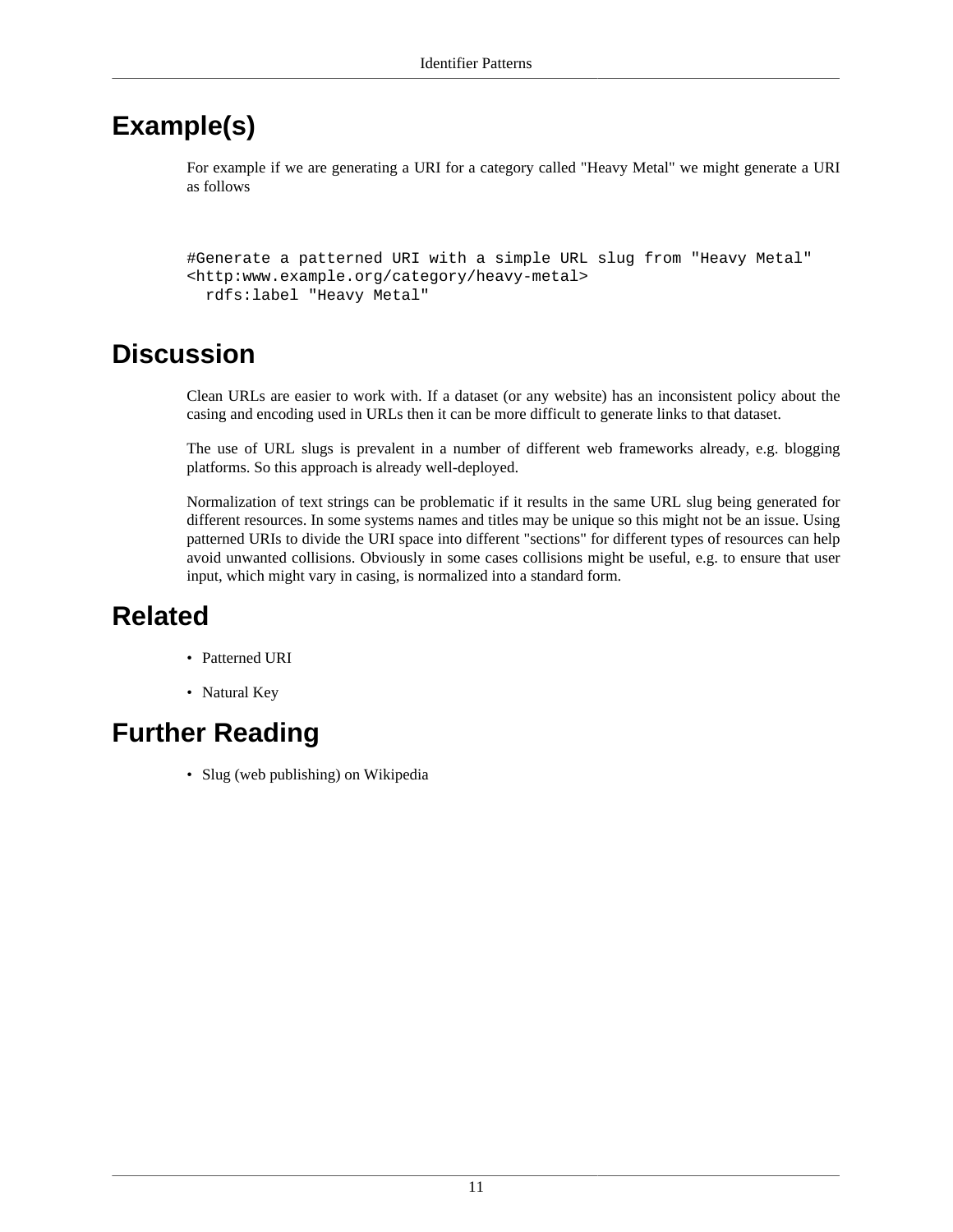### **Example(s)**

For example if we are generating a URI for a category called "Heavy Metal" we might generate a URI as follows

#Generate a patterned URI with a simple URL slug from "Heavy Metal" <http:www.example.org/category/heavy-metal> rdfs:label "Heavy Metal"

### **Discussion**

Clean URLs are easier to work with. If a dataset (or any website) has an inconsistent policy about the casing and encoding used in URLs then it can be more difficult to generate links to that dataset.

The use of URL slugs is prevalent in a number of different web frameworks already, e.g. blogging platforms. So this approach is already well-deployed.

Normalization of text strings can be problematic if it results in the same URL slug being generated for different resources. In some systems names and titles may be unique so this might not be an issue. Using patterned URIs to divide the URI space into different "sections" for different types of resources can help avoid unwanted collisions. Obviously in some cases collisions might be useful, e.g. to ensure that user input, which might vary in casing, is normalized into a standard form.

### **Related**

- [Patterned URI](#page-9-1)
- [Natural Key](#page-9-0)

### **Further Reading**

• Slug (web publishing) on Wikipedia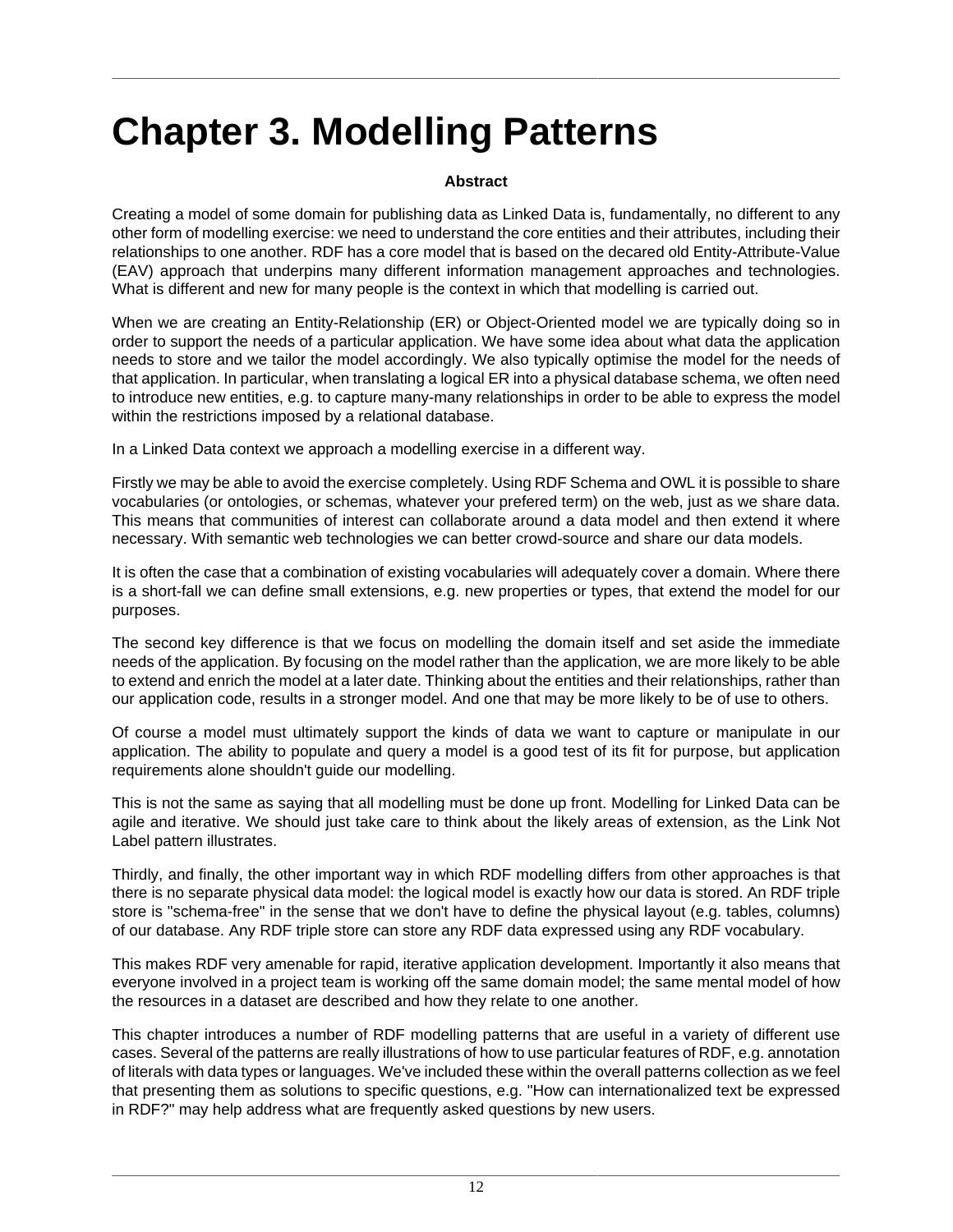# <span id="page-15-0"></span>**Chapter 3. Modelling Patterns**

#### **Abstract**

Creating a model of some domain for publishing data as Linked Data is, fundamentally, no different to any other form of modelling exercise: we need to understand the core entities and their attributes, including their relationships to one another. RDF has a core model that is based on the decared old Entity-Attribute-Value (EAV) approach that underpins many different information management approaches and technologies. What is different and new for many people is the context in which that modelling is carried out.

When we are creating an Entity-Relationship (ER) or Object-Oriented model we are typically doing so in order to support the needs of a particular application. We have some idea about what data the application needs to store and we tailor the model accordingly. We also typically optimise the model for the needs of that application. In particular, when translating a logical ER into a physical database schema, we often need to introduce new entities, e.g. to capture many-many relationships in order to be able to express the model within the restrictions imposed by a relational database.

In a Linked Data context we approach a modelling exercise in a different way.

Firstly we may be able to avoid the exercise completely. Using RDF Schema and OWL it is possible to share vocabularies (or ontologies, or schemas, whatever your prefered term) on the web, just as we share data. This means that communities of interest can collaborate around a data model and then extend it where necessary. With semantic web technologies we can better crowd-source and share our data models.

It is often the case that a combination of existing vocabularies will adequately cover a domain. Where there is a short-fall we can define small extensions, e.g. new properties or types, that extend the model for our purposes.

The second key difference is that we focus on modelling the domain itself and set aside the immediate needs of the application. By focusing on the model rather than the application, we are more likely to be able to extend and enrich the model at a later date. Thinking about the entities and their relationships, rather than our application code, results in a stronger model. And one that may be more likely to be of use to others.

Of course a model must ultimately support the kinds of data we want to capture or manipulate in our application. The ability to populate and query a model is a good test of its fit for purpose, but application requirements alone shouldn't guide our modelling.

This is not the same as saying that all modelling must be done up front. Modelling for Linked Data can be agile and iterative. We should just take care to think about the likely areas of extension, as the [Link Not](#page-19-0) [Label](#page-19-0) pattern illustrates.

Thirdly, and finally, the other important way in which RDF modelling differs from other approaches is that there is no separate physical data model: the logical model is exactly how our data is stored. An RDF triple store is "schema-free" in the sense that we don't have to define the physical layout (e.g. tables, columns) of our database. Any RDF triple store can store any RDF data expressed using any RDF vocabulary.

This makes RDF very amenable for rapid, iterative application development. Importantly it also means that everyone involved in a project team is working off the same domain model; the same mental model of how the resources in a dataset are described and how they relate to one another.

This chapter introduces a number of RDF modelling patterns that are useful in a variety of different use cases. Several of the patterns are really illustrations of how to use particular features of RDF, e.g. annotation of literals with [data types](#page-31-0) or [languages](#page-21-0). We've included these within the overall patterns collection as we feel that presenting them as solutions to specific questions, e.g. "How can internationalized text be expressed in RDF?" may help address what are frequently asked questions by new users.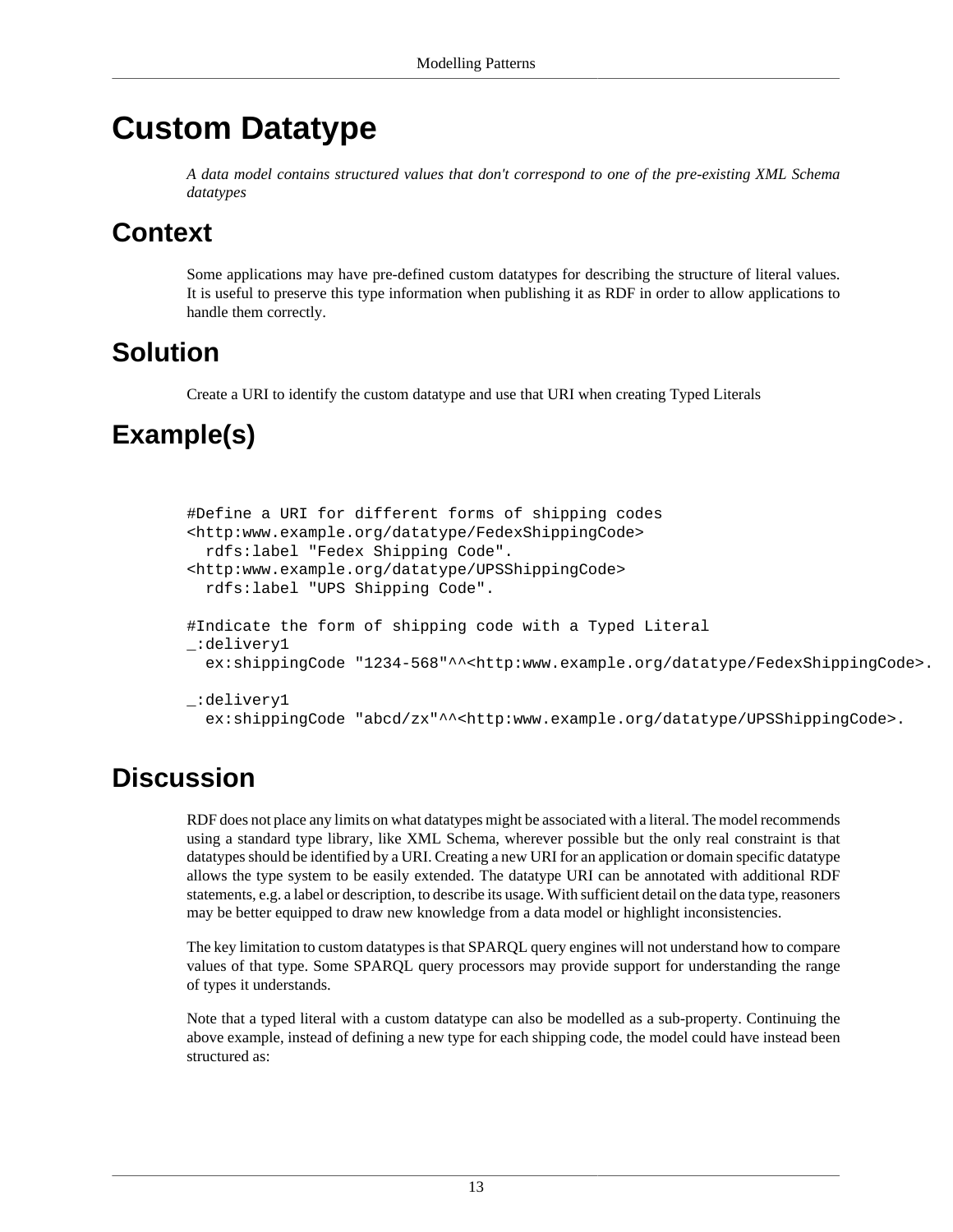## <span id="page-16-0"></span>**Custom Datatype**

*A data model contains structured values that don't correspond to one of the pre-existing XML Schema datatypes*

#### **Context**

Some applications may have pre-defined custom datatypes for describing the structure of literal values. It is useful to preserve this type information when publishing it as RDF in order to allow applications to handle them correctly.

#### **Solution**

Create a URI to identify the custom datatype and use that URI when creating [Typed Literals](#page-31-0)

### **Example(s)**

```
#Define a URI for different forms of shipping codes
<http:www.example.org/datatype/FedexShippingCode> 
   rdfs:label "Fedex Shipping Code".
<http:www.example.org/datatype/UPSShippingCode> 
   rdfs:label "UPS Shipping Code".
#Indicate the form of shipping code with a Typed Literal
_:delivery1 
  ex:shippingCode "1234-568"^^<http:www.example.org/datatype/FedexShippingCode>.
_:delivery1 
   ex:shippingCode "abcd/zx"^^<http:www.example.org/datatype/UPSShippingCode>.
```
### **Discussion**

RDF does not place any limits on what datatypes might be associated with a literal. The model recommends using a standard type library, like XML Schema, wherever possible but the only real constraint is that datatypes should be identified by a URI. Creating a new URI for an application or domain specific datatype allows the type system to be easily extended. The datatype URI can be annotated with additional RDF statements, e.g. a label or description, to describe its usage. With sufficient detail on the data type, reasoners may be better equipped to draw new knowledge from a data model or highlight inconsistencies.

The key limitation to custom datatypes is that SPARQL query engines will not understand how to compare values of that type. Some SPARQL query processors may provide support for understanding the range of types it understands.

Note that a typed literal with a custom datatype can also be modelled as a sub-property. Continuing the above example, instead of defining a new type for each shipping code, the model could have instead been structured as: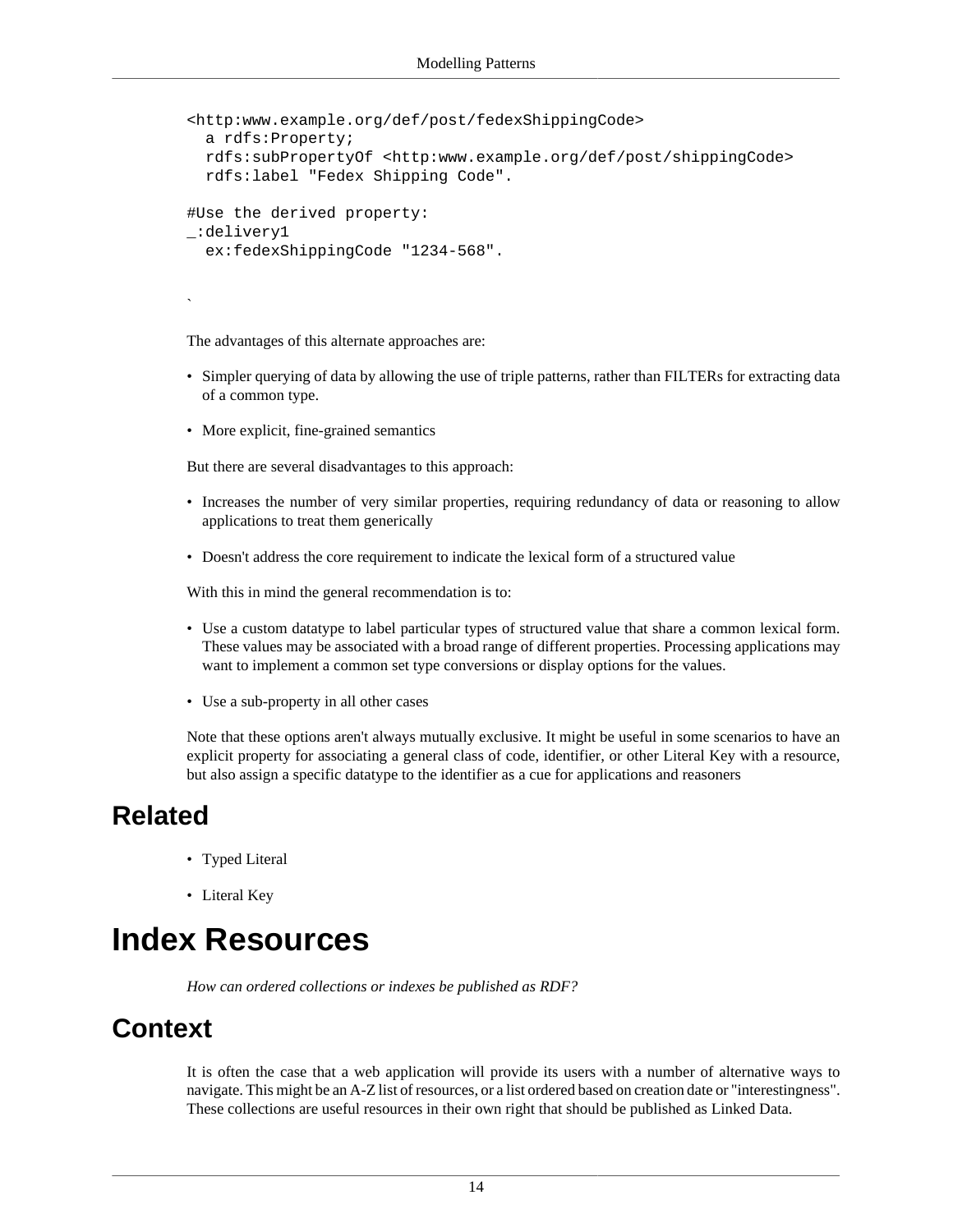```
<http:www.example.org/def/post/fedexShippingCode> 
   a rdfs:Property;
   rdfs:subPropertyOf <http:www.example.org/def/post/shippingCode> 
   rdfs:label "Fedex Shipping Code".
#Use the derived property:
_:delivery1 
   ex:fedexShippingCode "1234-568".
```
The advantages of this alternate approaches are:

- Simpler querying of data by allowing the use of triple patterns, rather than FILTERs for extracting data of a common type.
- More explicit, fine-grained semantics

But there are several disadvantages to this approach:

- Increases the number of very similar properties, requiring redundancy of data or reasoning to allow applications to treat them generically
- Doesn't address the core requirement to indicate the lexical form of a structured value

With this in mind the general recommendation is to:

- Use a custom datatype to label particular types of structured value that share a common lexical form. These values may be associated with a broad range of different properties. Processing applications may want to implement a common set type conversions or display options for the values.
- Use a sub-property in all other cases

Note that these options aren't always mutually exclusive. It might be useful in some scenarios to have an explicit property for associating a general class of code, identifier, or other [Literal Key](#page-8-0) with a resource, but also assign a specific datatype to the identifier as a cue for applications and reasoners

#### **Related**

`

- [Typed Literal](#page-31-0)
- [Literal Key](#page-8-0)

### <span id="page-17-0"></span>**Index Resources**

*How can ordered collections or indexes be published as RDF?*

#### **Context**

It is often the case that a web application will provide its users with a number of alternative ways to navigate. This might be an A-Z list of resources, or a list ordered based on creation date or "interestingness". These collections are useful resources in their own right that should be published as Linked Data.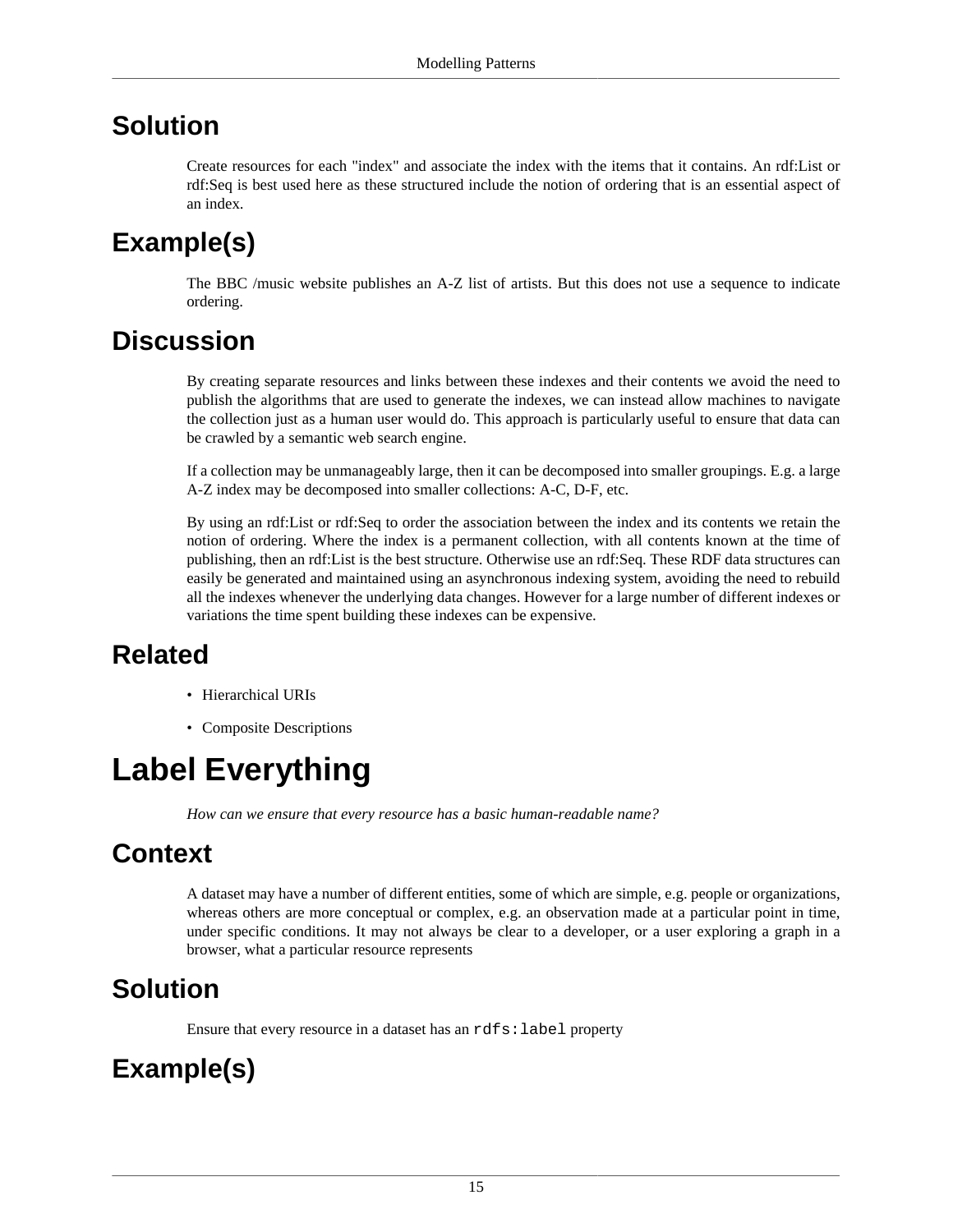#### **Solution**

Create resources for each "index" and associate the index with the items that it contains. An rdf:List or rdf:Seq is best used here as these structured include the notion of ordering that is an essential aspect of an index.

## **Example(s)**

The BBC /music website publishes an A-Z list of artists. But this does not use a sequence to indicate ordering.

### **Discussion**

By creating separate resources and links between these indexes and their contents we avoid the need to publish the algorithms that are used to generate the indexes, we can instead allow machines to navigate the collection just as a human user would do. This approach is particularly useful to ensure that data can be crawled by a semantic web search engine.

If a collection may be unmanageably large, then it can be decomposed into smaller groupings. E.g. a large A-Z index may be decomposed into smaller collections: A-C, D-F, etc.

By using an rdf:List or rdf:Seq to order the association between the index and its contents we retain the notion of ordering. Where the index is a permanent collection, with all contents known at the time of publishing, then an rdf:List is the best structure. Otherwise use an rdf:Seq. These RDF data structures can easily be generated and maintained using an asynchronous indexing system, avoiding the need to rebuild all the indexes whenever the underlying data changes. However for a large number of different indexes or variations the time spent building these indexes can be expensive.

### **Related**

- [Hierarchical URIs](#page-7-1)
- [Composite Descriptions](#page-63-0)

## <span id="page-18-0"></span>**Label Everything**

*How can we ensure that every resource has a basic human-readable name?*

### **Context**

A dataset may have a number of different entities, some of which are simple, e.g. people or organizations, whereas others are more conceptual or complex, e.g. an observation made at a particular point in time, under specific conditions. It may not always be clear to a developer, or a user exploring a graph in a browser, what a particular resource represents

### **Solution**

Ensure that every resource in a dataset has an rdfs: label property

## **Example(s)**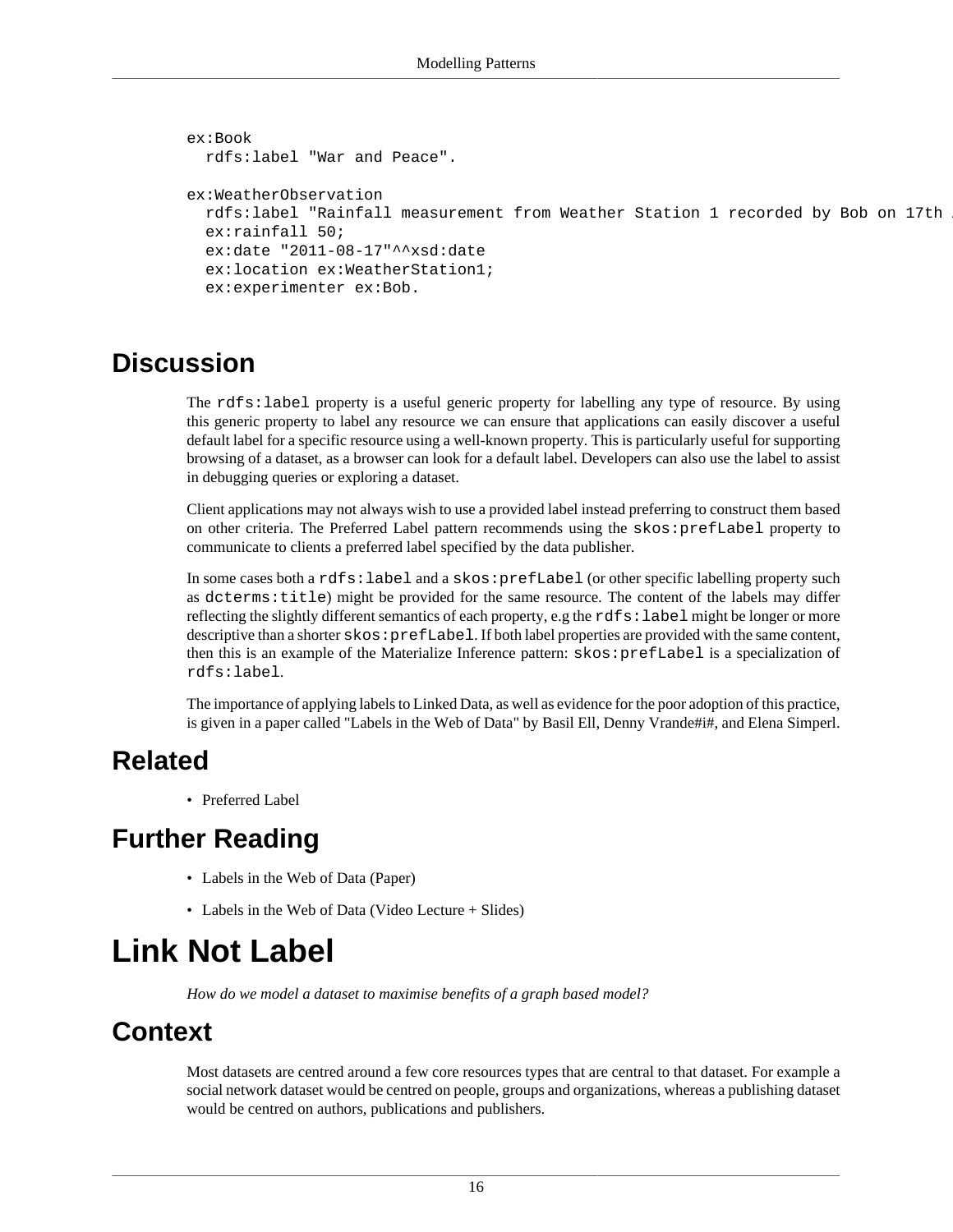```
ex:Book
  rdfs:label "War and Peace".
ex:WeatherObservation
 rdfs:label "Rainfall measurement from Weather Station 1 recorded by Bob on 17th
   ex:rainfall 50;
  ex:date "2011-08-17"^^xsd:date
  ex:location ex:WeatherStation1;
   ex:experimenter ex:Bob.
```
The rdfs:label property is a useful generic property for labelling any type of resource. By using this generic property to label any resource we can ensure that applications can easily discover a useful default label for a specific resource using a well-known property. This is particularly useful for supporting browsing of a dataset, as a browser can look for a default label. Developers can also use the label to assist in debugging queries or exploring a dataset.

Client applications may not always wish to use a provided label instead preferring to construct them based on other criteria. The [Preferred Label](#page-25-0) pattern recommends using the skos: prefLabel property to communicate to clients a preferred label specified by the data publisher.

In some cases both a rdfs:label and a skos:prefLabel (or other specific labelling property such as dcterms:title) might be provided for the same resource. The content of the labels may differ reflecting the slightly different semantics of each property, e.g the rdfs: label might be longer or more descriptive than a shorter  $s \& \circ r \neq \text{Label}$ . If both label properties are provided with the same content, then this is an example of the [Materialize Inference](#page-41-0) pattern: skos:prefLabel is a specialization of rdfs:label.

The importance of applying labels to Linked Data, as well as evidence for the poor adoption of this practice, is given in a paper called "Labels in the Web of Data" by Basil Ell, Denny Vrande#i#, and Elena Simperl.

#### **Related**

• [Preferred Label](#page-25-0)

### **Further Reading**

- Labels in the Web of Data (Paper)
- Labels in the Web of Data (Video Lecture + Slides)

## <span id="page-19-0"></span>**Link Not Label**

*How do we model a dataset to maximise benefits of a graph based model?*

#### **Context**

Most datasets are centred around a few core resources types that are central to that dataset. For example a social network dataset would be centred on people, groups and organizations, whereas a publishing dataset would be centred on authors, publications and publishers.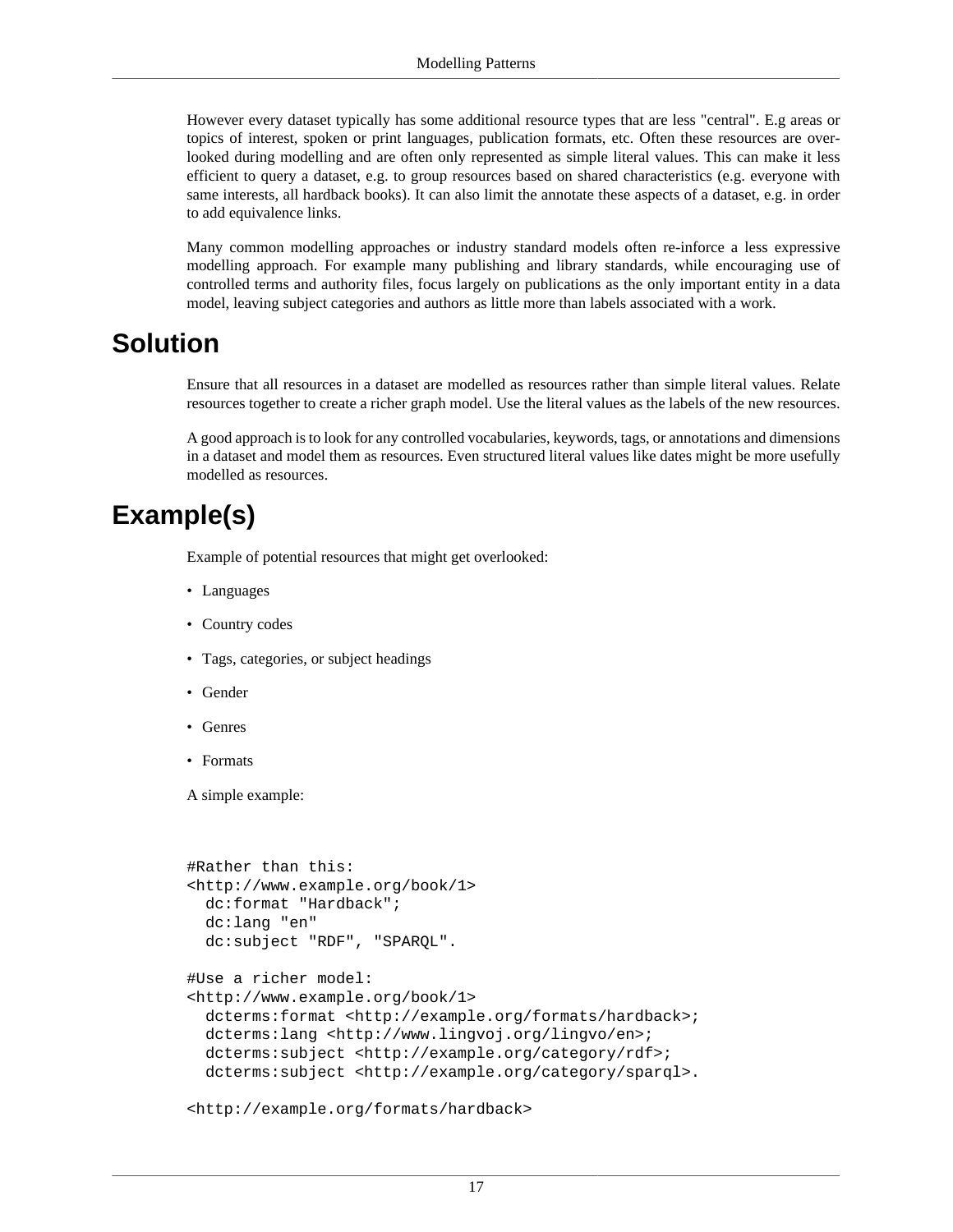However every dataset typically has some additional resource types that are less "central". E.g areas or topics of interest, spoken or print languages, publication formats, etc. Often these resources are overlooked during modelling and are often only represented as simple literal values. This can make it less efficient to query a dataset, e.g. to group resources based on shared characteristics (e.g. everyone with same interests, all hardback books). It can also limit the [annotate](#page-33-1) these aspects of a dataset, e.g. in order to add [equivalence links.](#page-39-0)

Many common modelling approaches or industry standard models often re-inforce a less expressive modelling approach. For example many publishing and library standards, while encouraging use of controlled terms and authority files, focus largely on publications as the only important entity in a data model, leaving subject categories and authors as little more than labels associated with a work.

#### **Solution**

Ensure that all resources in a dataset are modelled as resources rather than simple literal values. Relate resources together to create a richer graph model. Use the literal values as the labels of the new resources.

A good approach is to look for any controlled vocabularies, keywords, tags, or annotations and dimensions in a dataset and model them as resources. Even structured literal values like dates might be more usefully modelled as resources.

#### **Example(s)**

Example of potential resources that might get overlooked:

- Languages
- Country codes
- Tags, categories, or subject headings
- Gender
- Genres
- Formats

A simple example:

```
#Rather than this:
<http://www.example.org/book/1>
  dc:format "Hardback";
  dc:lang "en"
  dc:subject "RDF", "SPARQL".
#Use a richer model:
<http://www.example.org/book/1>
  dcterms:format <http://example.org/formats/hardback>;
  dcterms:lang <http://www.lingvoj.org/lingvo/en>;
 dcterms: subject <http://example.org/category/rdf>;
 dcterms: subject <http://example.org/category/sparql>.
```
<http://example.org/formats/hardback>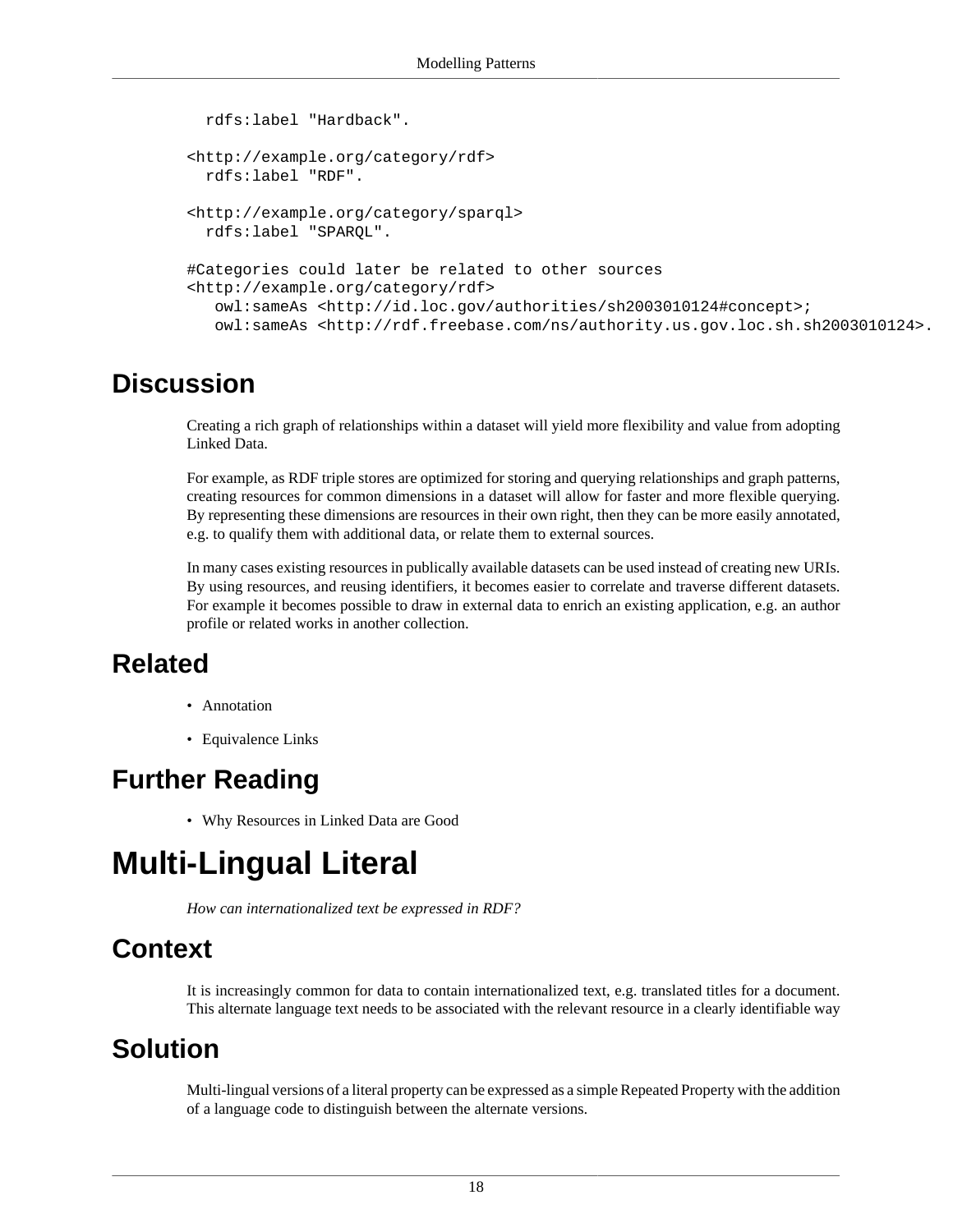```
 rdfs:label "Hardback".
<http://example.org/category/rdf>
  rdfs:label "RDF". 
<http://example.org/category/sparql>
  rdfs:label "SPARQL".
#Categories could later be related to other sources
<http://example.org/category/rdf>
   owl:sameAs <http://id.loc.gov/authorities/sh2003010124#concept>;
   owl:sameAs <http://rdf.freebase.com/ns/authority.us.gov.loc.sh.sh2003010124>.
```
Creating a rich graph of relationships within a dataset will yield more flexibility and value from adopting Linked Data.

For example, as RDF triple stores are optimized for storing and querying relationships and graph patterns, creating resources for common dimensions in a dataset will allow for faster and more flexible querying. By representing these dimensions are resources in their own right, then they can be more easily annotated, e.g. to qualify them with additional data, or relate them to external sources.

In many cases existing resources in publically available datasets can be used instead of creating new URIs. By using resources, and reusing identifiers, it becomes easier to correlate and traverse different datasets. For example it becomes possible to draw in external data to enrich an existing application, e.g. an author profile or related works in another collection.

#### **Related**

- [Annotation](#page-33-1)
- [Equivalence Links](#page-39-0)

#### **Further Reading**

• Why Resources in Linked Data are Good

## <span id="page-21-0"></span>**Multi-Lingual Literal**

*How can internationalized text be expressed in RDF?*

#### **Context**

It is increasingly common for data to contain internationalized text, e.g. translated titles for a document. This alternate language text needs to be associated with the relevant resource in a clearly identifiable way

#### **Solution**

Multi-lingual versions of a literal property can be expressed as a simple [Repeated Property](#page-29-0) with the addition of a language code to distinguish between the alternate versions.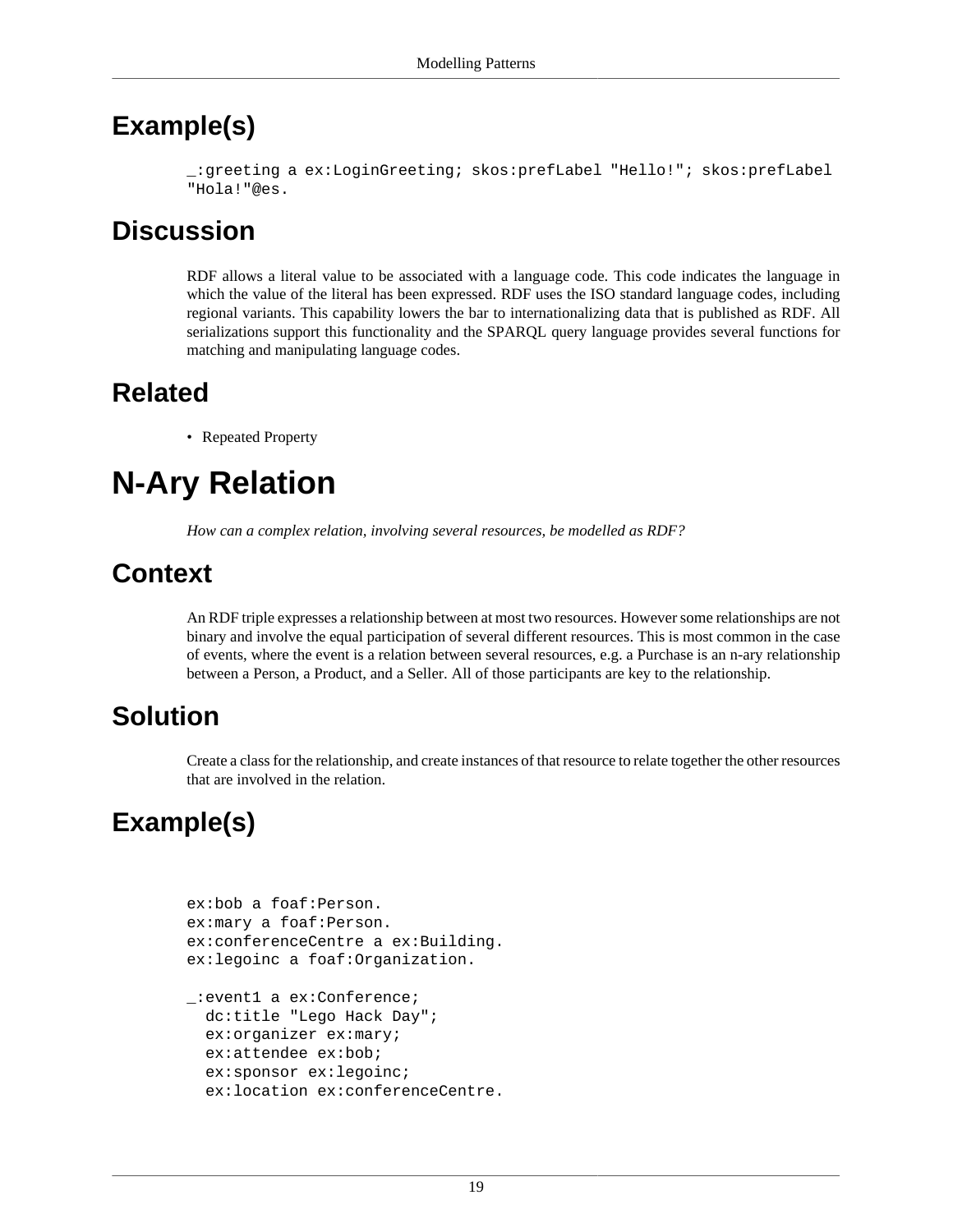#### **Example(s)**

\_:greeting a ex:LoginGreeting; skos:prefLabel "Hello!"; skos:prefLabel "Hola!"@es.

#### **Discussion**

RDF allows a literal value to be associated with a language code. This code indicates the language in which the value of the literal has been expressed. RDF uses the ISO standard language codes, including regional variants. This capability lowers the bar to internationalizing data that is published as RDF. All serializations support this functionality and the SPARQL query language provides several functions for matching and manipulating language codes.

### **Related**

• [Repeated Property](#page-29-0)

## <span id="page-22-0"></span>**N-Ary Relation**

*How can a complex relation, involving several resources, be modelled as RDF?*

### **Context**

An RDF triple expresses a relationship between at most two resources. However some relationships are not binary and involve the equal participation of several different resources. This is most common in the case of events, where the event is a relation between several resources, e.g. a Purchase is an n-ary relationship between a Person, a Product, and a Seller. All of those participants are key to the relationship.

### **Solution**

Create a class for the relationship, and create instances of that resource to relate together the other resources that are involved in the relation.

### **Example(s)**

```
ex:bob a foaf:Person.
ex:mary a foaf:Person.
ex:conferenceCentre a ex:Building.
ex:legoinc a foaf:Organization.
_:event1 a ex:Conference;
  dc:title "Lego Hack Day";
   ex:organizer ex:mary;
   ex:attendee ex:bob;
```
ex:location ex:conferenceCentre.

ex:sponsor ex:legoinc;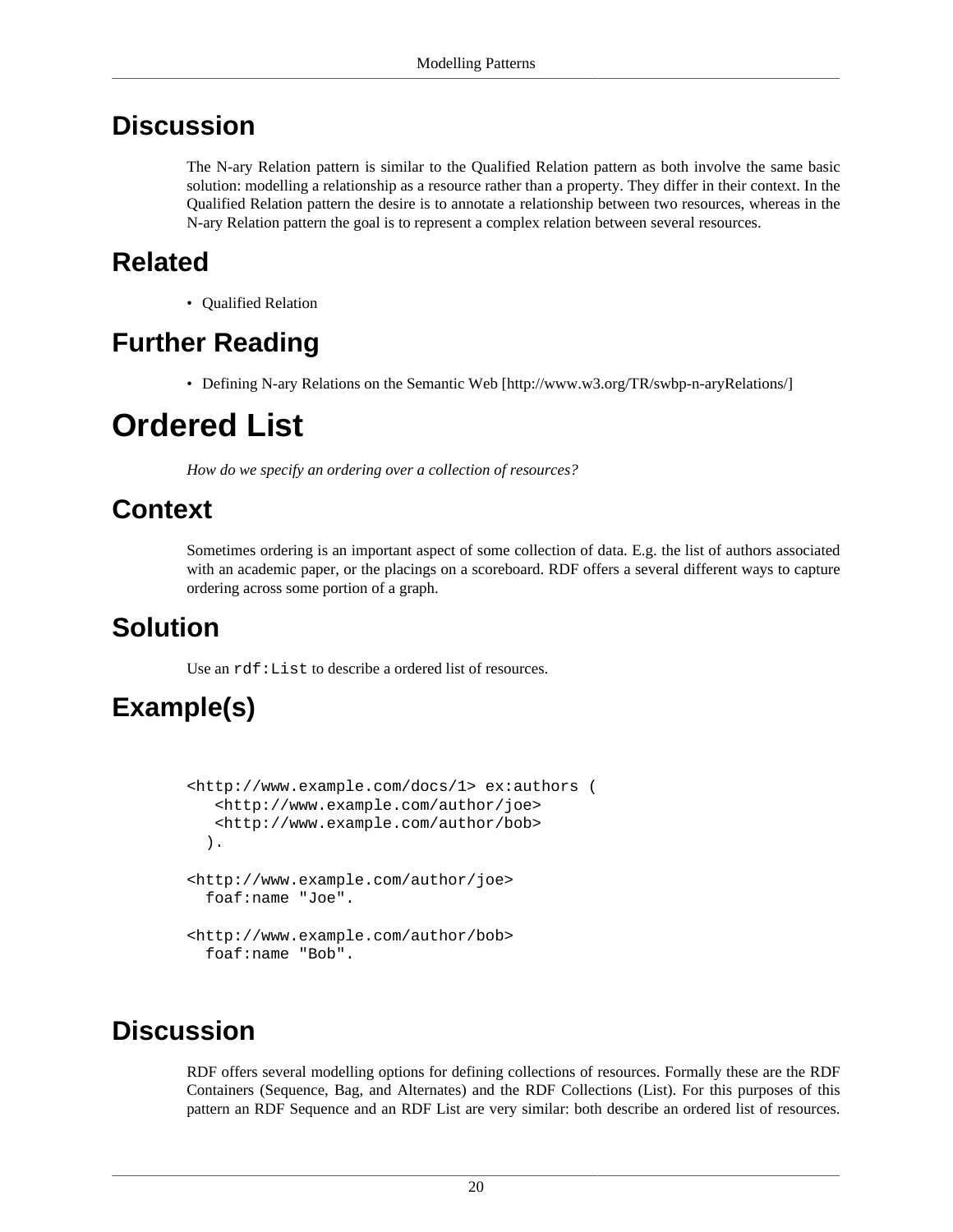The N-ary Relation pattern is similar to the [Qualified Relation](#page-26-0) pattern as both involve the same basic solution: modelling a relationship as a resource rather than a property. They differ in their context. In the Qualified Relation pattern the desire is to annotate a relationship between two resources, whereas in the N-ary Relation pattern the goal is to represent a complex relation between several resources.

### **Related**

• [Qualified Relation](#page-26-0)

### **Further Reading**

• [Defining N-ary Relations on the Semantic Web](http://www.w3.org/TR/swbp-n-aryRelations/) [<http://www.w3.org/TR/swbp-n-aryRelations/>]

## <span id="page-23-0"></span>**Ordered List**

*How do we specify an ordering over a collection of resources?*

### **Context**

Sometimes ordering is an important aspect of some collection of data. E.g. the list of authors associated with an academic paper, or the placings on a scoreboard. RDF offers a several different ways to capture ordering across some portion of a graph.

### **Solution**

Use an rdf:List to describe a ordered list of resources.

## **Example(s)**

```
<http://www.example.com/docs/1> ex:authors (
    <http://www.example.com/author/joe>
    <http://www.example.com/author/bob>
   ).
<http://www.example.com/author/joe> 
   foaf:name "Joe".
<http://www.example.com/author/bob> 
  foaf:name "Bob".
```
### **Discussion**

RDF offers several modelling options for defining collections of resources. Formally these are the RDF Containers (Sequence, Bag, and Alternates) and the RDF Collections (List). For this purposes of this pattern an RDF Sequence and an RDF List are very similar: both describe an ordered list of resources.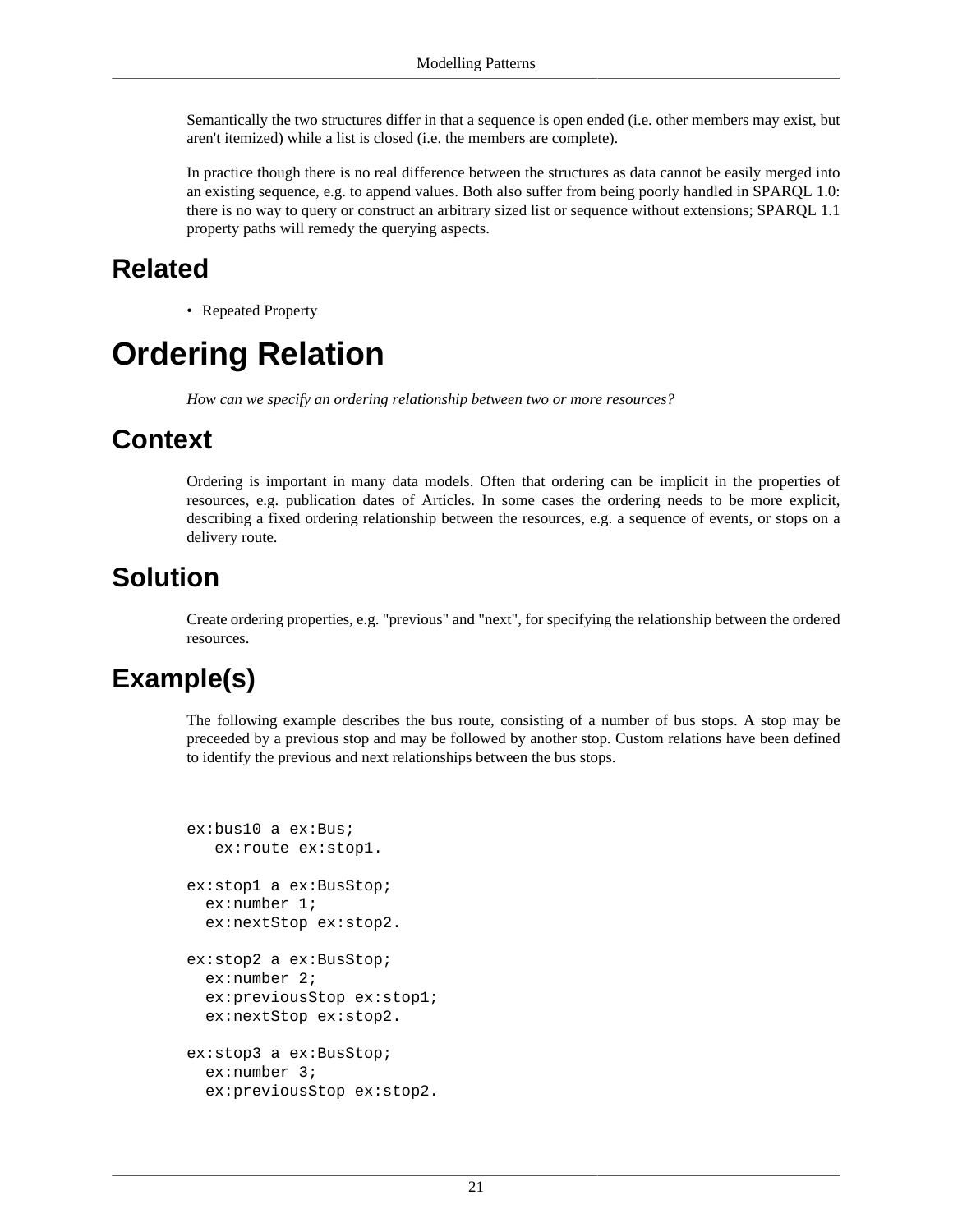Semantically the two structures differ in that a sequence is open ended (i.e. other members may exist, but aren't itemized) while a list is closed (i.e. the members are complete).

In practice though there is no real difference between the structures as data cannot be easily merged into an existing sequence, e.g. to append values. Both also suffer from being poorly handled in SPARQL 1.0: there is no way to query or construct an arbitrary sized list or sequence without extensions; SPARQL 1.1 property paths will remedy the querying aspects.

#### **Related**

• [Repeated Property](#page-29-0)

## <span id="page-24-0"></span>**Ordering Relation**

*How can we specify an ordering relationship between two or more resources?*

#### **Context**

Ordering is important in many data models. Often that ordering can be implicit in the properties of resources, e.g. publication dates of Articles. In some cases the ordering needs to be more explicit, describing a fixed ordering relationship between the resources, e.g. a sequence of events, or stops on a delivery route.

#### **Solution**

Create ordering properties, e.g. "previous" and "next", for specifying the relationship between the ordered resources.

### **Example(s)**

The following example describes the bus route, consisting of a number of bus stops. A stop may be preceeded by a previous stop and may be followed by another stop. Custom relations have been defined to identify the previous and next relationships between the bus stops.

```
ex:bus10 a ex:Bus;
    ex:route ex:stop1.
ex:stop1 a ex:BusStop;
   ex:number 1;
   ex:nextStop ex:stop2.
ex:stop2 a ex:BusStop;
   ex:number 2;
   ex:previousStop ex:stop1;
   ex:nextStop ex:stop2.
ex:stop3 a ex:BusStop;
   ex:number 3;
   ex:previousStop ex:stop2.
```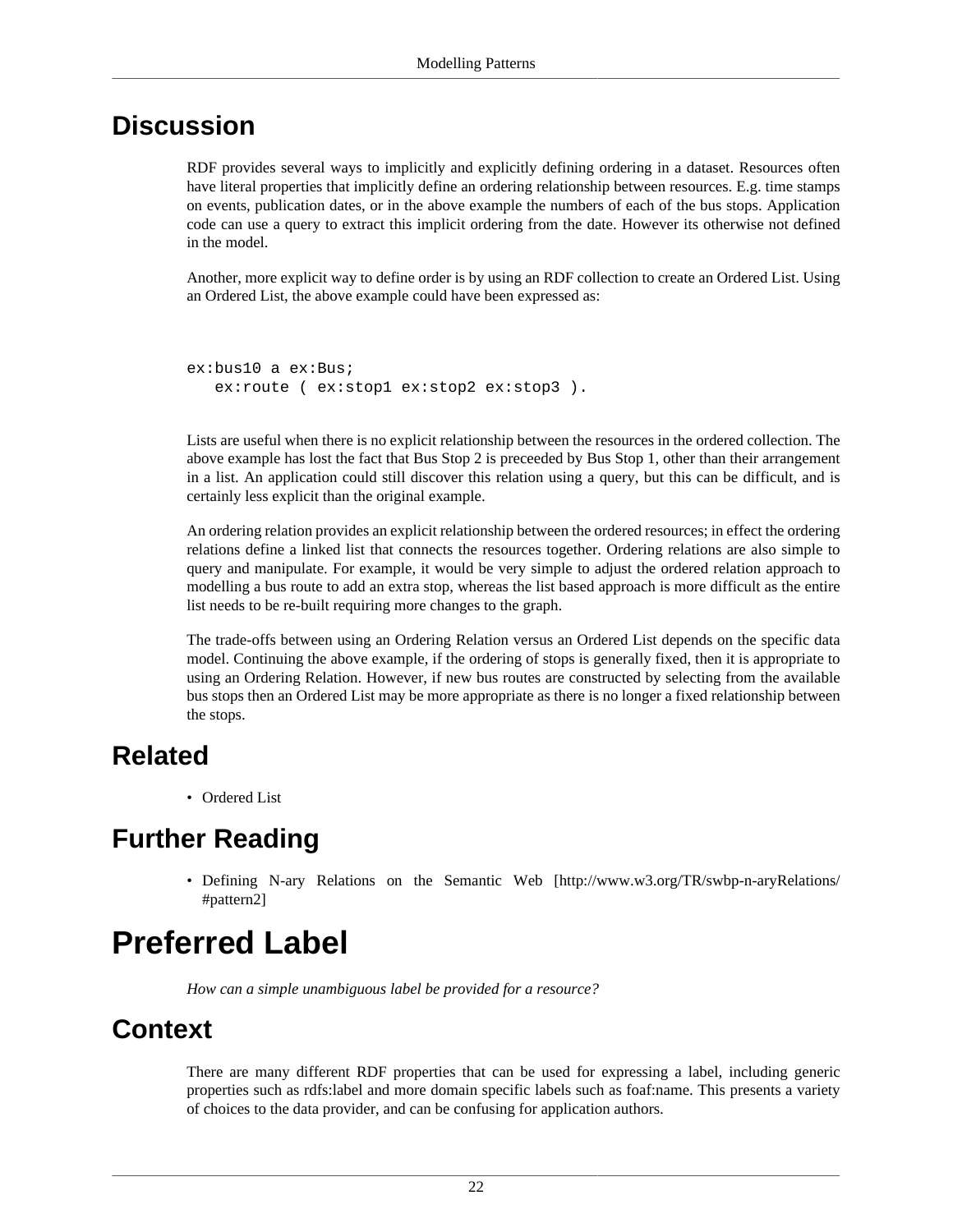RDF provides several ways to implicitly and explicitly defining ordering in a dataset. Resources often have literal properties that implicitly define an ordering relationship between resources. E.g. time stamps on events, publication dates, or in the above example the numbers of each of the bus stops. Application code can use a query to extract this implicit ordering from the date. However its otherwise not defined in the model.

Another, more explicit way to define order is by using an RDF collection to create an [Ordered List](#page-23-0). Using an Ordered List, the above example could have been expressed as:

```
ex:bus10 a ex:Bus;
   ex: route ( ex: stop1 ex: stop2 ex: stop3 ).
```
Lists are useful when there is no explicit relationship between the resources in the ordered collection. The above example has lost the fact that Bus Stop 2 is preceeded by Bus Stop 1, other than their arrangement in a list. An application could still discover this relation using a query, but this can be difficult, and is certainly less explicit than the original example.

An ordering relation provides an explicit relationship between the ordered resources; in effect the ordering relations define a linked list that connects the resources together. Ordering relations are also simple to query and manipulate. For example, it would be very simple to adjust the ordered relation approach to modelling a bus route to add an extra stop, whereas the list based approach is more difficult as the entire list needs to be re-built requiring more changes to the graph.

The trade-offs between using an Ordering Relation versus an Ordered List depends on the specific data model. Continuing the above example, if the ordering of stops is generally fixed, then it is appropriate to using an Ordering Relation. However, if new bus routes are constructed by selecting from the available bus stops then an Ordered List may be more appropriate as there is no longer a fixed relationship between the stops.

#### **Related**

• [Ordered List](#page-23-0)

### **Further Reading**

• [Defining N-ary Relations on the Semantic Web \[http://www.w3.org/TR/swbp-n-aryRelations/](http://www.w3.org/TR/swbp-n-aryRelations/#pattern2) [#pattern2\]](http://www.w3.org/TR/swbp-n-aryRelations/#pattern2)

## <span id="page-25-0"></span>**Preferred Label**

*How can a simple unambiguous label be provided for a resource?*

#### **Context**

There are many different RDF properties that can be used for expressing a label, including generic properties such as rdfs:label and more domain specific labels such as foaf:name. This presents a variety of choices to the data provider, and can be confusing for application authors.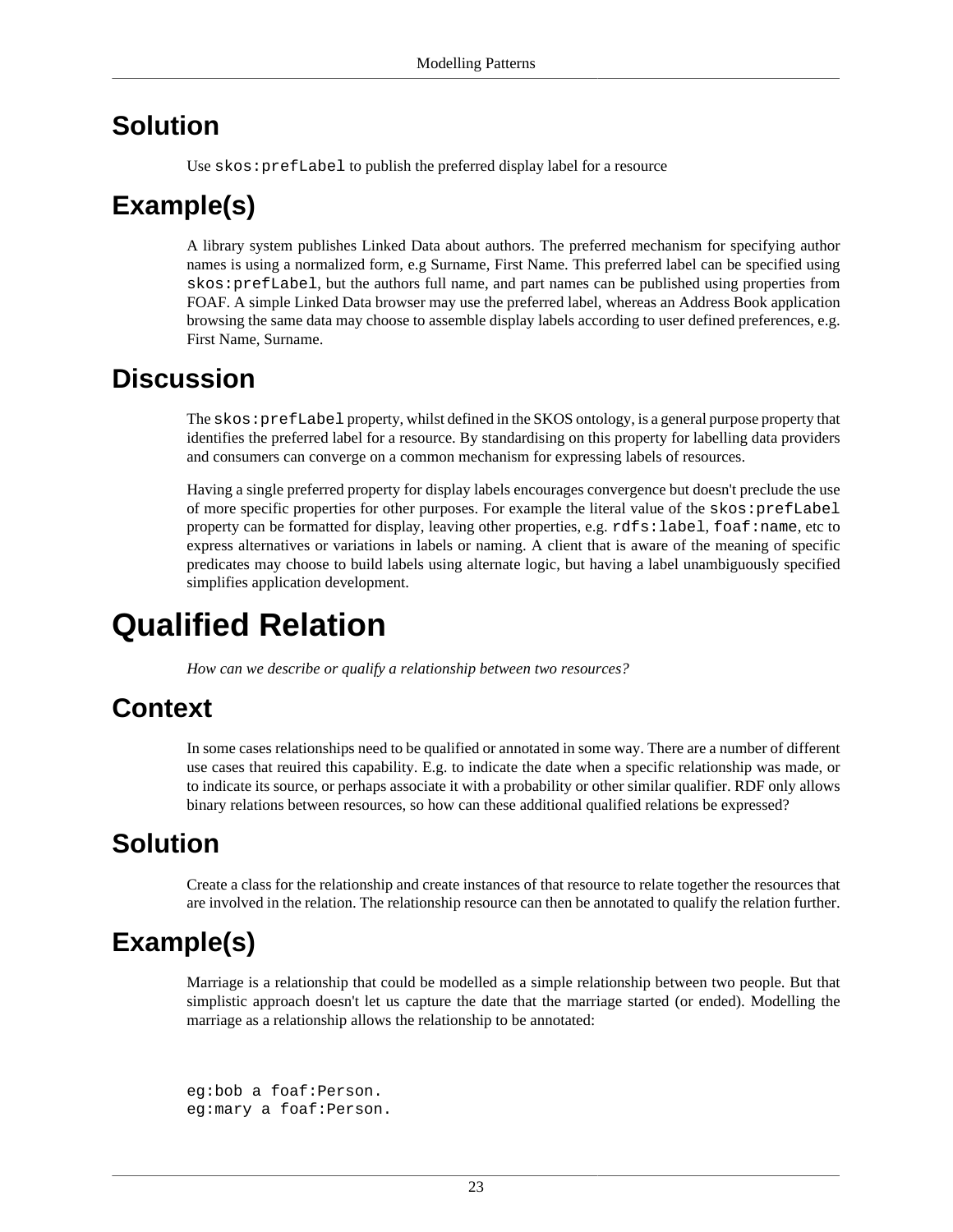#### **Solution**

Use skos:prefLabel to publish the preferred display label for a resource

### **Example(s)**

A library system publishes Linked Data about authors. The preferred mechanism for specifying author names is using a normalized form, e.g Surname, First Name. This preferred label can be specified using skos:prefLabel, but the authors full name, and part names can be published using properties from FOAF. A simple Linked Data browser may use the preferred label, whereas an Address Book application browsing the same data may choose to assemble display labels according to user defined preferences, e.g. First Name, Surname.

#### **Discussion**

The skos:prefLabel property, whilst defined in the SKOS ontology, is a general purpose property that identifies the preferred label for a resource. By standardising on this property for labelling data providers and consumers can converge on a common mechanism for expressing labels of resources.

Having a single preferred property for display labels encourages convergence but doesn't preclude the use of more specific properties for other purposes. For example the literal value of the skos:prefLabel property can be formatted for display, leaving other properties, e.g. rdfs:label, foaf:name, etc to express alternatives or variations in labels or naming. A client that is aware of the meaning of specific predicates may choose to build labels using alternate logic, but having a label unambiguously specified simplifies application development.

## <span id="page-26-0"></span>**Qualified Relation**

*How can we describe or qualify a relationship between two resources?*

#### **Context**

In some cases relationships need to be qualified or annotated in some way. There are a number of different use cases that reuired this capability. E.g. to indicate the date when a specific relationship was made, or to indicate its source, or perhaps associate it with a probability or other similar qualifier. RDF only allows binary relations between resources, so how can these additional qualified relations be expressed?

### **Solution**

Create a class for the relationship and create instances of that resource to relate together the resources that are involved in the relation. The relationship resource can then be annotated to qualify the relation further.

### **Example(s)**

Marriage is a relationship that could be modelled as a simple relationship between two people. But that simplistic approach doesn't let us capture the date that the marriage started (or ended). Modelling the marriage as a relationship allows the relationship to be annotated:

```
eg:bob a foaf:Person.
eg:mary a foaf:Person.
```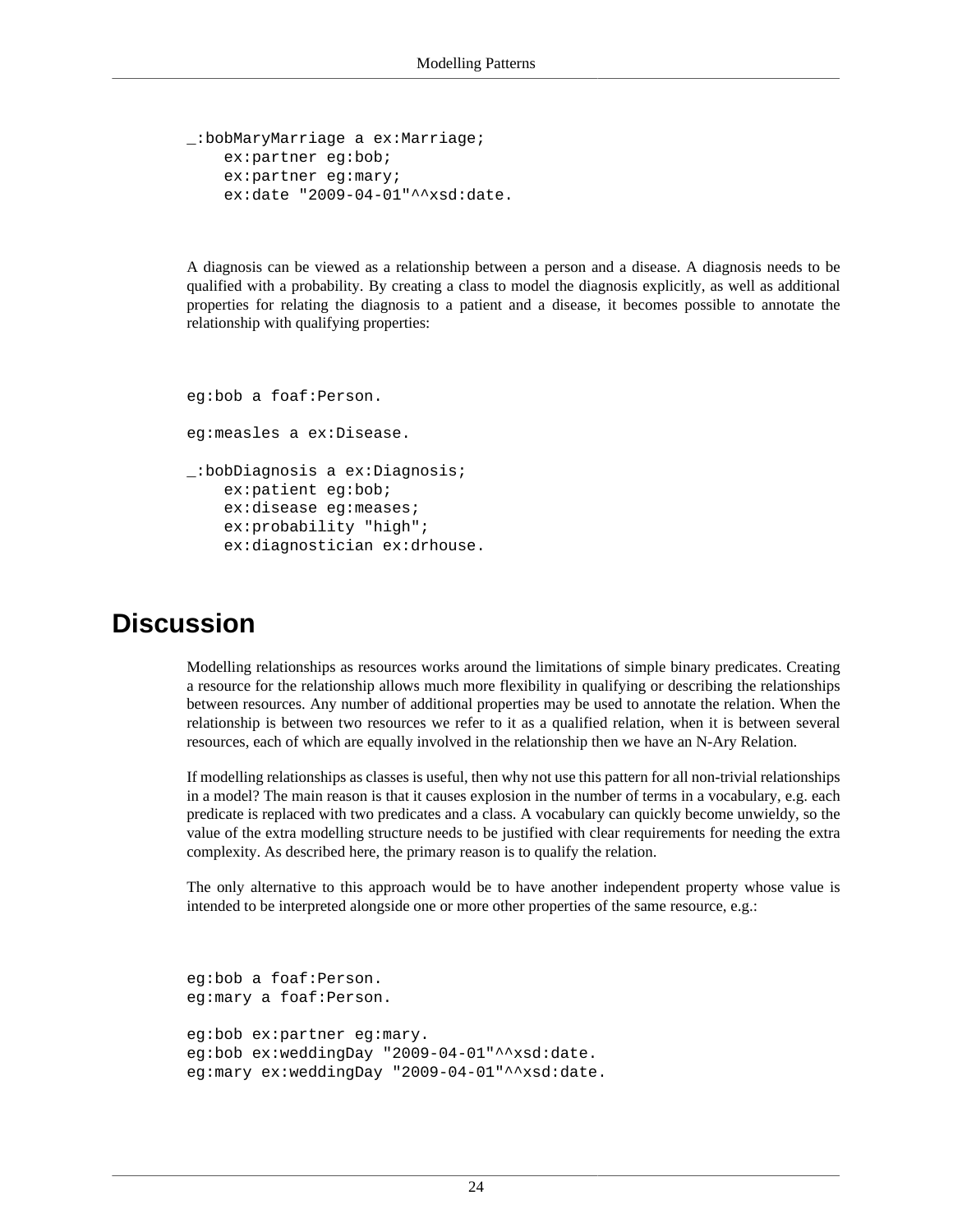```
_:bobMaryMarriage a ex:Marriage;
     ex:partner eg:bob;
     ex:partner eg:mary;
     ex:date "2009-04-01"^^xsd:date.
```
A diagnosis can be viewed as a relationship between a person and a disease. A diagnosis needs to be qualified with a probability. By creating a class to model the diagnosis explicitly, as well as additional properties for relating the diagnosis to a patient and a disease, it becomes possible to annotate the relationship with qualifying properties:

```
eg:bob a foaf:Person.
eg:measles a ex:Disease.
_:bobDiagnosis a ex:Diagnosis;
     ex:patient eg:bob;
     ex:disease eg:meases;
     ex:probability "high";
     ex:diagnostician ex:drhouse.
```
#### **Discussion**

Modelling relationships as resources works around the limitations of simple binary predicates. Creating a resource for the relationship allows much more flexibility in qualifying or describing the relationships between resources. Any number of additional properties may be used to annotate the relation. When the relationship is between two resources we refer to it as a qualified relation, when it is between several resources, each of which are equally involved in the relationship then we have an [N-Ary Relation.](#page-22-0)

If modelling relationships as classes is useful, then why not use this pattern for all non-trivial relationships in a model? The main reason is that it causes explosion in the number of terms in a vocabulary, e.g. each predicate is replaced with two predicates and a class. A vocabulary can quickly become unwieldy, so the value of the extra modelling structure needs to be justified with clear requirements for needing the extra complexity. As described here, the primary reason is to qualify the relation.

The only alternative to this approach would be to have another independent property whose value is intended to be interpreted alongside one or more other properties of the same resource, e.g.:

```
eg:bob a foaf:Person.
eg:mary a foaf:Person.
eg:bob ex:partner eg:mary.
eg:bob ex:weddingDay "2009-04-01"^^xsd:date.
eg:mary ex:weddingDay "2009-04-01"^^xsd:date.
```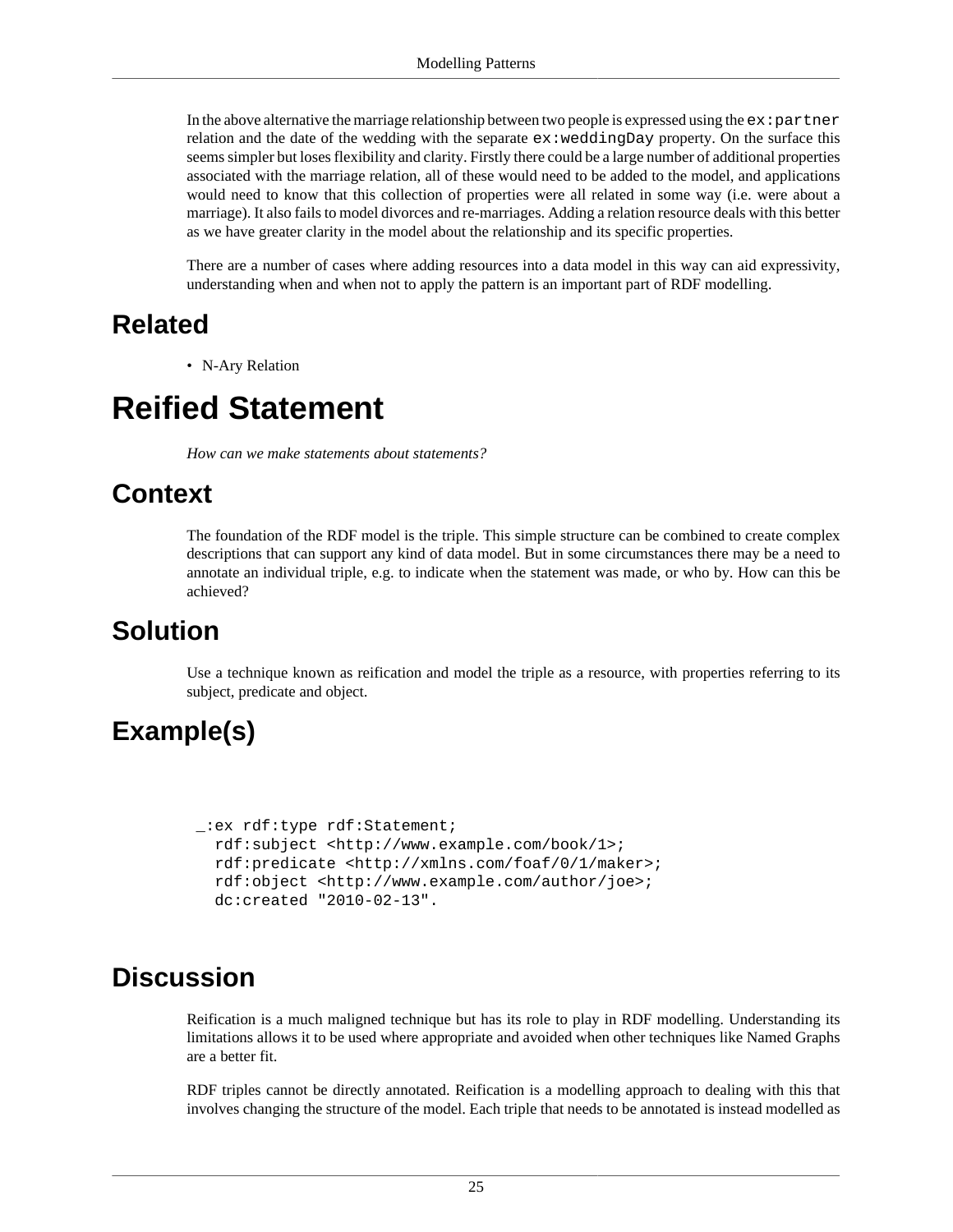In the above alternative the marriage relationship between two people is expressed using the  $ex:partner$ relation and the date of the wedding with the separate  $ex$ : weddingDay property. On the surface this seems simpler but loses flexibility and clarity. Firstly there could be a large number of additional properties associated with the marriage relation, all of these would need to be added to the model, and applications would need to know that this collection of properties were all related in some way (i.e. were about a marriage). It also fails to model divorces and re-marriages. Adding a relation resource deals with this better as we have greater clarity in the model about the relationship and its specific properties.

There are a number of cases where adding resources into a data model in this way can aid expressivity, understanding when and when not to apply the pattern is an important part of RDF modelling.

#### **Related**

• [N-Ary Relation](#page-22-0)

### <span id="page-28-0"></span>**Reified Statement**

*How can we make statements about statements?*

#### **Context**

The foundation of the RDF model is the triple. This simple structure can be combined to create complex descriptions that can support any kind of data model. But in some circumstances there may be a need to annotate an individual triple, e.g. to indicate when the statement was made, or who by. How can this be achieved?

#### **Solution**

Use a technique known as reification and model the triple as a resource, with properties referring to its subject, predicate and object.

### **Example(s)**

```
 _:ex rdf:type rdf:Statement;
   rdf:subject <http://www.example.com/book/1>;
   rdf:predicate <http://xmlns.com/foaf/0/1/maker>;
   rdf:object <http://www.example.com/author/joe>;
   dc:created "2010-02-13".
```
#### **Discussion**

Reification is a much maligned technique but has its role to play in RDF modelling. Understanding its limitations allows it to be used where appropriate and avoided when other techniques like [Named Graphs](#page-56-0) are a better fit.

RDF triples cannot be directly annotated. Reification is a modelling approach to dealing with this that involves changing the structure of the model. Each triple that needs to be annotated is instead modelled as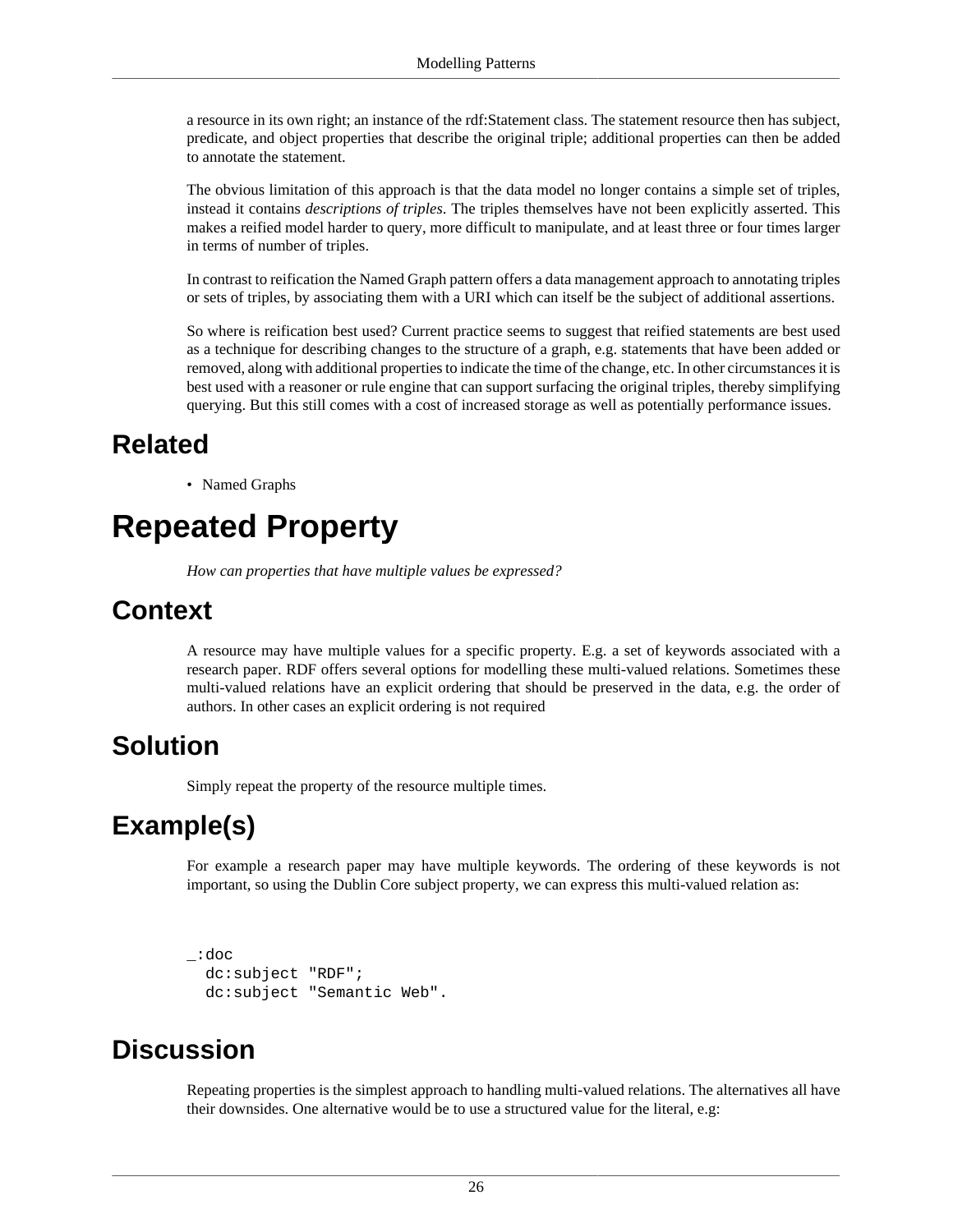a resource in its own right; an instance of the rdf:Statement class. The statement resource then has subject, predicate, and object properties that describe the original triple; additional properties can then be added to annotate the statement.

The obvious limitation of this approach is that the data model no longer contains a simple set of triples, instead it contains *descriptions of triples*. The triples themselves have not been explicitly asserted. This makes a reified model harder to query, more difficult to manipulate, and at least three or four times larger in terms of number of triples.

In contrast to reification the [Named Graph](#page-56-0) pattern offers a data management approach to annotating triples or sets of triples, by associating them with a URI which can itself be the subject of additional assertions.

So where is reification best used? Current practice seems to suggest that reified statements are best used as a technique for describing changes to the structure of a graph, e.g. statements that have been added or removed, along with additional properties to indicate the time of the change, etc. In other circumstances it is best used with a reasoner or rule engine that can support surfacing the original triples, thereby simplifying querying. But this still comes with a cost of increased storage as well as potentially performance issues.

#### **Related**

• [Named Graphs](#page-56-0)

## <span id="page-29-0"></span>**Repeated Property**

*How can properties that have multiple values be expressed?*

#### **Context**

A resource may have multiple values for a specific property. E.g. a set of keywords associated with a research paper. RDF offers several options for modelling these multi-valued relations. Sometimes these multi-valued relations have an explicit ordering that should be preserved in the data, e.g. the order of authors. In other cases an explicit ordering is not required

#### **Solution**

Simply repeat the property of the resource multiple times.

### **Example(s)**

For example a research paper may have multiple keywords. The ordering of these keywords is not important, so using the Dublin Core subject property, we can express this multi-valued relation as:

```
_:doc 
   dc:subject "RDF"; 
   dc:subject "Semantic Web".
```
#### **Discussion**

Repeating properties is the simplest approach to handling multi-valued relations. The alternatives all have their downsides. One alternative would be to use a structured value for the literal, e.g: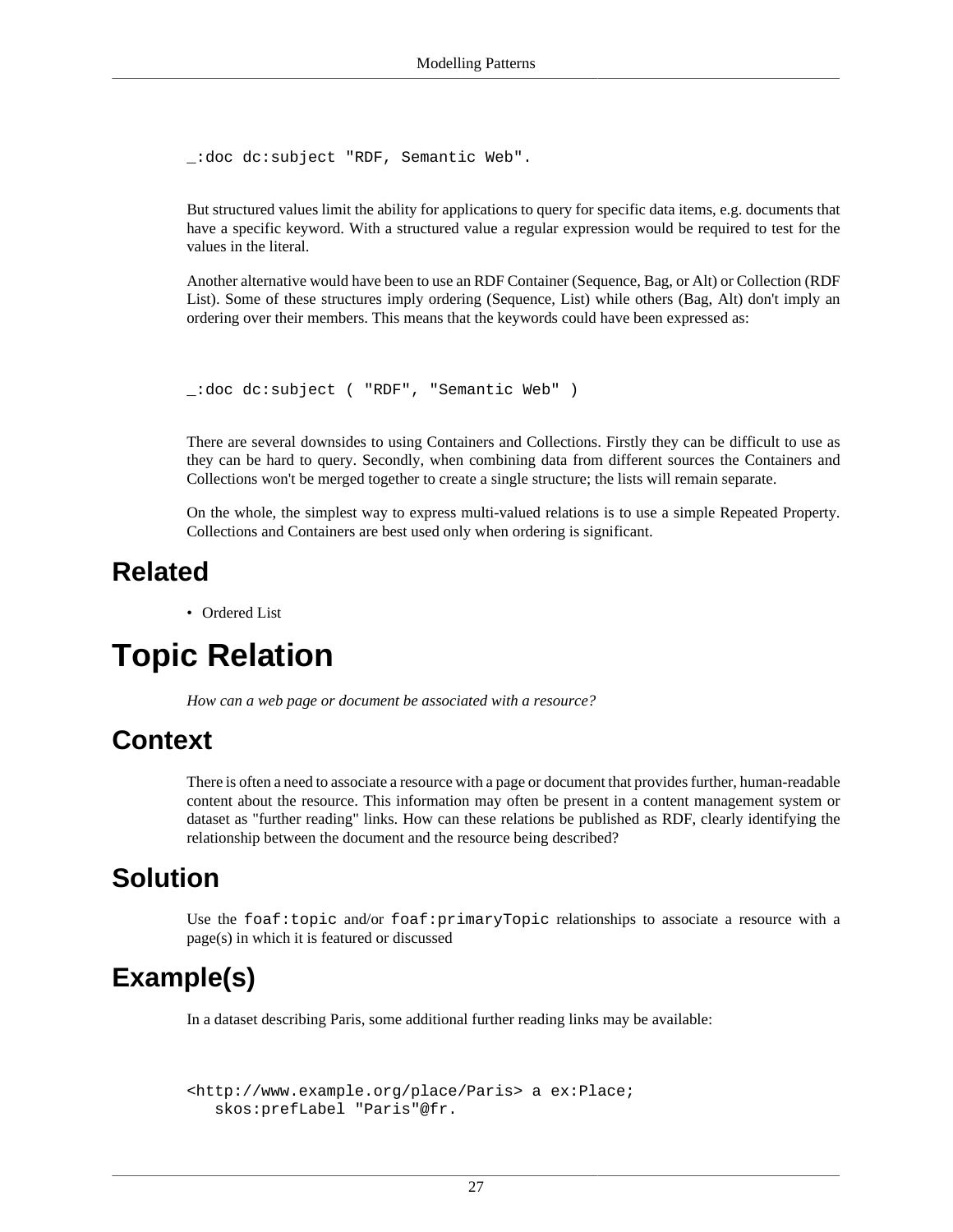```
_:doc dc:subject "RDF, Semantic Web".
```
But structured values limit the ability for applications to query for specific data items, e.g. documents that have a specific keyword. With a structured value a regular expression would be required to test for the values in the literal.

Another alternative would have been to use an RDF Container (Sequence, Bag, or Alt) or Collection (RDF List). Some of these structures imply ordering (Sequence, List) while others (Bag, Alt) don't imply an ordering over their members. This means that the keywords could have been expressed as:

```
_:doc dc:subject ( "RDF", "Semantic Web" )
```
There are several downsides to using Containers and Collections. Firstly they can be difficult to use as they can be hard to query. Secondly, when combining data from different sources the Containers and Collections won't be merged together to create a single structure; the lists will remain separate.

On the whole, the simplest way to express multi-valued relations is to use a simple Repeated Property. Collections and Containers are best used only when ordering is significant.

#### **Related**

• [Ordered List](#page-23-0)

## <span id="page-30-0"></span>**Topic Relation**

*How can a web page or document be associated with a resource?*

#### **Context**

There is often a need to associate a resource with a page or document that provides further, human-readable content about the resource. This information may often be present in a content management system or dataset as "further reading" links. How can these relations be published as RDF, clearly identifying the relationship between the document and the resource being described?

#### **Solution**

Use the foaf: topic and/or foaf: primaryTopic relationships to associate a resource with a page(s) in which it is featured or discussed

#### **Example(s)**

In a dataset describing Paris, some additional further reading links may be available:

```
<http://www.example.org/place/Paris> a ex:Place;
   skos:prefLabel "Paris"@fr.
```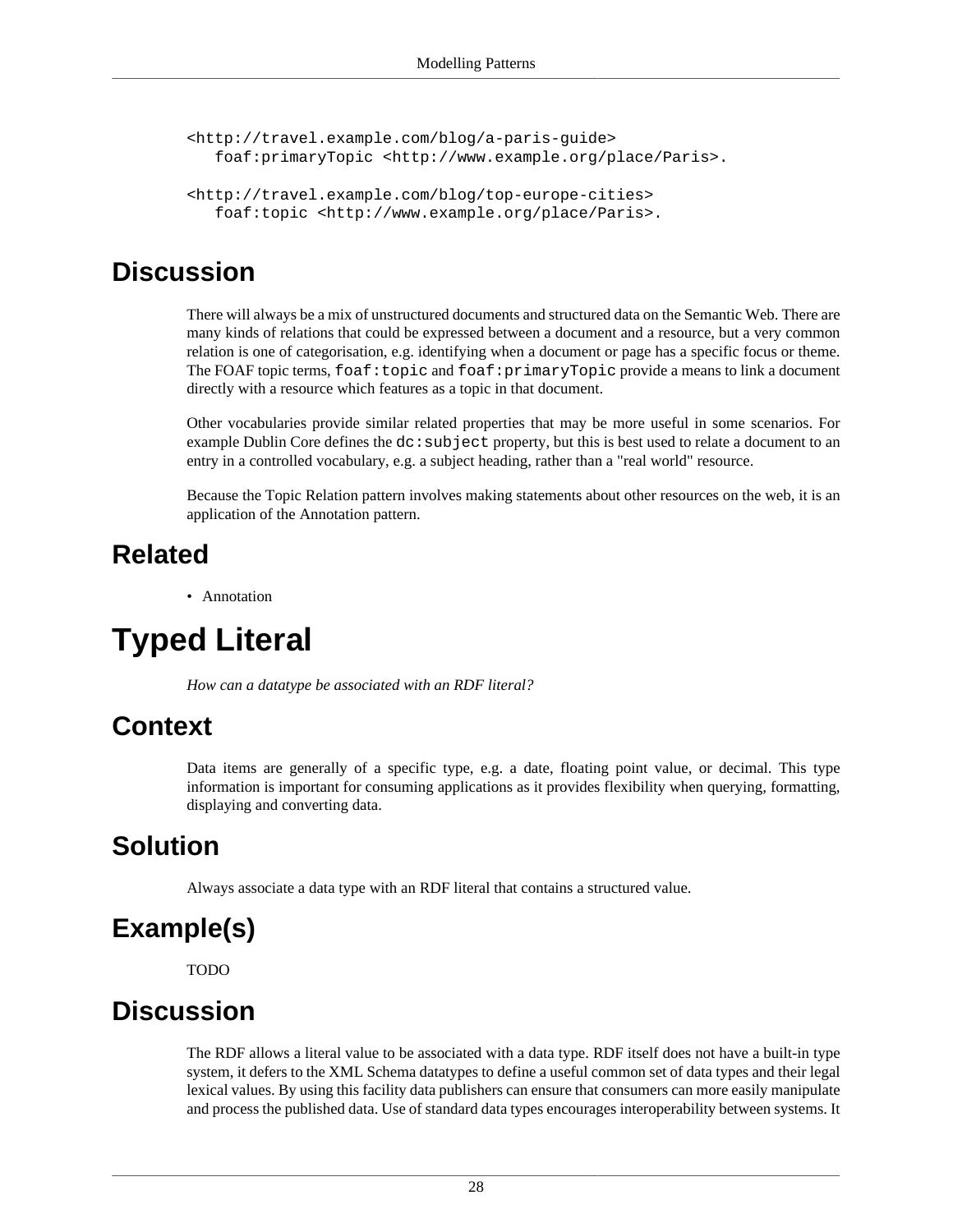```
<http://travel.example.com/blog/a-paris-guide>
    foaf:primaryTopic <http://www.example.org/place/Paris>.
<http://travel.example.com/blog/top-europe-cities>
    foaf:topic <http://www.example.org/place/Paris>.
```
There will always be a mix of unstructured documents and structured data on the Semantic Web. There are many kinds of relations that could be expressed between a document and a resource, but a very common relation is one of categorisation, e.g. identifying when a document or page has a specific focus or theme. The FOAF topic terms, foaf:topic and foaf:primaryTopic provide a means to link a document directly with a resource which features as a topic in that document.

Other vocabularies provide similar related properties that may be more useful in some scenarios. For example Dublin Core defines the  $dc:subject$  property, but this is best used to relate a document to an entry in a controlled vocabulary, e.g. a subject heading, rather than a "real world" resource.

Because the Topic Relation pattern involves making statements about other resources on the web, it is an application of the [Annotation](#page-33-1) pattern.

#### **Related**

• [Annotation](#page-33-1)

## <span id="page-31-0"></span>**Typed Literal**

*How can a datatype be associated with an RDF literal?*

### **Context**

Data items are generally of a specific type, e.g. a date, floating point value, or decimal. This type information is important for consuming applications as it provides flexibility when querying, formatting, displaying and converting data.

### **Solution**

Always associate a data type with an RDF literal that contains a structured value.

### **Example(s)**

TODO

### **Discussion**

The RDF allows a literal value to be associated with a data type. RDF itself does not have a built-in type system, it defers to the XML Schema datatypes to define a useful common set of data types and their legal lexical values. By using this facility data publishers can ensure that consumers can more easily manipulate and process the published data. Use of standard data types encourages interoperability between systems. It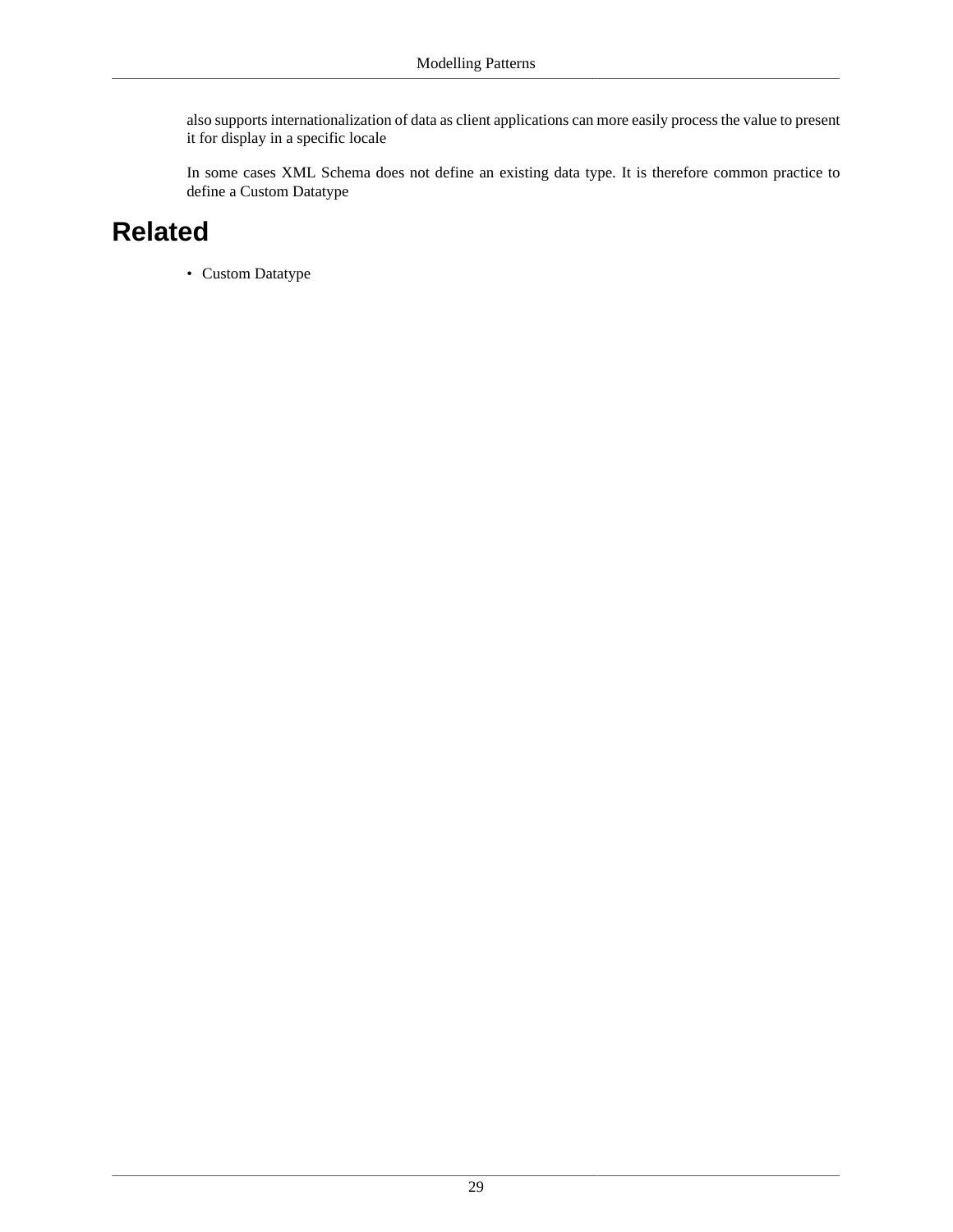also supports internationalization of data as client applications can more easily process the value to present it for display in a specific locale

In some cases XML Schema does not define an existing data type. It is therefore common practice to define a [Custom Datatype](#page-16-0)

### **Related**

• [Custom Datatype](#page-16-0)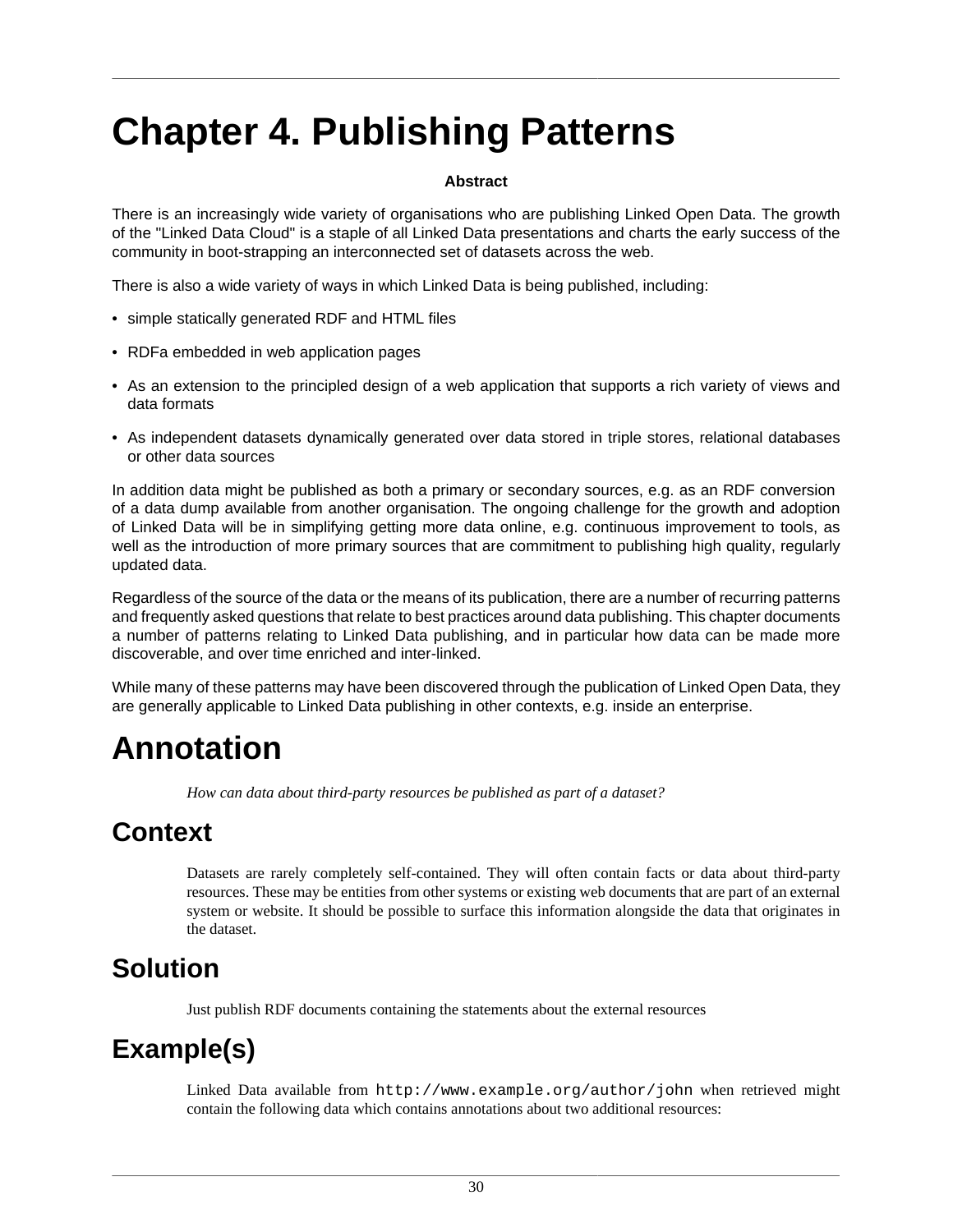# <span id="page-33-0"></span>**Chapter 4. Publishing Patterns**

#### **Abstract**

There is an increasingly wide variety of organisations who are publishing Linked Open Data. The growth of the "Linked Data Cloud" is a staple of all Linked Data presentations and charts the early success of the community in boot-strapping an interconnected set of datasets across the web.

There is also a wide variety of ways in which Linked Data is being published, including:

- simple statically generated RDF and HTML files
- RDFa embedded in web application pages
- As an extension to the principled design of a web application that supports a rich variety of views and data formats
- As independent datasets dynamically generated over data stored in triple stores, relational databases or other data sources

In addition data might be published as both a primary or secondary sources, e.g. as an RDF conversion of a data dump available from another organisation. The ongoing challenge for the growth and adoption of Linked Data will be in simplifying getting more data online, e.g. continuous improvement to tools, as well as the introduction of more primary sources that are commitment to publishing high quality, regularly updated data.

Regardless of the source of the data or the means of its publication, there are a number of recurring patterns and frequently asked questions that relate to best practices around data publishing. This chapter documents a number of patterns relating to Linked Data publishing, and in particular how data can be made more discoverable, and over time enriched and inter-linked.

While many of these patterns may have been discovered through the publication of Linked Open Data, they are generally applicable to Linked Data publishing in other contexts, e.g. inside an enterprise.

## <span id="page-33-1"></span>**Annotation**

*How can data about third-party resources be published as part of a dataset?*

#### **Context**

Datasets are rarely completely self-contained. They will often contain facts or data about third-party resources. These may be entities from other systems or existing web documents that are part of an external system or website. It should be possible to surface this information alongside the data that originates in the dataset.

### **Solution**

Just publish RDF documents containing the statements about the external resources

### **Example(s)**

Linked Data available from http://www.example.org/author/john when retrieved might contain the following data which contains annotations about two additional resources: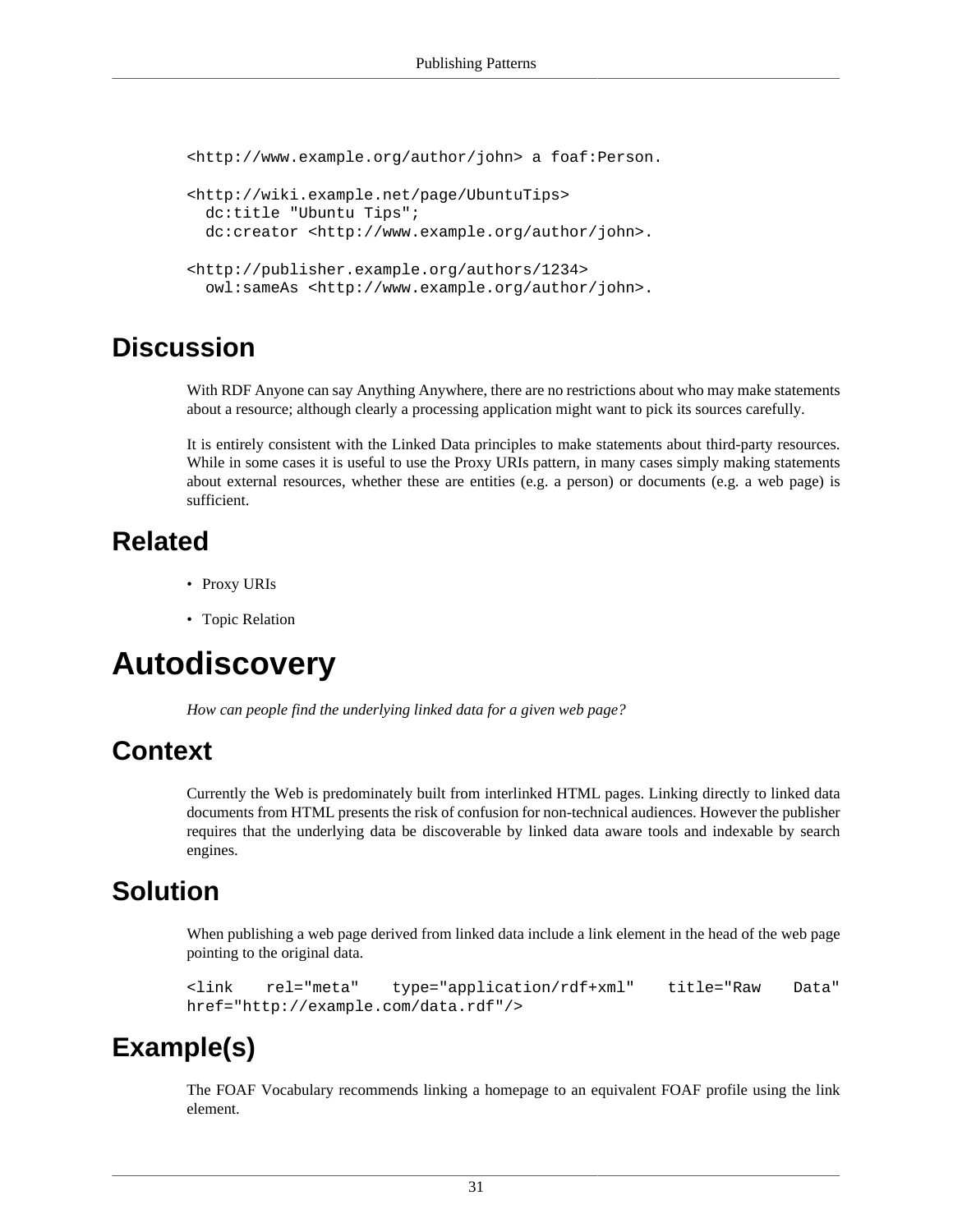```
<http://www.example.org/author/john> a foaf:Person.
<http://wiki.example.net/page/UbuntuTips>
  dc:title "Ubuntu Tips";
  dc:creator <http://www.example.org/author/john>.
<http://publisher.example.org/authors/1234>
   owl:sameAs <http://www.example.org/author/john>.
```
With RDF Anyone can say Anything Anywhere, there are no restrictions about who may make statements about a resource; although clearly a processing application might want to pick its sources carefully.

It is entirely consistent with the Linked Data principles to make statements about third-party resources. While in some cases it is useful to use the [Proxy URIs](#page-10-0) pattern, in many cases simply making statements about external resources, whether these are entities (e.g. a person) or documents (e.g. a web page) is sufficient.

#### **Related**

- [Proxy URIs](#page-10-0)
- [Topic Relation](#page-30-0)

## <span id="page-34-0"></span>**Autodiscovery**

*How can people find the underlying linked data for a given web page?*

#### **Context**

Currently the Web is predominately built from interlinked HTML pages. Linking directly to linked data documents from HTML presents the risk of confusion for non-technical audiences. However the publisher requires that the underlying data be discoverable by linked data aware tools and indexable by search engines.

#### **Solution**

When publishing a web page derived from linked data include a link element in the head of the web page pointing to the original data.

```
<link rel="meta" type="application/rdf+xml" title="Raw Data"
href="http://example.com/data.rdf"/>
```
### **Example(s)**

The FOAF Vocabulary recommends linking a homepage to an equivalent FOAF profile using the link element.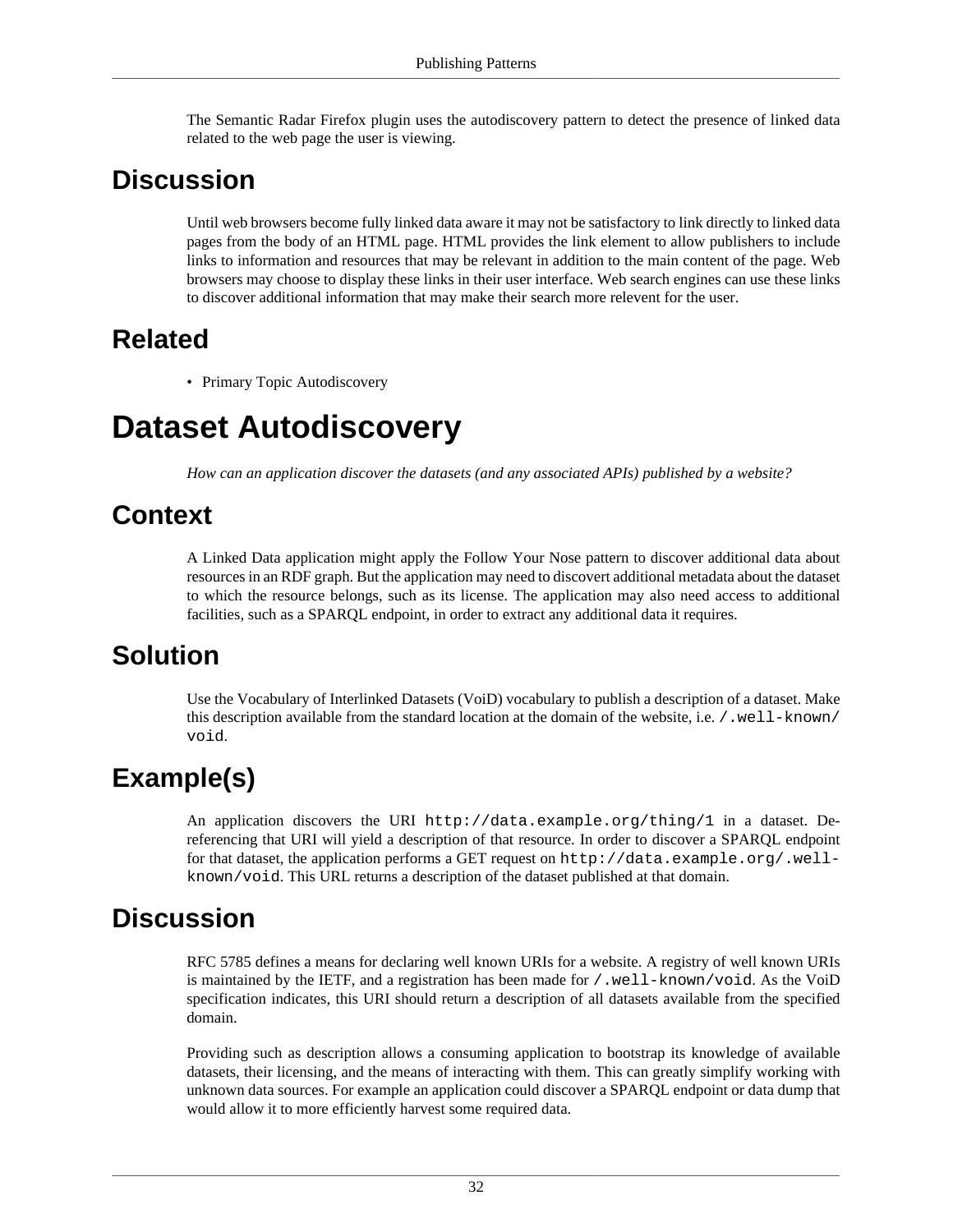The Semantic Radar Firefox plugin uses the autodiscovery pattern to detect the presence of linked data related to the web page the user is viewing.

#### **Discussion**

Until web browsers become fully linked data aware it may not be satisfactory to link directly to linked data pages from the body of an HTML page. HTML provides the link element to allow publishers to include links to information and resources that may be relevant in addition to the main content of the page. Web browsers may choose to display these links in their user interface. Web search engines can use these links to discover additional information that may make their search more relevent for the user.

#### **Related**

• [Primary Topic Autodiscovery](#page-42-0)

## <span id="page-35-0"></span>**Dataset Autodiscovery**

*How can an application discover the datasets (and any associated APIs) published by a website?*

### **Context**

A Linked Data application might apply the [Follow Your Nose](#page-64-0) pattern to discover additional data about resources in an RDF graph. But the application may need to discovert additional metadata about the dataset to which the resource belongs, such as its license. The application may also need access to additional facilities, such as a SPARQL endpoint, in order to extract any additional data it requires.

### **Solution**

Use the Vocabulary of Interlinked Datasets (VoiD) vocabulary to publish a description of a dataset. Make this description available from the standard location at the domain of the website, i.e. /.well-known/ void.

## **Example(s)**

An application discovers the URI http://data.example.org/thing/1 in a dataset. Dereferencing that URI will yield a description of that resource. In order to discover a SPARQL endpoint for that dataset, the application performs a GET request on  $http://data.example.org/well$ known/void. This URL returns a description of the dataset published at that domain.

#### **Discussion**

RFC 5785 defines a means for declaring well known URIs for a website. A registry of well known URIs is maintained by the IETF, and a registration has been made for /.well-known/void. As the VoiD specification indicates, this URI should return a description of all datasets available from the specified domain.

Providing such as description allows a consuming application to bootstrap its knowledge of available datasets, their licensing, and the means of interacting with them. This can greatly simplify working with unknown data sources. For example an application could discover a SPARQL endpoint or data dump that would allow it to more efficiently harvest some required data.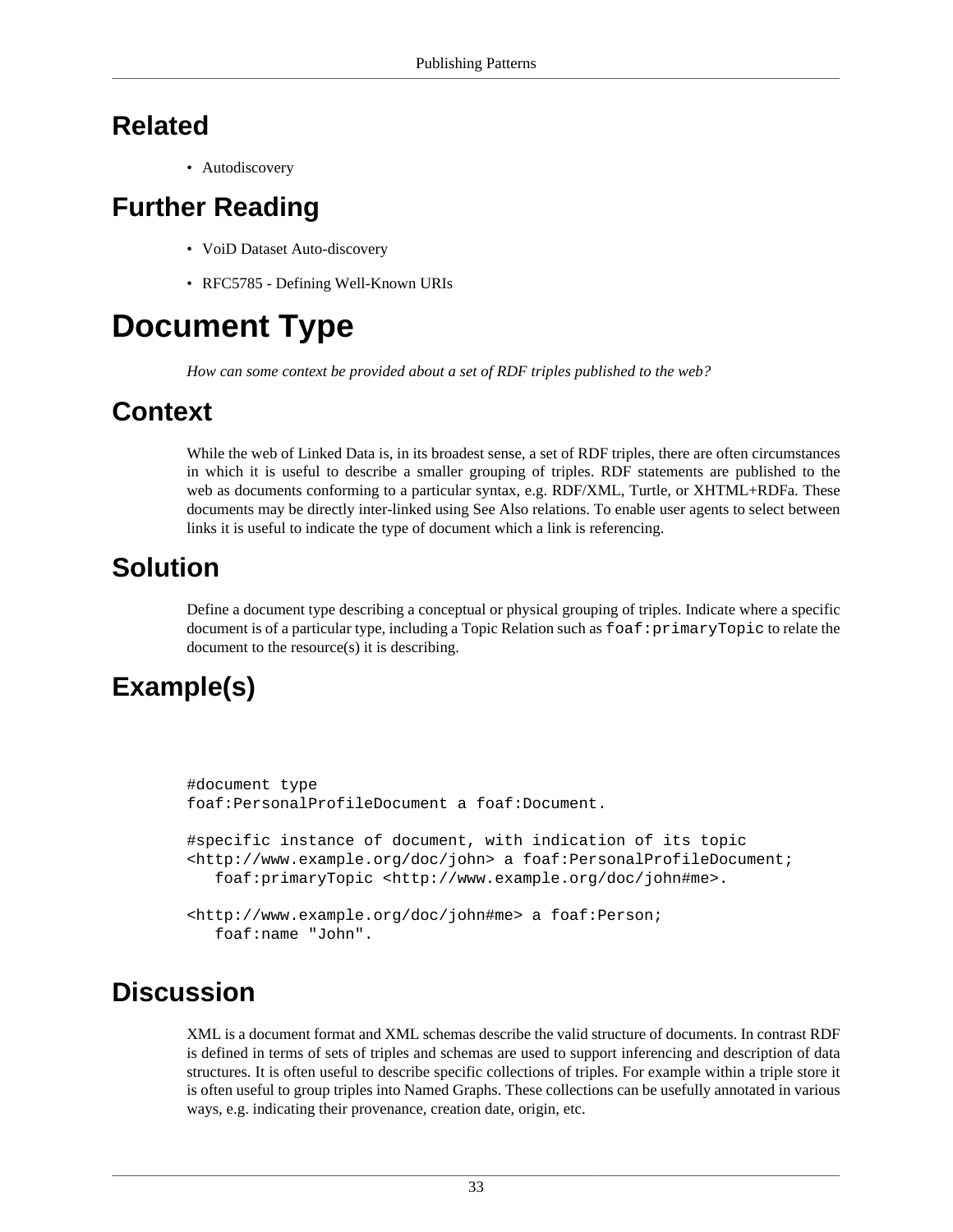## **Related**

• [Autodiscovery](#page-34-0)

# **Further Reading**

- VoiD Dataset Auto-discovery
- RFC5785 Defining Well-Known URIs

# **Document Type**

*How can some context be provided about a set of RDF triples published to the web?*

# **Context**

While the web of Linked Data is, in its broadest sense, a set of RDF triples, there are often circumstances in which it is useful to describe a smaller grouping of triples. RDF statements are published to the web as documents conforming to a particular syntax, e.g. RDF/XML, Turtle, or XHTML+RDFa. These documents may be directly inter-linked using [See Also](#page-44-0) relations. To enable user agents to select between links it is useful to indicate the type of document which a link is referencing.

# **Solution**

Define a document type describing a conceptual or physical grouping of triples. Indicate where a specific document is of a particular type, including a [Topic Relation](#page-30-0) such as  $f$ oaf: primaryTopic to relate the document to the resource(s) it is describing.

# **Example(s)**

```
#document type
foaf:PersonalProfileDocument a foaf:Document.
#specific instance of document, with indication of its topic
<http://www.example.org/doc/john> a foaf:PersonalProfileDocument;
    foaf:primaryTopic <http://www.example.org/doc/john#me>.
<http://www.example.org/doc/john#me> a foaf:Person;
   foaf:name "John".
```
# **Discussion**

XML is a document format and XML schemas describe the valid structure of documents. In contrast RDF is defined in terms of sets of triples and schemas are used to support inferencing and description of data structures. It is often useful to describe specific collections of triples. For example within a triple store it is often useful to group triples into [Named Graphs.](#page-56-0) These collections can be usefully annotated in various ways, e.g. indicating their provenance, creation date, origin, etc.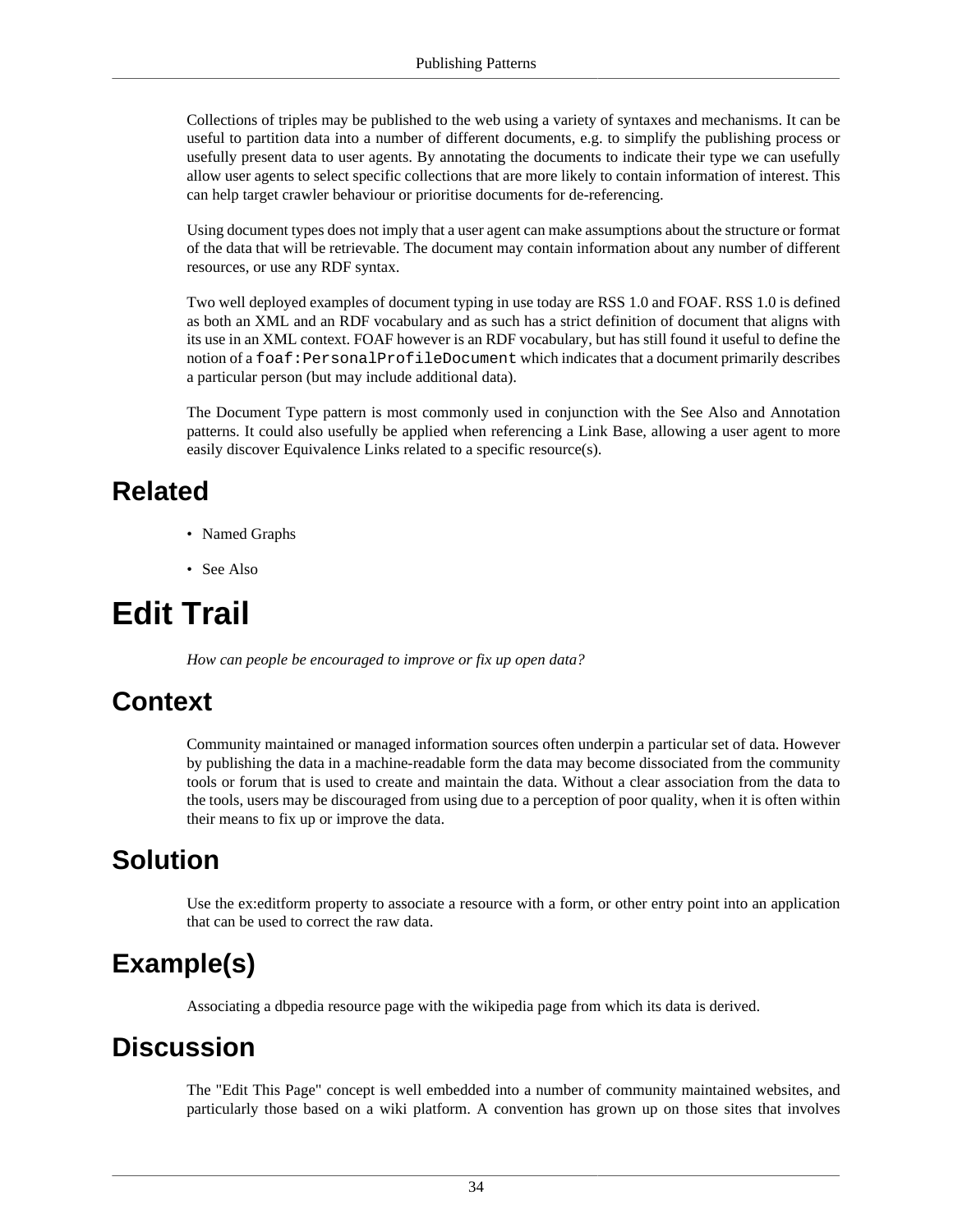Collections of triples may be published to the web using a variety of syntaxes and mechanisms. It can be useful to partition data into a number of different documents, e.g. to simplify the publishing process or usefully present data to user agents. By annotating the documents to indicate their type we can usefully allow user agents to select specific collections that are more likely to contain information of interest. This can help target crawler behaviour or prioritise documents for de-referencing.

Using document types does not imply that a user agent can make assumptions about the structure or format of the data that will be retrievable. The document may contain information about any number of different resources, or use any RDF syntax.

Two well deployed examples of document typing in use today are RSS 1.0 and FOAF. RSS 1.0 is defined as both an XML and an RDF vocabulary and as such has a strict definition of document that aligns with its use in an XML context. FOAF however is an RDF vocabulary, but has still found it useful to define the notion of a foaf:PersonalProfileDocument which indicates that a document primarily describes a particular person (but may include additional data).

The Document Type pattern is most commonly used in conjunction with the [See Also](#page-44-0) and [Annotation](#page-33-0) patterns. It could also usefully be applied when referencing a [Link Base](#page-40-0), allowing a user agent to more easily discover [Equivalence Links](#page-39-0) related to a specific resource(s).

### **Related**

- [Named Graphs](#page-56-0)
- [See Also](#page-44-0)

# **Edit Trail**

*How can people be encouraged to improve or fix up open data?*

# **Context**

Community maintained or managed information sources often underpin a particular set of data. However by publishing the data in a machine-readable form the data may become dissociated from the community tools or forum that is used to create and maintain the data. Without a clear association from the data to the tools, users may be discouraged from using due to a perception of poor quality, when it is often within their means to fix up or improve the data.

#### **Solution**

Use the ex:editform property to associate a resource with a form, or other entry point into an application that can be used to correct the raw data.

# **Example(s)**

Associating a dbpedia resource page with the wikipedia page from which its data is derived.

#### **Discussion**

The "Edit This Page" concept is well embedded into a number of community maintained websites, and particularly those based on a wiki platform. A convention has grown up on those sites that involves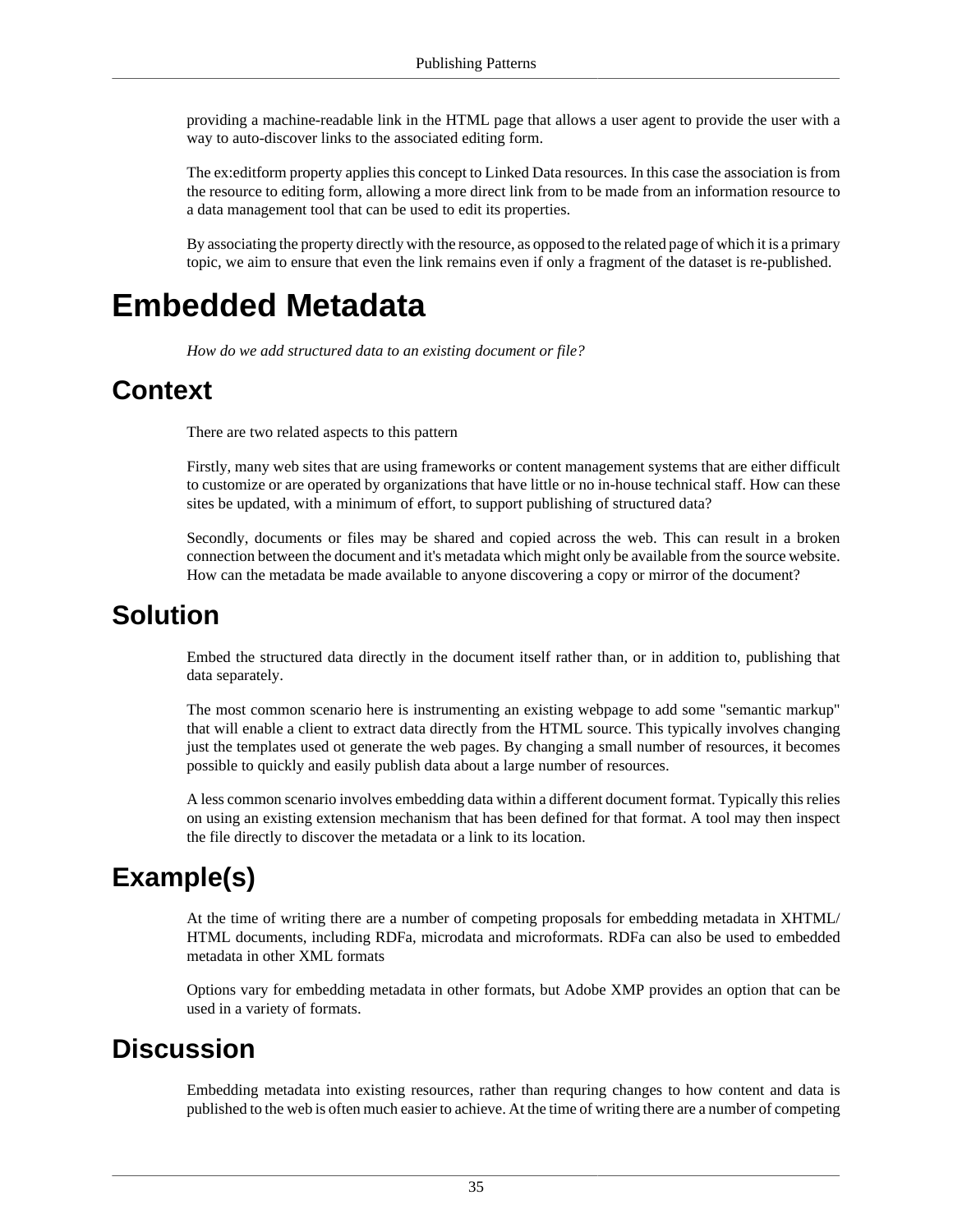providing a machine-readable link in the HTML page that allows a user agent to provide the user with a way to auto-discover links to the associated editing form.

The ex:editform property applies this concept to Linked Data resources. In this case the association is from the resource to editing form, allowing a more direct link from to be made from an information resource to a data management tool that can be used to edit its properties.

By associating the property directly with the resource, as opposed to the related page of which it is a primary topic, we aim to ensure that even the link remains even if only a fragment of the dataset is re-published.

# **Embedded Metadata**

*How do we add structured data to an existing document or file?*

# **Context**

There are two related aspects to this pattern

Firstly, many web sites that are using frameworks or content management systems that are either difficult to customize or are operated by organizations that have little or no in-house technical staff. How can these sites be updated, with a minimum of effort, to support publishing of structured data?

Secondly, documents or files may be shared and copied across the web. This can result in a broken connection between the document and it's metadata which might only be available from the source website. How can the metadata be made available to anyone discovering a copy or mirror of the document?

#### **Solution**

Embed the structured data directly in the document itself rather than, or in addition to, publishing that data separately.

The most common scenario here is instrumenting an existing webpage to add some "semantic markup" that will enable a client to extract data directly from the HTML source. This typically involves changing just the templates used ot generate the web pages. By changing a small number of resources, it becomes possible to quickly and easily publish data about a large number of resources.

A less common scenario involves embedding data within a different document format. Typically this relies on using an existing extension mechanism that has been defined for that format. A tool may then inspect the file directly to discover the metadata or a link to its location.

# **Example(s)**

At the time of writing there are a number of competing proposals for embedding metadata in XHTML/ HTML documents, including RDFa, microdata and microformats. RDFa can also be used to embedded metadata in other XML formats

Options vary for embedding metadata in other formats, but Adobe XMP provides an option that can be used in a variety of formats.

#### **Discussion**

Embedding metadata into existing resources, rather than requring changes to how content and data is published to the web is often much easier to achieve. At the time of writing there are a number of competing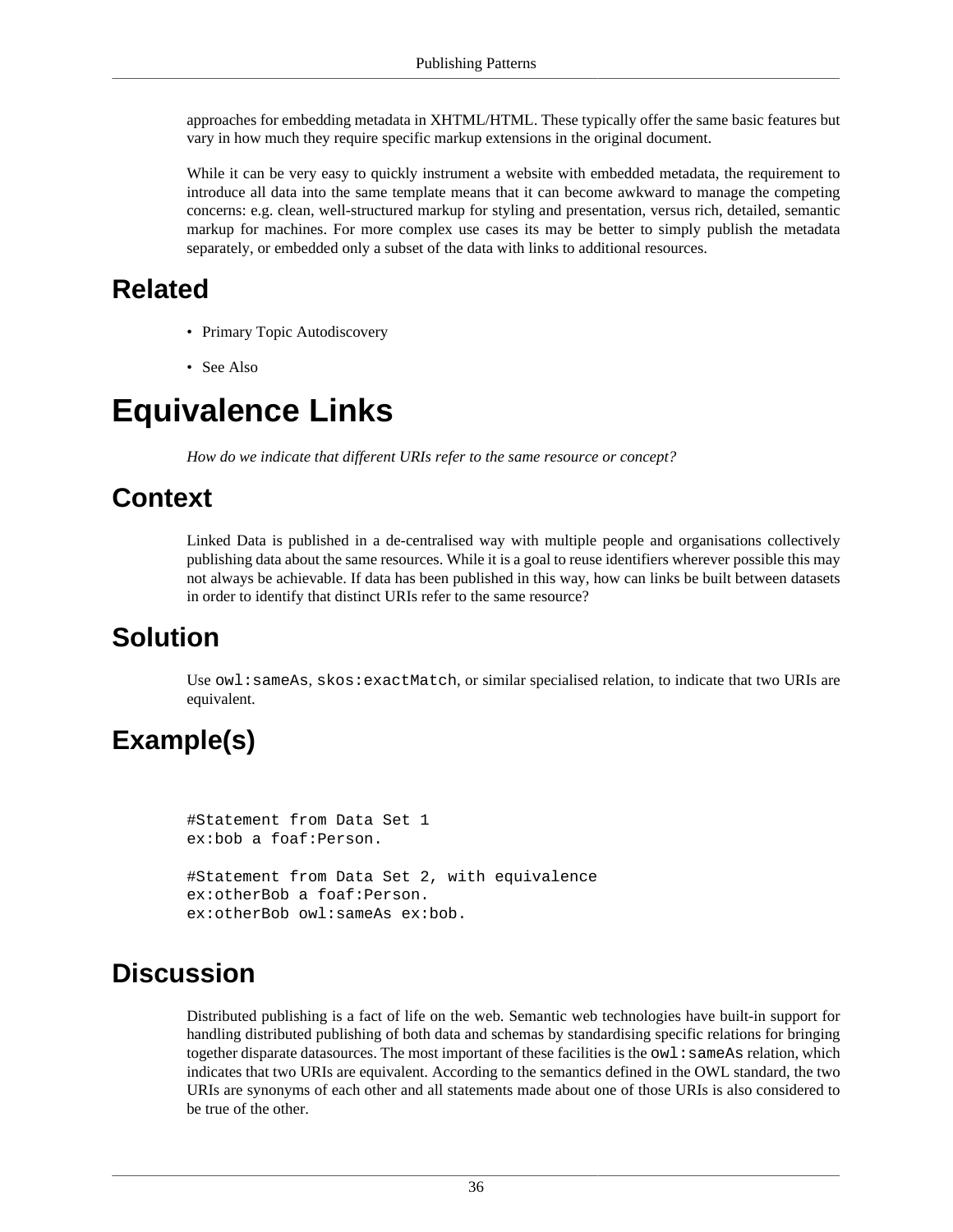approaches for embedding metadata in XHTML/HTML. These typically offer the same basic features but vary in how much they require specific markup extensions in the original document.

While it can be very easy to quickly instrument a website with embedded metadata, the requirement to introduce all data into the same template means that it can become awkward to manage the competing concerns: e.g. clean, well-structured markup for styling and presentation, versus rich, detailed, semantic markup for machines. For more complex use cases its may be better to simply publish the metadata separately, or embedded only a subset of the data with links to additional resources.

#### **Related**

- [Primary Topic Autodiscovery](#page-42-0)
- [See Also](#page-44-0)

# <span id="page-39-0"></span>**Equivalence Links**

*How do we indicate that different URIs refer to the same resource or concept?*

#### **Context**

Linked Data is published in a de-centralised way with multiple people and organisations collectively publishing data about the same resources. While it is a goal to reuse identifiers wherever possible this may not always be achievable. If data has been published in this way, how can links be built between datasets in order to identify that distinct URIs refer to the same resource?

# **Solution**

Use owl: sameAs, skos: exactMatch, or similar specialised relation, to indicate that two URIs are equivalent.

# **Example(s)**

```
#Statement from Data Set 1
ex:bob a foaf:Person.
#Statement from Data Set 2, with equivalence
ex:otherBob a foaf:Person.
ex:otherBob owl:sameAs ex:bob.
```
#### **Discussion**

Distributed publishing is a fact of life on the web. Semantic web technologies have built-in support for handling distributed publishing of both data and schemas by standardising specific relations for bringing together disparate datasources. The most important of these facilities is the  $ow1:sameAs$  relation, which indicates that two URIs are equivalent. According to the semantics defined in the OWL standard, the two URIs are synonyms of each other and all statements made about one of those URIs is also considered to be true of the other.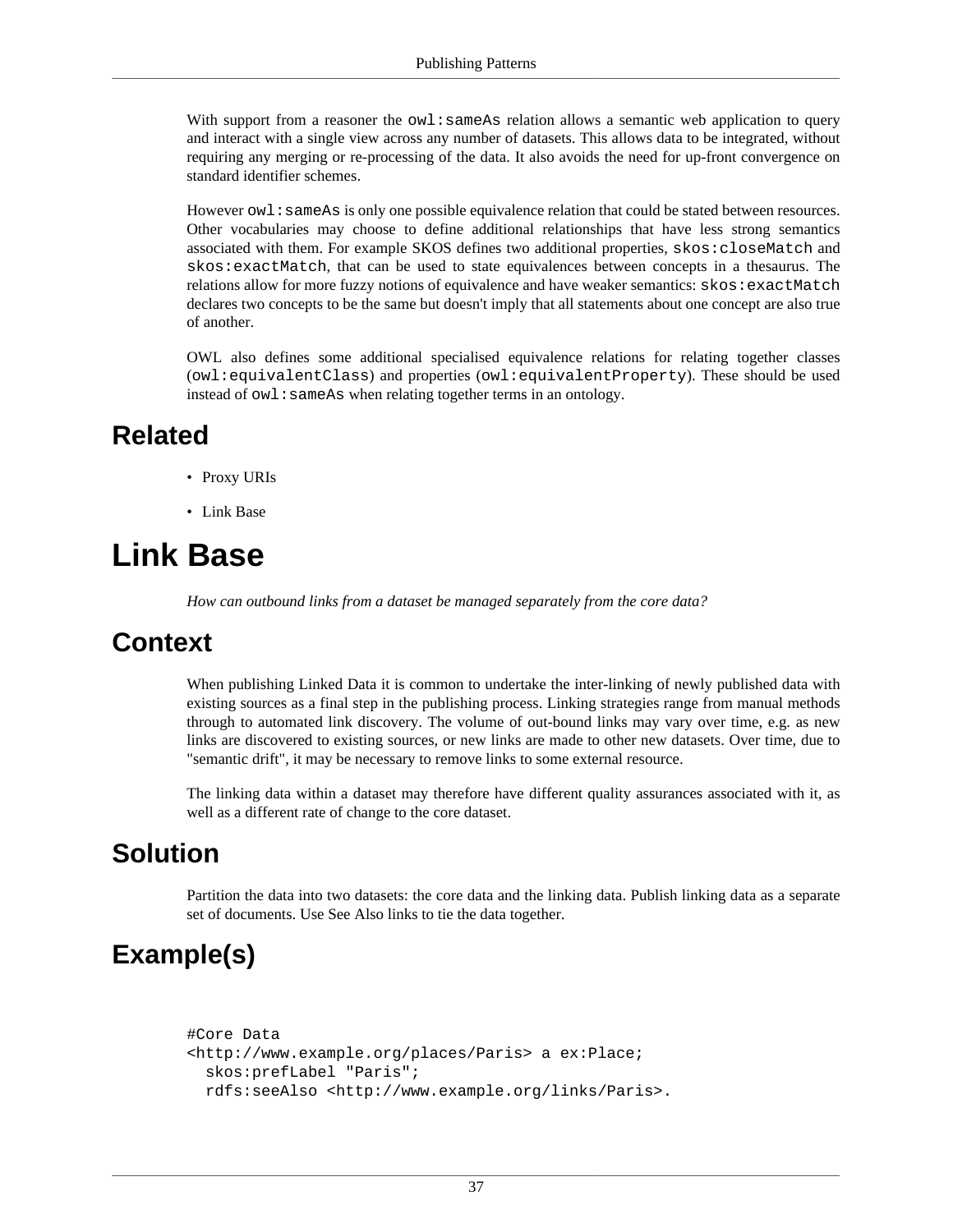With support from a reasoner the  $ov1$ : sameAs relation allows a semantic web application to query and interact with a single view across any number of datasets. This allows data to be integrated, without requiring any merging or re-processing of the data. It also avoids the need for up-front convergence on standard identifier schemes.

However  $\text{owl}:$  sameAs is only one possible equivalence relation that could be stated between resources. Other vocabularies may choose to define additional relationships that have less strong semantics associated with them. For example SKOS defines two additional properties, skos:closeMatch and skos:exactMatch, that can be used to state equivalences between concepts in a thesaurus. The relations allow for more fuzzy notions of equivalence and have weaker semantics: skos: exactMatch declares two concepts to be the same but doesn't imply that all statements about one concept are also true of another.

OWL also defines some additional specialised equivalence relations for relating together classes (owl:equivalentClass) and properties (owl:equivalentProperty). These should be used instead of  $ow1:$  same As when relating together terms in an ontology.

#### **Related**

- [Proxy URIs](#page-10-0)
- [Link Base](#page-40-0)

# <span id="page-40-0"></span>**Link Base**

*How can outbound links from a dataset be managed separately from the core data?*

#### **Context**

When publishing Linked Data it is common to undertake the inter-linking of newly published data with existing sources as a final step in the publishing process. Linking strategies range from manual methods through to automated link discovery. The volume of out-bound links may vary over time, e.g. as new links are discovered to existing sources, or new links are made to other new datasets. Over time, due to "semantic drift", it may be necessary to remove links to some external resource.

The linking data within a dataset may therefore have different quality assurances associated with it, as well as a different rate of change to the core dataset.

#### **Solution**

Partition the data into two datasets: the core data and the linking data. Publish linking data as a separate set of documents. Use [See Also](#page-44-0) links to tie the data together.

# **Example(s)**

```
#Core Data
<http://www.example.org/places/Paris> a ex:Place;
   skos:prefLabel "Paris";
  rdfs:seeAlso <http://www.example.org/links/Paris>.
```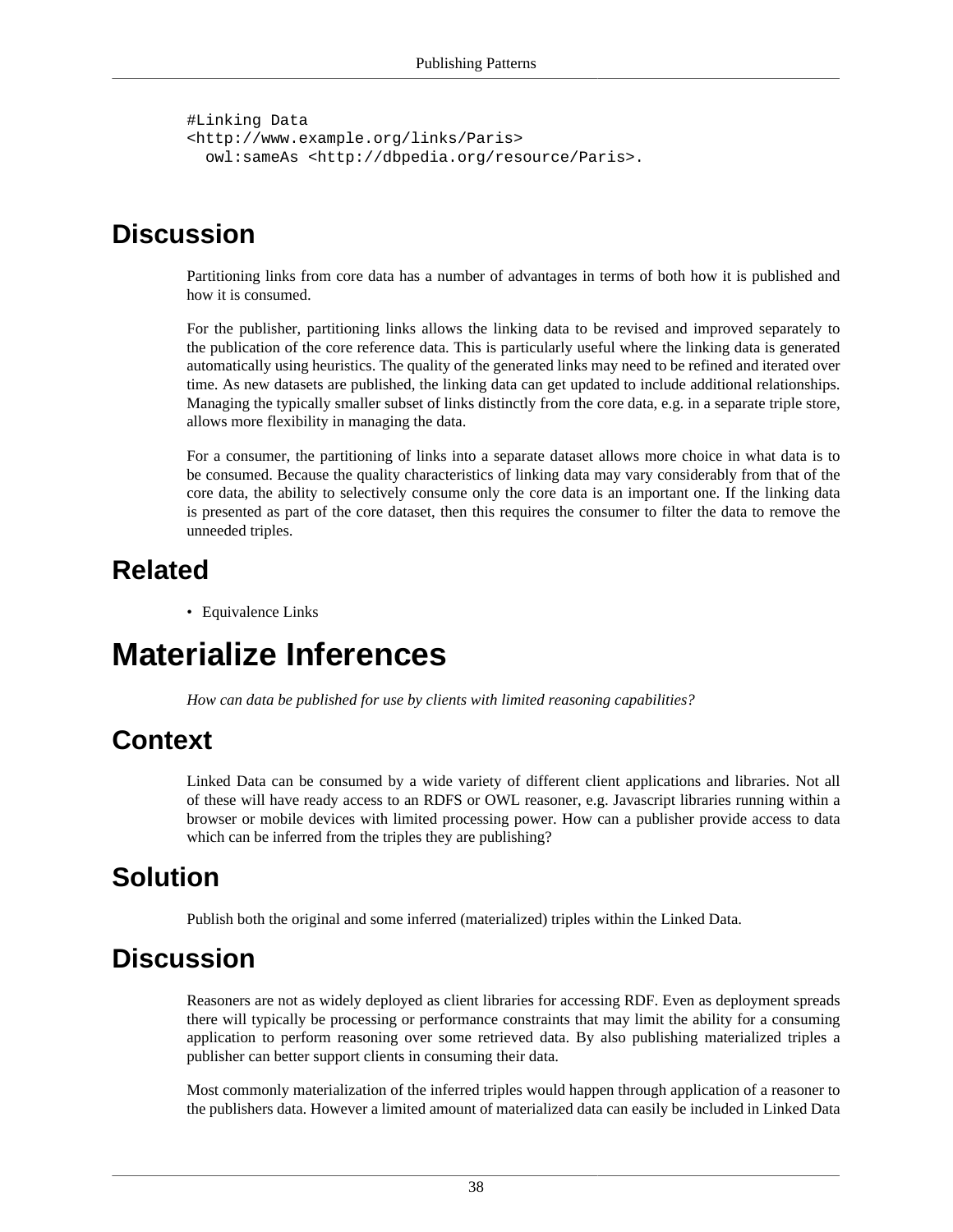```
#Linking Data
<http://www.example.org/links/Paris>
   owl:sameAs <http://dbpedia.org/resource/Paris>.
```
#### **Discussion**

Partitioning links from core data has a number of advantages in terms of both how it is published and how it is consumed.

For the publisher, partitioning links allows the linking data to be revised and improved separately to the publication of the core reference data. This is particularly useful where the linking data is generated automatically using heuristics. The quality of the generated links may need to be refined and iterated over time. As new datasets are published, the linking data can get updated to include additional relationships. Managing the typically smaller subset of links distinctly from the core data, e.g. in a separate triple store, allows more flexibility in managing the data.

For a consumer, the partitioning of links into a separate dataset allows more choice in what data is to be consumed. Because the quality characteristics of linking data may vary considerably from that of the core data, the ability to selectively consume only the core data is an important one. If the linking data is presented as part of the core dataset, then this requires the consumer to filter the data to remove the unneeded triples.

# **Related**

• [Equivalence Links](#page-39-0)

# **Materialize Inferences**

*How can data be published for use by clients with limited reasoning capabilities?*

# **Context**

Linked Data can be consumed by a wide variety of different client applications and libraries. Not all of these will have ready access to an RDFS or OWL reasoner, e.g. Javascript libraries running within a browser or mobile devices with limited processing power. How can a publisher provide access to data which can be inferred from the triples they are publishing?

# **Solution**

Publish both the original and some inferred (materialized) triples within the Linked Data.

#### **Discussion**

Reasoners are not as widely deployed as client libraries for accessing RDF. Even as deployment spreads there will typically be processing or performance constraints that may limit the ability for a consuming application to perform reasoning over some retrieved data. By also publishing materialized triples a publisher can better support clients in consuming their data.

Most commonly materialization of the inferred triples would happen through application of a reasoner to the publishers data. However a limited amount of materialized data can easily be included in Linked Data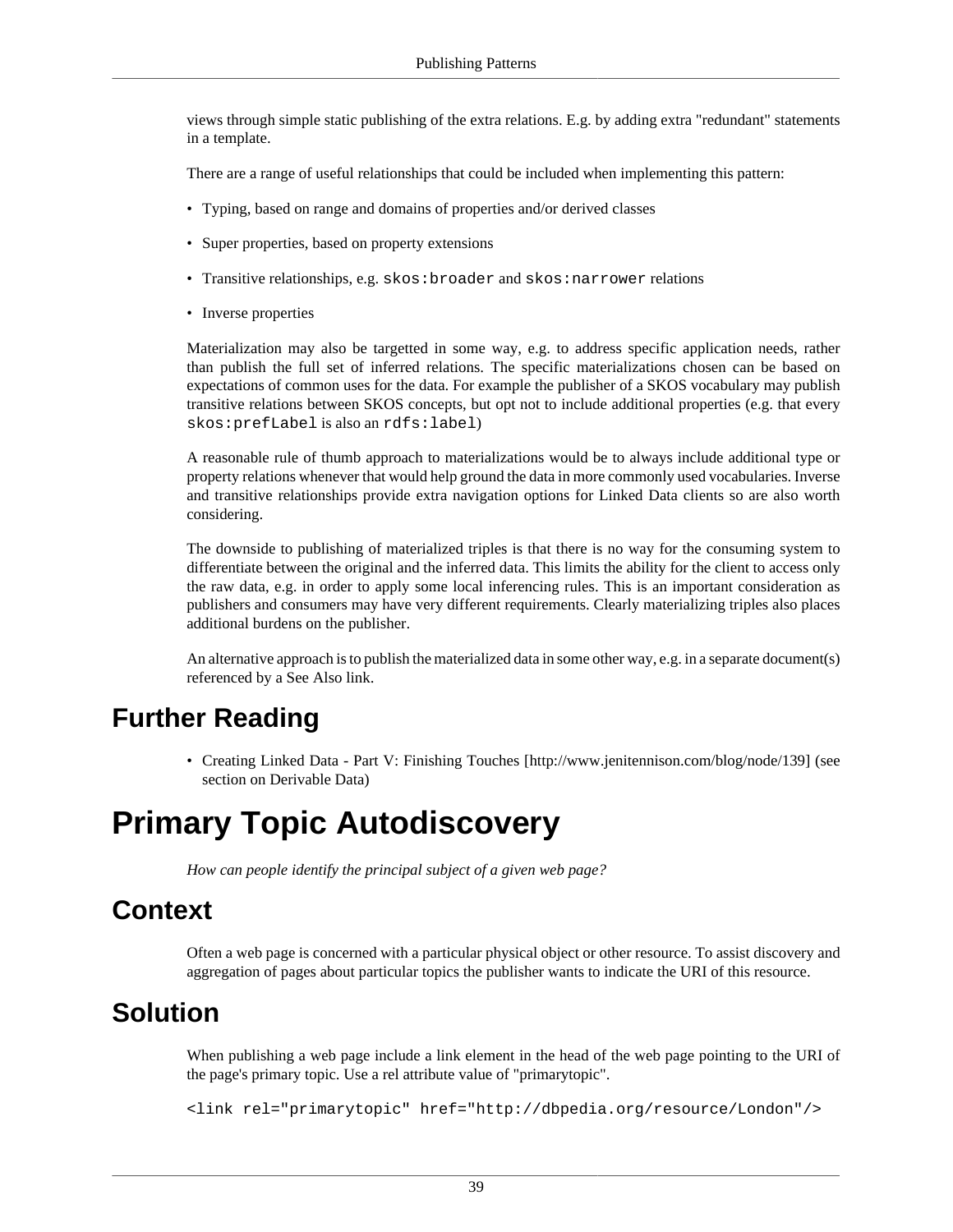views through simple static publishing of the extra relations. E.g. by adding extra "redundant" statements in a template.

There are a range of useful relationships that could be included when implementing this pattern:

- Typing, based on range and domains of properties and/or derived classes
- Super properties, based on property extensions
- Transitive relationships, e.g. skos: broader and skos: narrower relations
- Inverse properties

Materialization may also be targetted in some way, e.g. to address specific application needs, rather than publish the full set of inferred relations. The specific materializations chosen can be based on expectations of common uses for the data. For example the publisher of a SKOS vocabulary may publish transitive relations between SKOS concepts, but opt not to include additional properties (e.g. that every skos:prefLabel is also an rdfs:label)

A reasonable rule of thumb approach to materializations would be to always include additional type or property relations whenever that would help ground the data in more commonly used vocabularies. Inverse and transitive relationships provide extra navigation options for Linked Data clients so are also worth considering.

The downside to publishing of materialized triples is that there is no way for the consuming system to differentiate between the original and the inferred data. This limits the ability for the client to access only the raw data, e.g. in order to apply some local inferencing rules. This is an important consideration as publishers and consumers may have very different requirements. Clearly materializing triples also places additional burdens on the publisher.

An alternative approach is to publish the materialized data in some other way, e.g. in a separate document(s) referenced by a [See Also](#page-44-0) link.

#### **Further Reading**

• [Creating Linked Data - Part V: Finishing Touches \[http://www.jenitennison.com/blog/node/139\]](http://www.jenitennison.com/blog/node/139) (see section on Derivable Data)

# <span id="page-42-0"></span>**Primary Topic Autodiscovery**

*How can people identify the principal subject of a given web page?*

#### **Context**

Often a web page is concerned with a particular physical object or other resource. To assist discovery and aggregation of pages about particular topics the publisher wants to indicate the URI of this resource.

#### **Solution**

When publishing a web page include a link element in the head of the web page pointing to the URI of the page's primary topic. Use a rel attribute value of "primarytopic".

<link rel="primarytopic" href="http://dbpedia.org/resource/London"/>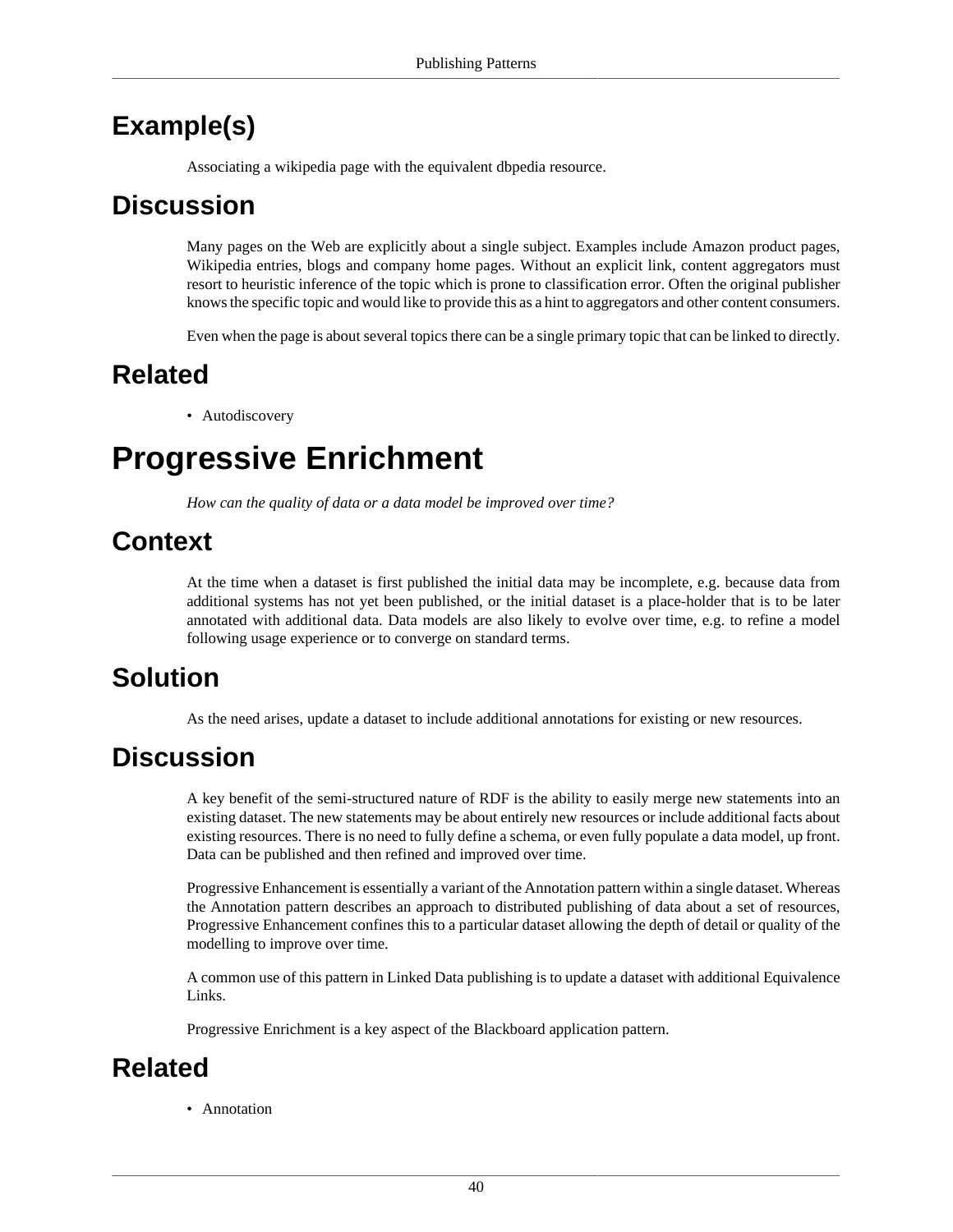# **Example(s)**

Associating a wikipedia page with the equivalent dbpedia resource.

### **Discussion**

Many pages on the Web are explicitly about a single subject. Examples include Amazon product pages, Wikipedia entries, blogs and company home pages. Without an explicit link, content aggregators must resort to heuristic inference of the topic which is prone to classification error. Often the original publisher knows the specific topic and would like to provide this as a hint to aggregators and other content consumers.

Even when the page is about several topics there can be a single primary topic that can be linked to directly.

# **Related**

• [Autodiscovery](#page-34-0)

# <span id="page-43-0"></span>**Progressive Enrichment**

*How can the quality of data or a data model be improved over time?*

### **Context**

At the time when a dataset is first published the initial data may be incomplete, e.g. because data from additional systems has not yet been published, or the initial dataset is a place-holder that is to be later annotated with additional data. Data models are also likely to evolve over time, e.g. to refine a model following usage experience or to converge on standard terms.

# **Solution**

As the need arises, update a dataset to include additional [annotations](#page-33-0) for existing or new resources.

# **Discussion**

A key benefit of the semi-structured nature of RDF is the ability to easily merge new statements into an existing dataset. The new statements may be about entirely new resources or include additional facts about existing resources. There is no need to fully define a schema, or even fully populate a data model, up front. Data can be published and then refined and improved over time.

Progressive Enhancement is essentially a variant of the [Annotation](#page-33-0) pattern within a single dataset. Whereas the Annotation pattern describes an approach to distributed publishing of data about a set of resources, Progressive Enhancement confines this to a particular dataset allowing the depth of detail or quality of the modelling to improve over time.

A common use of this pattern in Linked Data publishing is to update a dataset with additional [Equivalence](#page-39-0) [Links.](#page-39-0)

Progressive Enrichment is a key aspect of the [Blackboard](#page-61-0) application pattern.

# **Related**

• [Annotation](#page-33-0)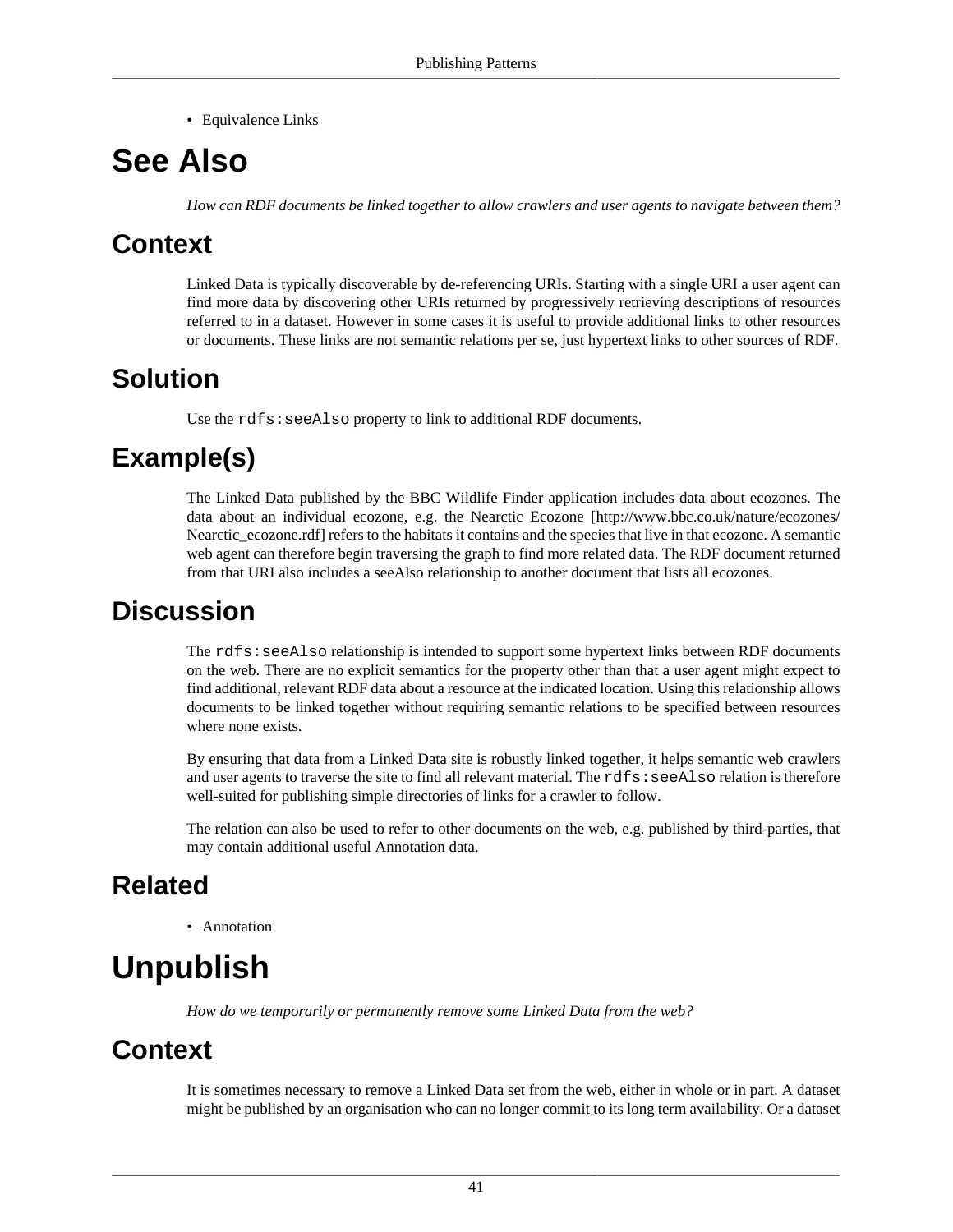• [Equivalence Links](#page-39-0)

# <span id="page-44-0"></span>**See Also**

*How can RDF documents be linked together to allow crawlers and user agents to navigate between them?*

# **Context**

Linked Data is typically discoverable by de-referencing URIs. Starting with a single URI a user agent can find more data by discovering other URIs returned by progressively retrieving descriptions of resources referred to in a dataset. However in some cases it is useful to provide additional links to other resources or documents. These links are not semantic relations per se, just hypertext links to other sources of RDF.

# **Solution**

Use the rdfs: seeAlso property to link to additional RDF documents.

# **Example(s)**

The Linked Data published by the BBC Wildlife Finder application includes data about ecozones. The data about an individual ecozone, e.g. the [Nearctic Ecozone](http://www.bbc.co.uk/nature/ecozones/Nearctic_ecozone.rdf) [\[http://www.bbc.co.uk/nature/ecozones/](http://www.bbc.co.uk/nature/ecozones/Nearctic_ecozone.rdf) [Nearctic\\_ecozone.rdf\]](http://www.bbc.co.uk/nature/ecozones/Nearctic_ecozone.rdf) refers to the habitats it contains and the species that live in that ecozone. A semantic web agent can therefore begin traversing the graph to find more related data. The RDF document returned from that URI also includes a seeAlso relationship to another document that lists all ecozones.

# **Discussion**

The rdfs: seeAlso relationship is intended to support some hypertext links between RDF documents on the web. There are no explicit semantics for the property other than that a user agent might expect to find additional, relevant RDF data about a resource at the indicated location. Using this relationship allows documents to be linked together without requiring semantic relations to be specified between resources where none exists.

By ensuring that data from a Linked Data site is robustly linked together, it helps semantic web crawlers and user agents to traverse the site to find all relevant material. The rdfs: seeAlso relation is therefore well-suited for publishing simple directories of links for a crawler to follow.

The relation can also be used to refer to other documents on the web, e.g. published by third-parties, that may contain additional useful [Annotation](#page-33-0) data.

# **Related**

• [Annotation](#page-33-0)

# **Unpublish**

*How do we temporarily or permanently remove some Linked Data from the web?*

# **Context**

It is sometimes necessary to remove a Linked Data set from the web, either in whole or in part. A dataset might be published by an organisation who can no longer commit to its long term availability. Or a dataset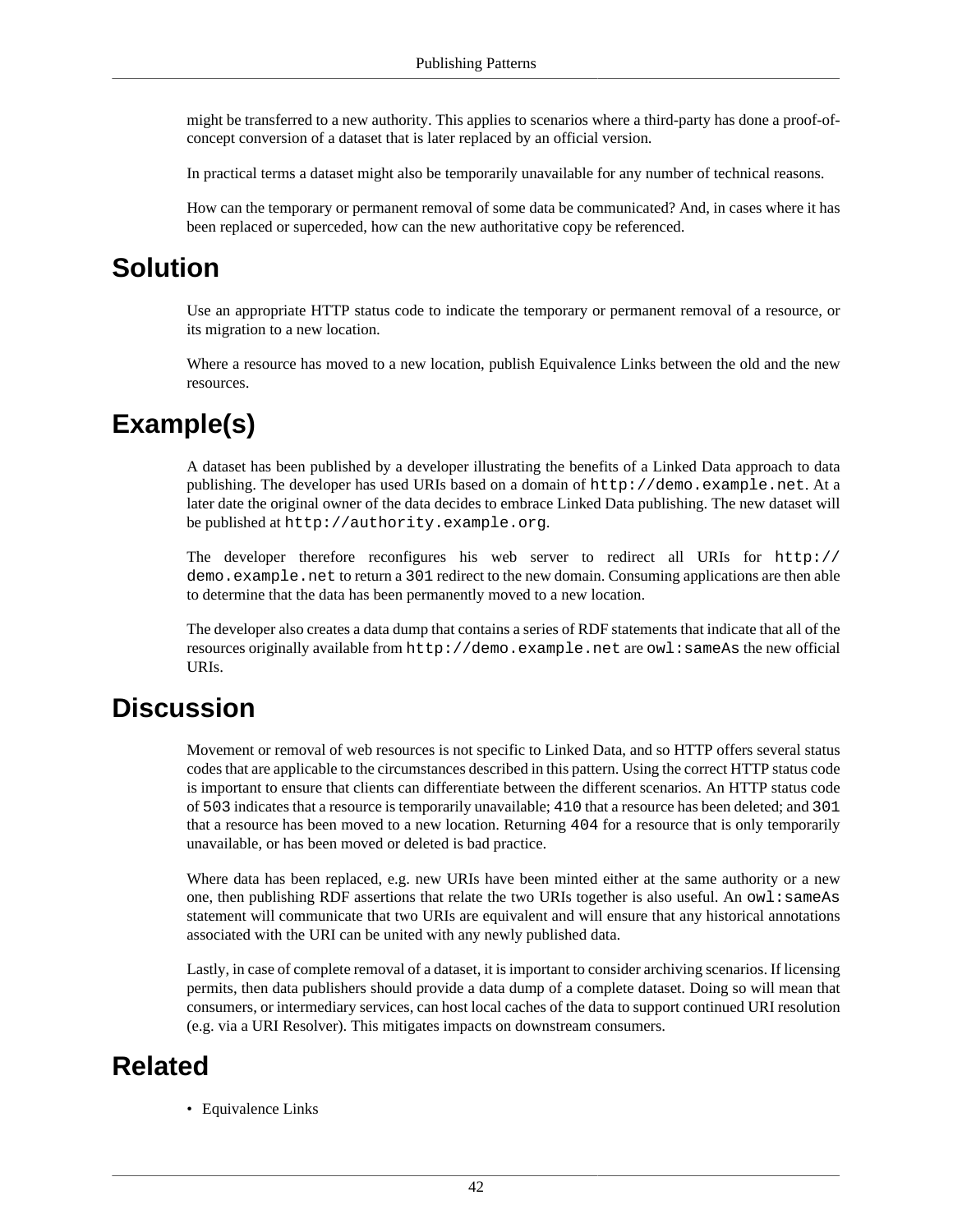might be transferred to a new authority. This applies to scenarios where a third-party has done a proof-ofconcept conversion of a dataset that is later replaced by an official version.

In practical terms a dataset might also be temporarily unavailable for any number of technical reasons.

How can the temporary or permanent removal of some data be communicated? And, in cases where it has been replaced or superceded, how can the new authoritative copy be referenced.

#### **Solution**

Use an appropriate HTTP status code to indicate the temporary or permanent removal of a resource, or its migration to a new location.

Where a resource has moved to a new location, publish [Equivalence Links](#page-39-0) between the old and the new resources.

### **Example(s)**

A dataset has been published by a developer illustrating the benefits of a Linked Data approach to data publishing. The developer has used URIs based on a domain of http://demo.example.net. At a later date the original owner of the data decides to embrace Linked Data publishing. The new dataset will be published at http://authority.example.org.

The developer therefore reconfigures his web server to redirect all URIs for http:// demo.example.net to return a 301 redirect to the new domain. Consuming applications are then able to determine that the data has been permanently moved to a new location.

The developer also creates a data dump that contains a series of RDF statements that indicate that all of the resources originally available from http://demo.example.net are owl:sameAs the new official URIs.

#### **Discussion**

Movement or removal of web resources is not specific to Linked Data, and so HTTP offers several status codes that are applicable to the circumstances described in this pattern. Using the correct HTTP status code is important to ensure that clients can differentiate between the different scenarios. An HTTP status code of 503 indicates that a resource is temporarily unavailable; 410 that a resource has been deleted; and 301 that a resource has been moved to a new location. Returning 404 for a resource that is only temporarily unavailable, or has been moved or deleted is bad practice.

Where data has been replaced, e.g. new URIs have been minted either at the same authority or a new one, then publishing RDF assertions that relate the two URIs together is also useful. An  $ow1:sameAs$ statement will communicate that two URIs are equivalent and will ensure that any historical annotations associated with the URI can be united with any newly published data.

Lastly, in case of complete removal of a dataset, it is important to consider archiving scenarios. If licensing permits, then data publishers should provide a data dump of a complete dataset. Doing so will mean that consumers, or intermediary services, can host local caches of the data to support continued URI resolution (e.g. via a URI Resolver). This mitigates impacts on downstream consumers.

#### **Related**

• [Equivalence Links](#page-39-0)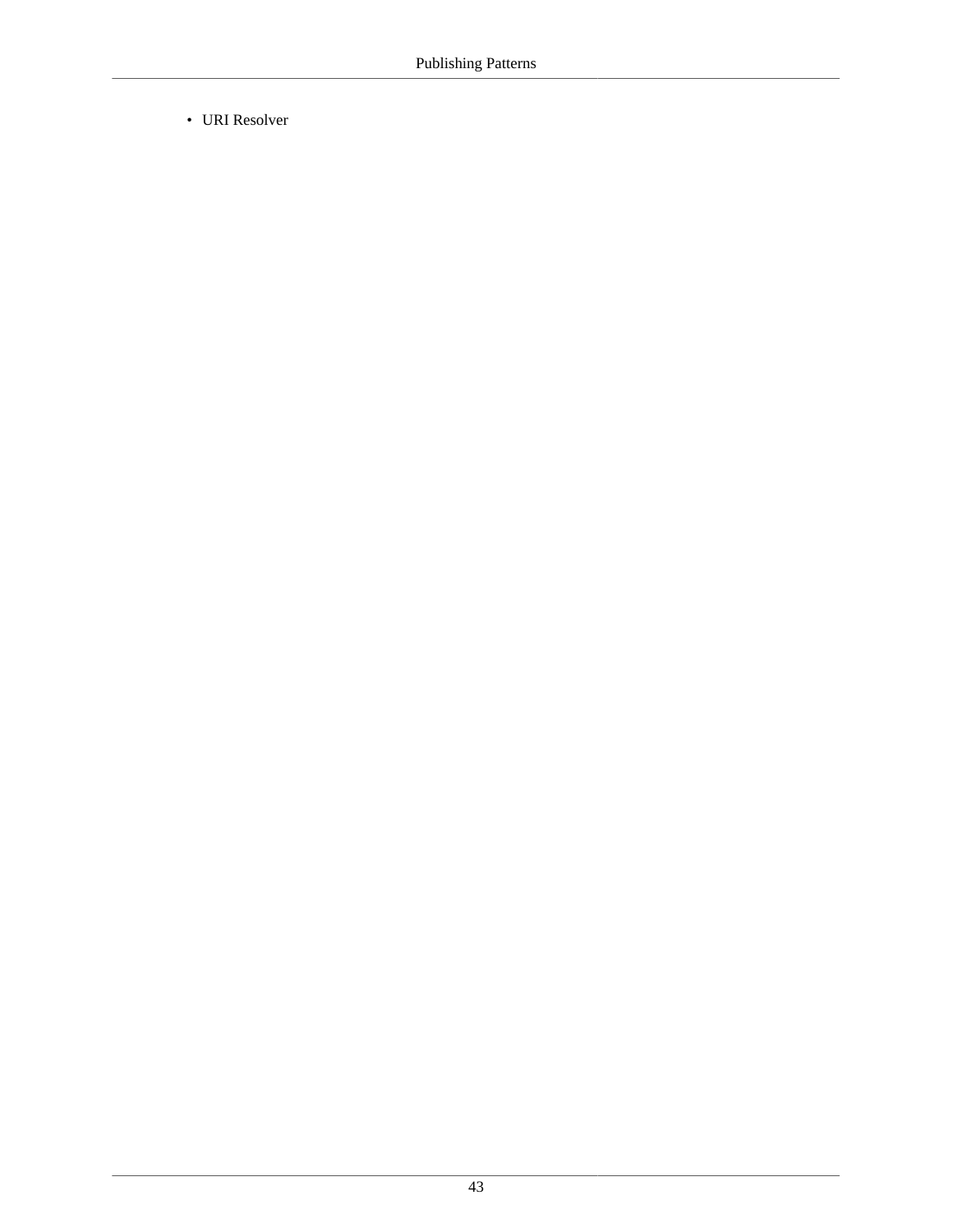• [URI Resolver](#page-76-0)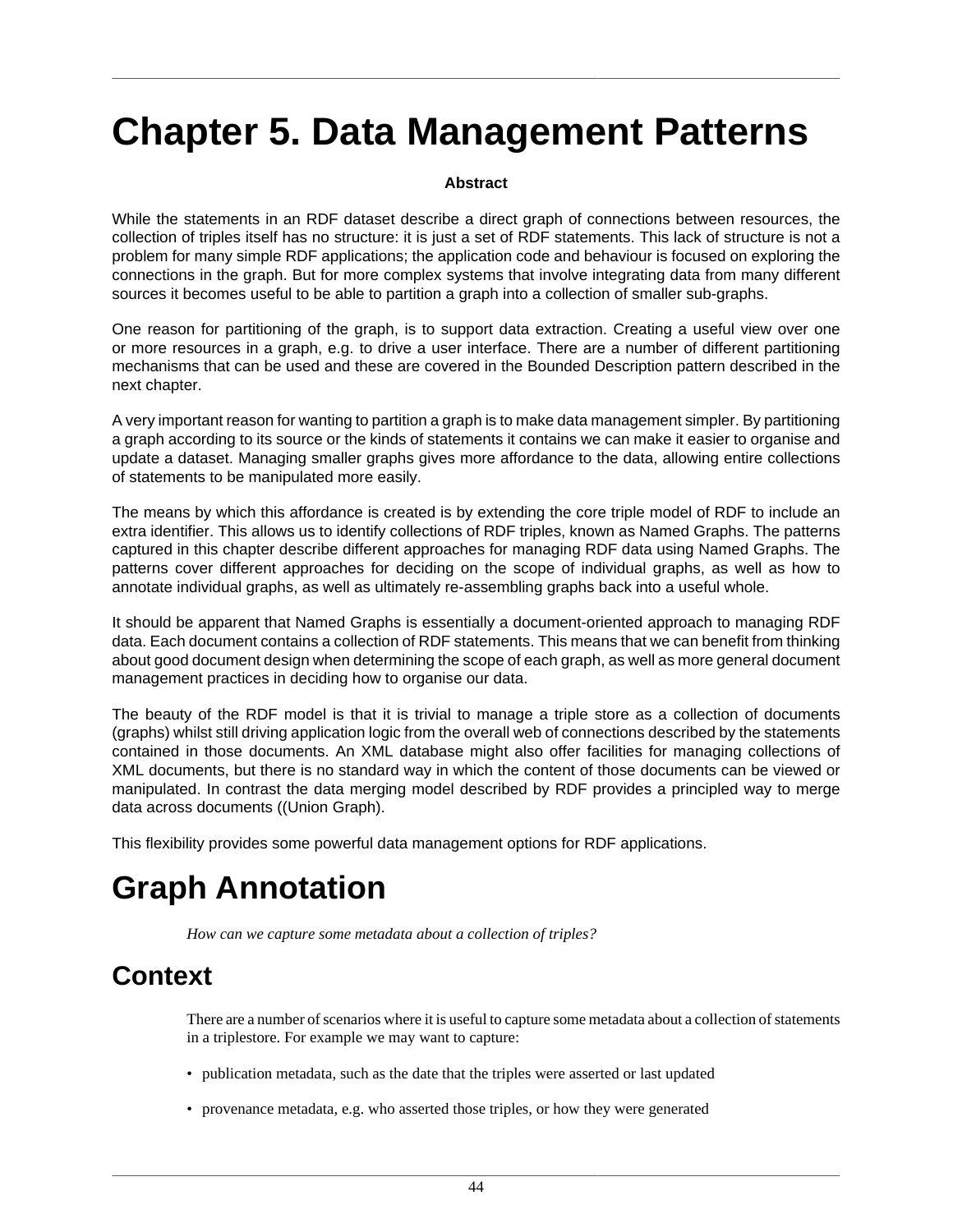# **Chapter 5. Data Management Patterns**

#### **Abstract**

While the statements in an RDF dataset describe a direct graph of connections between resources, the collection of triples itself has no structure: it is just a set of RDF statements. This lack of structure is not a problem for many simple RDF applications; the application code and behaviour is focused on exploring the connections in the graph. But for more complex systems that involve integrating data from many different sources it becomes useful to be able to partition a graph into a collection of smaller sub-graphs.

One reason for partitioning of the graph, is to support data extraction. Creating a useful view over one or more resources in a graph, e.g. to drive a user interface. There are a number of different partitioning mechanisms that can be used and these are covered in the [Bounded Description](#page-62-0) pattern described in the next chapter.

A very important reason for wanting to partition a graph is to make data management simpler. By partitioning a graph according to its source or the kinds of statements it contains we can make it easier to organise and update a dataset. Managing smaller graphs gives more affordance to the data, allowing entire collections of statements to be manipulated more easily.

The means by which this affordance is created is by extending the core triple model of RDF to include an extra identifier. This allows us to identify collections of RDF triples, known as [Named Graphs.](#page-56-0) The patterns captured in this chapter describe different approaches for managing RDF data using Named Graphs. The patterns cover different approaches for deciding on the scope of individual graphs, as well as how to annotate individual graphs, as well as ultimately re-assembling graphs back into a useful whole.

It should be apparent that Named Graphs is essentially a document-oriented approach to managing RDF data. Each document contains a collection of RDF statements. This means that we can benefit from thinking about good document design when determining the scope of each graph, as well as more general document management practices in deciding how to organise our data.

The beauty of the RDF model is that it is trivial to manage a triple store as a collection of documents (graphs) whilst still driving application logic from the overall web of connections described by the statements contained in those documents. An XML database might also offer facilities for managing collections of XML documents, but there is no standard way in which the content of those documents can be viewed or manipulated. In contrast the data merging model described by RDF provides a principled way to merge data across documents ((Union Graph).

This flexibility provides some powerful data management options for RDF applications.

# <span id="page-47-0"></span>**Graph Annotation**

*How can we capture some metadata about a collection of triples?*

# **Context**

There are a number of scenarios where it is useful to capture some metadata about a collection of statements in a triplestore. For example we may want to capture:

- publication metadata, such as the date that the triples were asserted or last updated
- provenance metadata, e.g. who asserted those triples, or how they were generated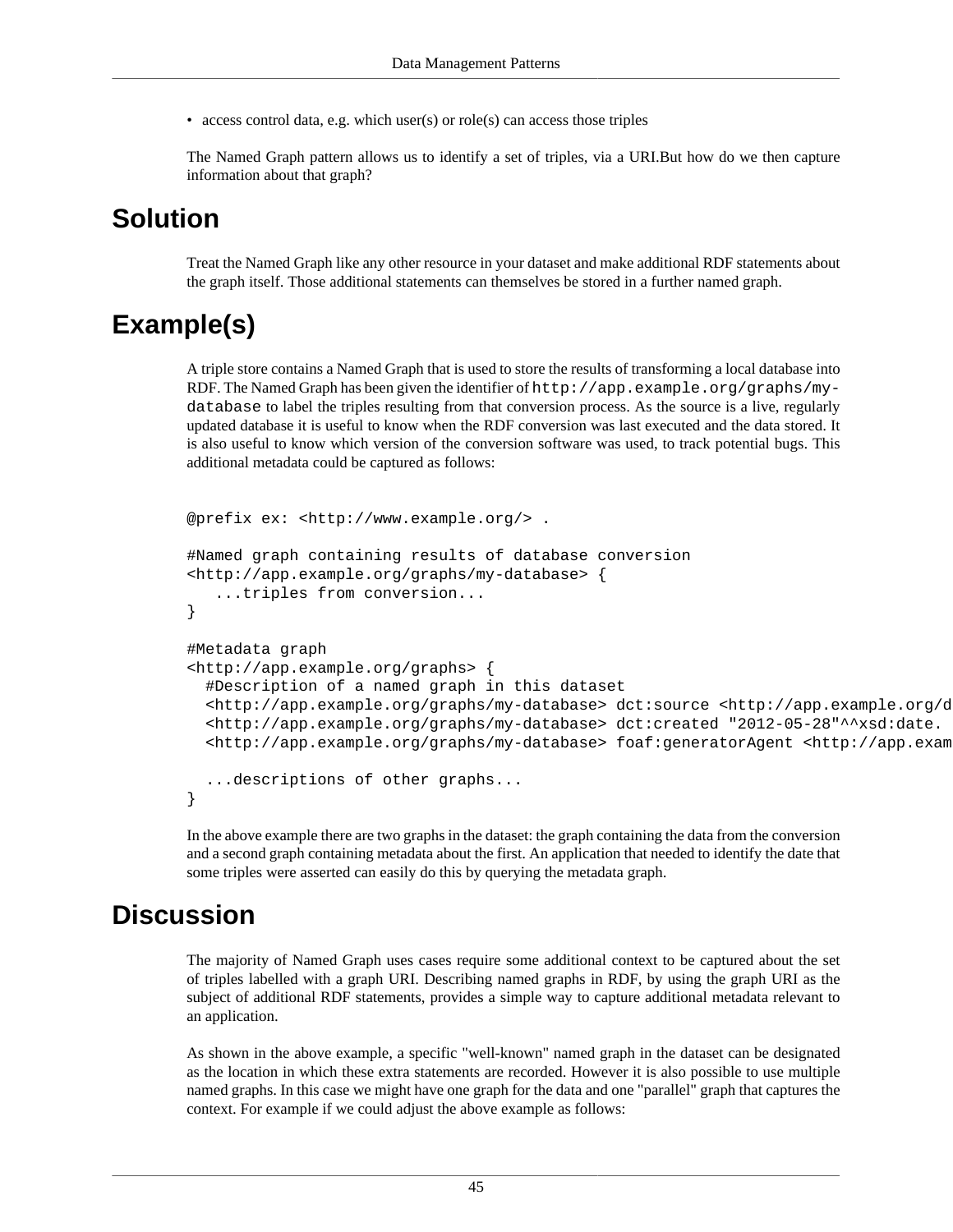• access control data, e.g. which user(s) or role(s) can access those triples

The [Named Graph](#page-56-0) pattern allows us to identify a set of triples, via a URI.But how do we then capture information about that graph?

#### **Solution**

Treat the [Named Graph](#page-56-0) like any other resource in your dataset and make additional RDF statements about the graph itself. Those additional statements can themselves be stored in a further named graph.

### **Example(s)**

A triple store contains a Named Graph that is used to store the results of transforming a local database into RDF. The Named Graph has been given the identifier of http://app.example.org/graphs/mydatabase to label the triples resulting from that conversion process. As the source is a live, regularly updated database it is useful to know when the RDF conversion was last executed and the data stored. It is also useful to know which version of the conversion software was used, to track potential bugs. This additional metadata could be captured as follows:

```
@prefix ex: <http://www.example.org/> .
#Named graph containing results of database conversion
<http://app.example.org/graphs/my-database> { 
    ...triples from conversion...
}
#Metadata graph
<http://app.example.org/graphs> { 
   #Description of a named graph in this dataset
   <http://app.example.org/graphs/my-database> dct:source <http://app.example.org/database/customers>
   <http://app.example.org/graphs/my-database> dct:created "2012-05-28"^^xsd:date.
  <http://app.example.org/graphs/my-database> foaf:generatorAgent <http://app.exam
   ...descriptions of other graphs...
}
```
In the above example there are two graphs in the dataset: the graph containing the data from the conversion and a second graph containing metadata about the first. An application that needed to identify the date that some triples were asserted can easily do this by querying the metadata graph.

#### **Discussion**

The majority of [Named Graph](#page-56-0) uses cases require some additional context to be captured about the set of triples labelled with a graph URI. Describing named graphs in RDF, by using the graph URI as the subject of additional RDF statements, provides a simple way to capture additional metadata relevant to an application.

As shown in the above example, a specific "well-known" named graph in the dataset can be designated as the location in which these extra statements are recorded. However it is also possible to use multiple named graphs. In this case we might have one graph for the data and one "parallel" graph that captures the context. For example if we could adjust the above example as follows: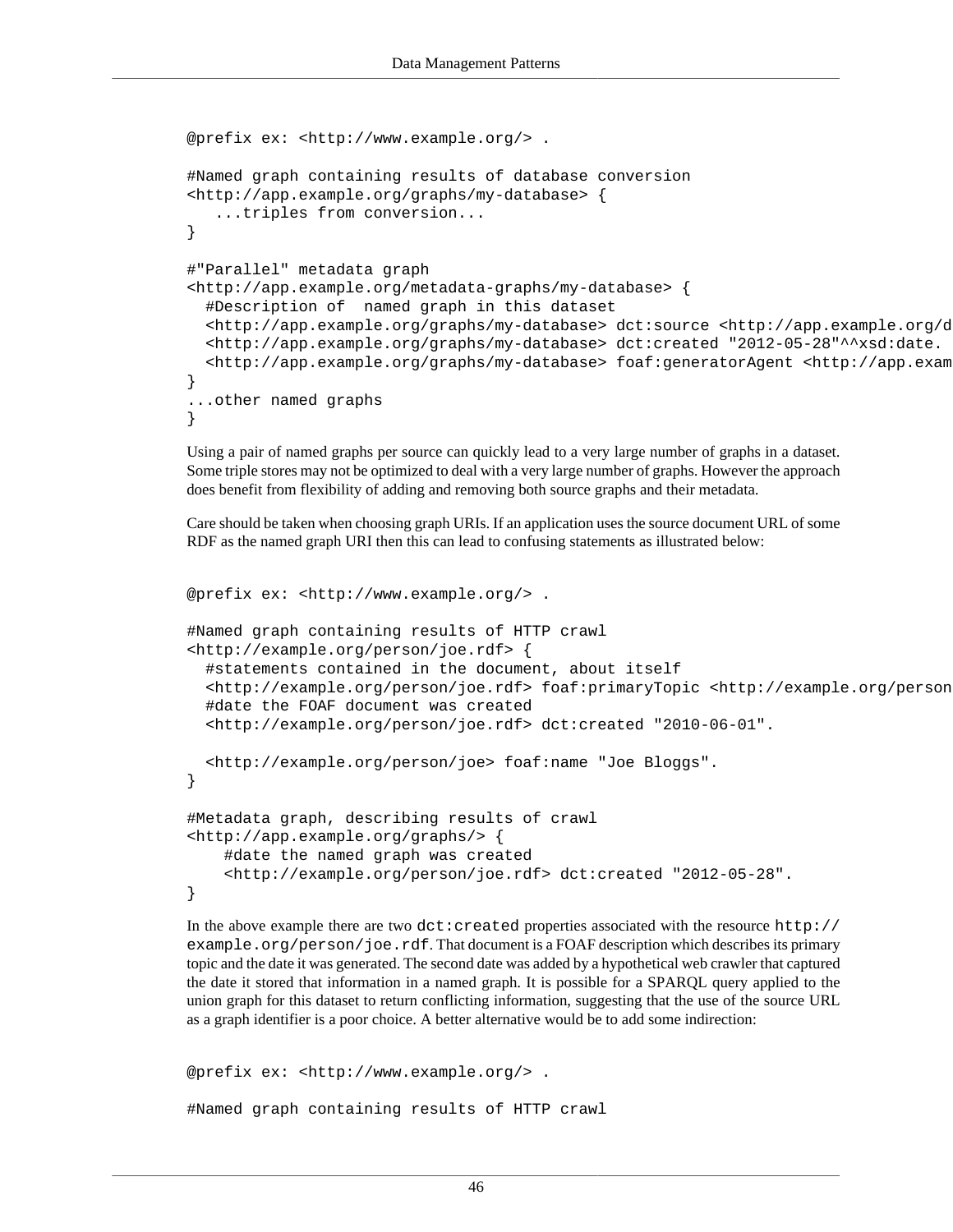```
@prefix ex: <http://www.example.org/> .
#Named graph containing results of database conversion
<http://app.example.org/graphs/my-database> { 
    ...triples from conversion...
}
#"Parallel" metadata graph
<http://app.example.org/metadata-graphs/my-database> { 
   #Description of named graph in this dataset
   <http://app.example.org/graphs/my-database> dct:source <http://app.example.org/database/customers>
   <http://app.example.org/graphs/my-database> dct:created "2012-05-28"^^xsd:date.
  <http://app.example.org/graphs/my-database> foaf:generatorAgent <http://app.exam
}
...other named graphs
}
```
Using a pair of named graphs per source can quickly lead to a very large number of graphs in a dataset. Some triple stores may not be optimized to deal with a very large number of graphs. However the approach does benefit from flexibility of adding and removing both source graphs and their metadata.

Care should be taken when choosing graph URIs. If an application uses the source document URL of some RDF as the named graph URI then this can lead to confusing statements as illustrated below:

```
@prefix ex: <http://www.example.org/> .
#Named graph containing results of HTTP crawl
<http://example.org/person/joe.rdf> { 
   #statements contained in the document, about itself
   <http://example.org/person/joe.rdf> foaf:primaryTopic <http://example.org/person/joe>.
   #date the FOAF document was created
   <http://example.org/person/joe.rdf> dct:created "2010-06-01".
   <http://example.org/person/joe> foaf:name "Joe Bloggs".
}
#Metadata graph, describing results of crawl
<http://app.example.org/graphs/> { 
     #date the named graph was created
     <http://example.org/person/joe.rdf> dct:created "2012-05-28".
}
```
In the above example there are two dct:created properties associated with the resource http:// example.org/person/joe.rdf. That document is a FOAF description which describes its primary topic and the date it was generated. The second date was added by a hypothetical web crawler that captured the date it stored that information in a named graph. It is possible for a SPARQL query applied to the [union graph](#page-57-0) for this dataset to return conflicting information, suggesting that the use of the source URL as a graph identifier is a poor choice. A better alternative would be to add some indirection:

```
@prefix ex: <http://www.example.org/> .
#Named graph containing results of HTTP crawl
```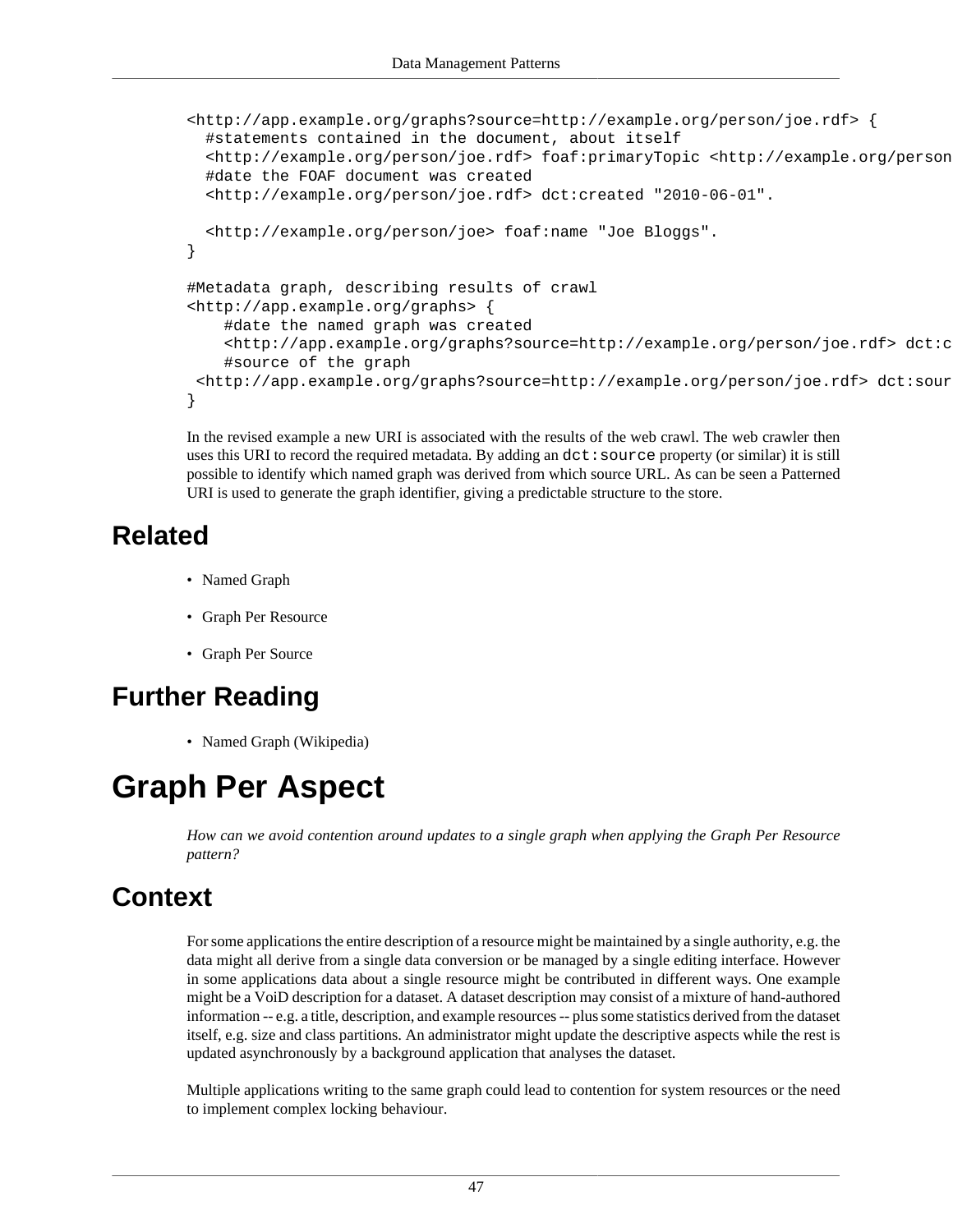```
<http://app.example.org/graphs?source=http://example.org/person/joe.rdf> { 
   #statements contained in the document, about itself
   <http://example.org/person/joe.rdf> foaf:primaryTopic <http://example.org/person/joe>.
   #date the FOAF document was created
   <http://example.org/person/joe.rdf> dct:created "2010-06-01".
   <http://example.org/person/joe> foaf:name "Joe Bloggs".
}
#Metadata graph, describing results of crawl
<http://app.example.org/graphs> { 
     #date the named graph was created
    \text{chttp://app.example.org/graphs?source=http://example.org/person/joe.rdf> dct:c #source of the graph
 \text{thtip://app.example.org/graphs?source=http://example.org/person/joerdf>dct:sour}
```
In the revised example a new URI is associated with the results of the web crawl. The web crawler then uses this URI to record the required metadata. By adding an  $\det$ : source property (or similar) it is still possible to identify which named graph was derived from which source URL. As can be seen a [Patterned](#page-9-0) [URI](#page-9-0) is used to generate the graph identifier, giving a predictable structure to the store.

#### **Related**

- [Named Graph](#page-56-0)
- [Graph Per Resource](#page-52-0)
- [Graph Per Source](#page-54-0)

# **Further Reading**

• Named Graph (Wikipedia)

# <span id="page-50-0"></span>**Graph Per Aspect**

*How can we avoid contention around updates to a single graph when applying the [Graph Per Resource](#page-52-0) pattern?*

# **Context**

For some applications the entire description of a resource might be maintained by a single authority, e.g. the data might all derive from a single data conversion or be managed by a single editing interface. However in some applications data about a single resource might be contributed in different ways. One example might be a VoiD description for a dataset. A dataset description may consist of a mixture of hand-authored information -- e.g. a title, description, and example resources -- plus some statistics derived from the dataset itself, e.g. size and class partitions. An administrator might update the descriptive aspects while the rest is updated asynchronously by a background application that analyses the dataset.

Multiple applications writing to the same graph could lead to contention for system resources or the need to implement complex locking behaviour.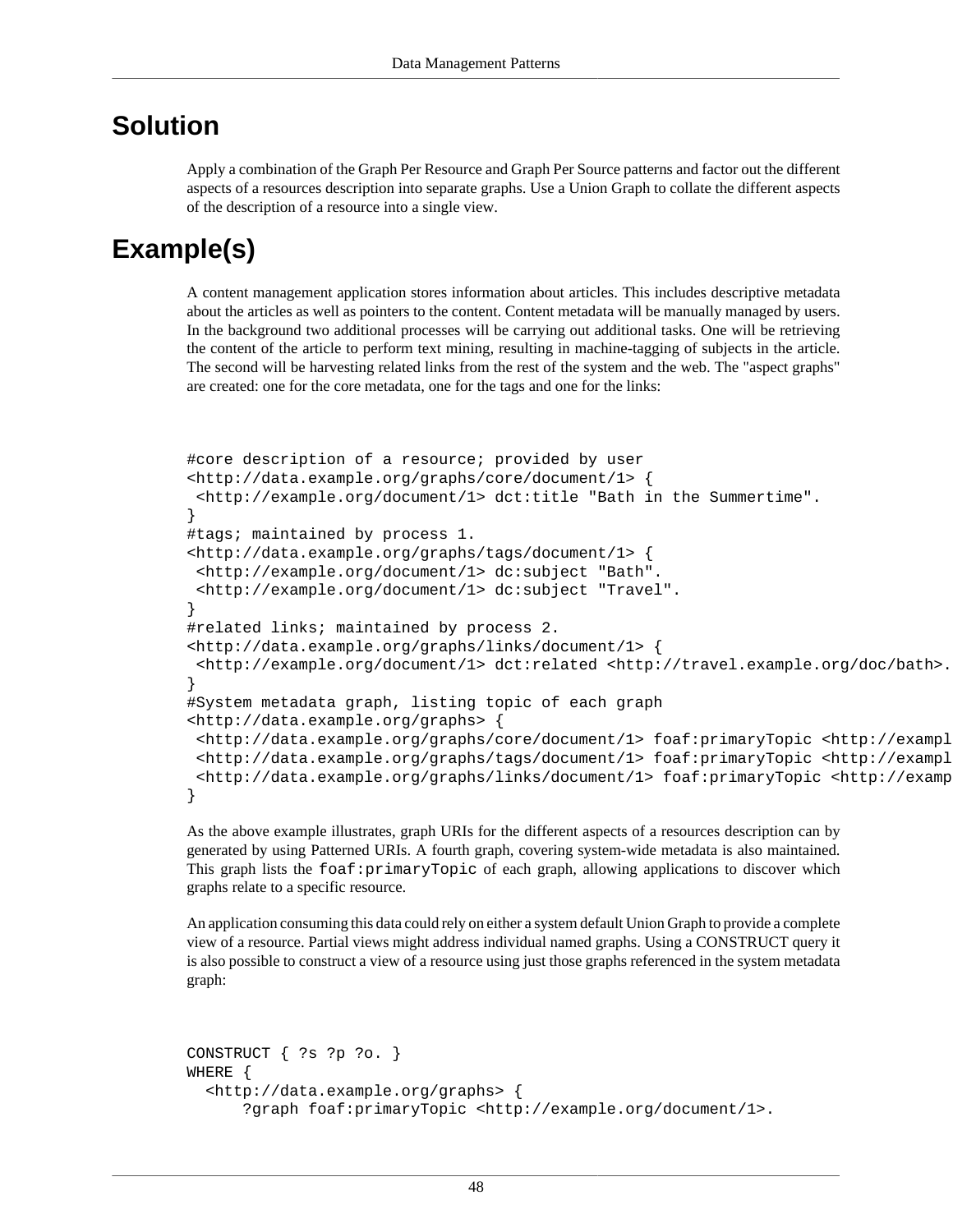#### **Solution**

Apply a combination of the [Graph Per Resource](#page-52-0) and [Graph Per Source](#page-54-0) patterns and factor out the different aspects of a resources description into separate graphs. Use a [Union Graph](#page-57-0) to collate the different aspects of the description of a resource into a single view.

# **Example(s)**

A content management application stores information about articles. This includes descriptive metadata about the articles as well as pointers to the content. Content metadata will be manually managed by users. In the background two additional processes will be carrying out additional tasks. One will be retrieving the content of the article to perform text mining, resulting in machine-tagging of subjects in the article. The second will be harvesting related links from the rest of the system and the web. The "aspect graphs" are created: one for the core metadata, one for the tags and one for the links:

```
#core description of a resource; provided by user
<http://data.example.org/graphs/core/document/1> {
  <http://example.org/document/1> dct:title "Bath in the Summertime".
} 
#tags; maintained by process 1.
<http://data.example.org/graphs/tags/document/1> {
 <http://example.org/document/1> dc:subject "Bath".
  <http://example.org/document/1> dc:subject "Travel".
} 
#related links; maintained by process 2.
<http://data.example.org/graphs/links/document/1> {
  <http://example.org/document/1> dct:related <http://travel.example.org/doc/bath>.
} 
#System metadata graph, listing topic of each graph
<http://data.example.org/graphs> { 
  <http://data.example.org/graphs/core/document/1> foaf:primaryTopic <http://example.org/document/1>.
  <http://data.example.org/graphs/tags/document/1> foaf:primaryTopic <http://example.org/document/1>.
  <http://data.example.org/graphs/links/document/1> foaf:primaryTopic <http://example.org/document/1>.
}
```
As the above example illustrates, graph URIs for the different aspects of a resources description can by generated by using [Patterned URIs.](#page-9-0) A fourth graph, covering system-wide metadata is also maintained. This graph lists the foaf:primaryTopic of each graph, allowing applications to discover which graphs relate to a specific resource.

An application consuming this data could rely on either a system default [Union Graph](#page-57-0) to provide a complete view of a resource. Partial views might address individual named graphs. Using a CONSTRUCT query it is also possible to construct a view of a resource using just those graphs referenced in the system metadata graph:

```
CONSTRUCT { ?s ?p ?o. }
WHERE {
   <http://data.example.org/graphs> {
       ?graph foaf:primaryTopic <http://example.org/document/1>.
```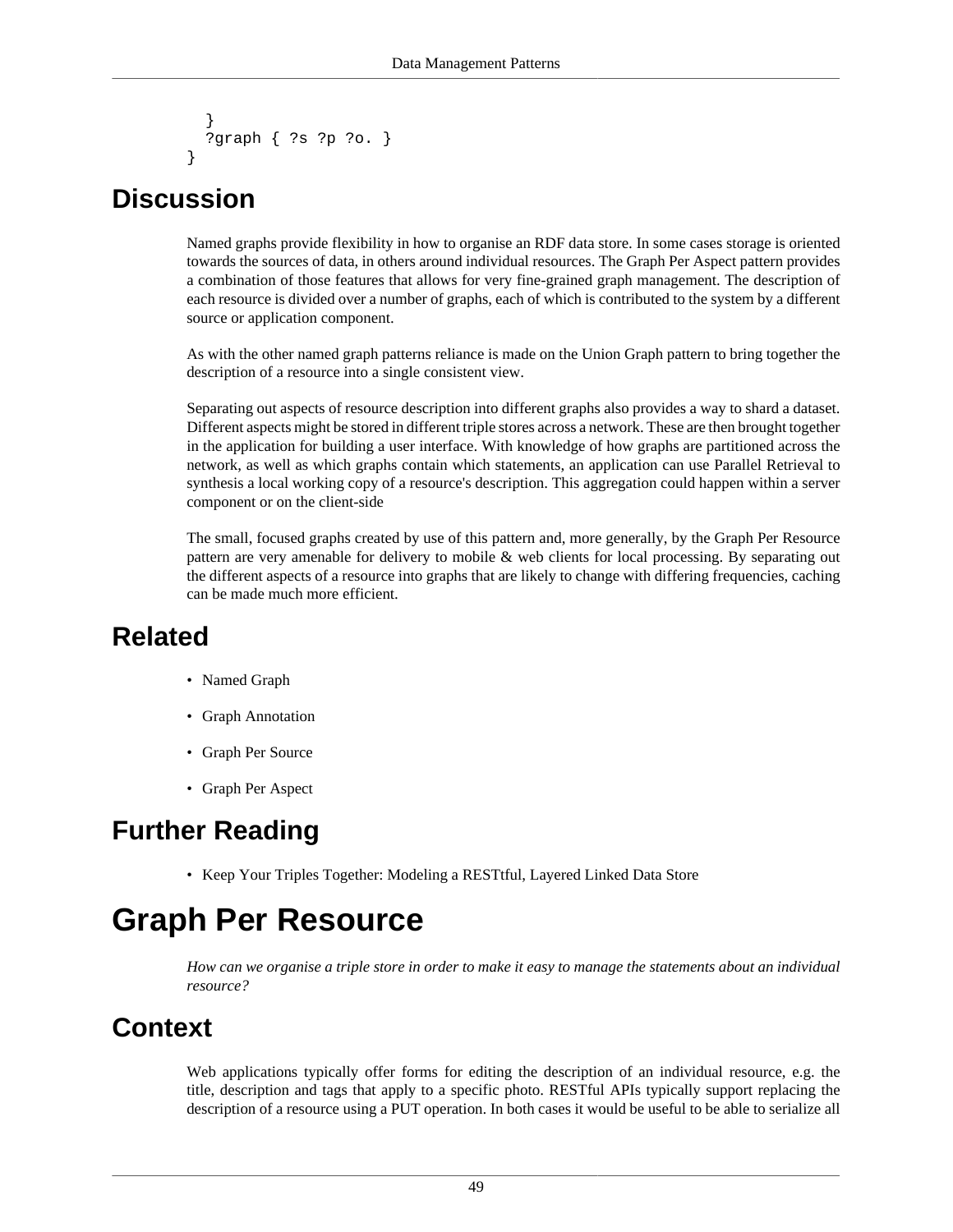```
 }
  ?graph { ?s ?p ?o. }
}
```
#### **Discussion**

Named graphs provide flexibility in how to organise an RDF data store. In some cases storage is oriented towards the sources of data, in others around individual resources. The Graph Per Aspect pattern provides a combination of those features that allows for very fine-grained graph management. The description of each resource is divided over a number of graphs, each of which is contributed to the system by a different source or application component.

As with the other named graph patterns reliance is made on the [Union Graph](#page-57-0) pattern to bring together the description of a resource into a single consistent view.

Separating out aspects of resource description into different graphs also provides a way to shard a dataset. Different aspects might be stored in different triple stores across a network. These are then brought together in the application for building a user interface. With knowledge of how graphs are partitioned across the network, as well as which graphs contain which statements, an application can use [Parallel Retrieval](#page-69-0) to synthesis a local working copy of a resource's description. This aggregation could happen within a server component or on the client-side

The small, focused graphs created by use of this pattern and, more generally, by the [Graph Per Resource](#page-52-0) pattern are very amenable for delivery to mobile & web clients for local processing. By separating out the different aspects of a resource into graphs that are likely to change with differing frequencies, caching can be made much more efficient.

#### **Related**

- [Named Graph](#page-56-0)
- [Graph Annotation](#page-47-0)
- [Graph Per Source](#page-54-0)
- [Graph Per Aspect](#page-50-0)

# **Further Reading**

• Keep Your Triples Together: Modeling a RESTtful, Layered Linked Data Store

# <span id="page-52-0"></span>**Graph Per Resource**

*How can we organise a triple store in order to make it easy to manage the statements about an individual resource?*

#### **Context**

Web applications typically offer forms for editing the description of an individual resource, e.g. the title, description and tags that apply to a specific photo. RESTful APIs typically support replacing the description of a resource using a PUT operation. In both cases it would be useful to be able to serialize all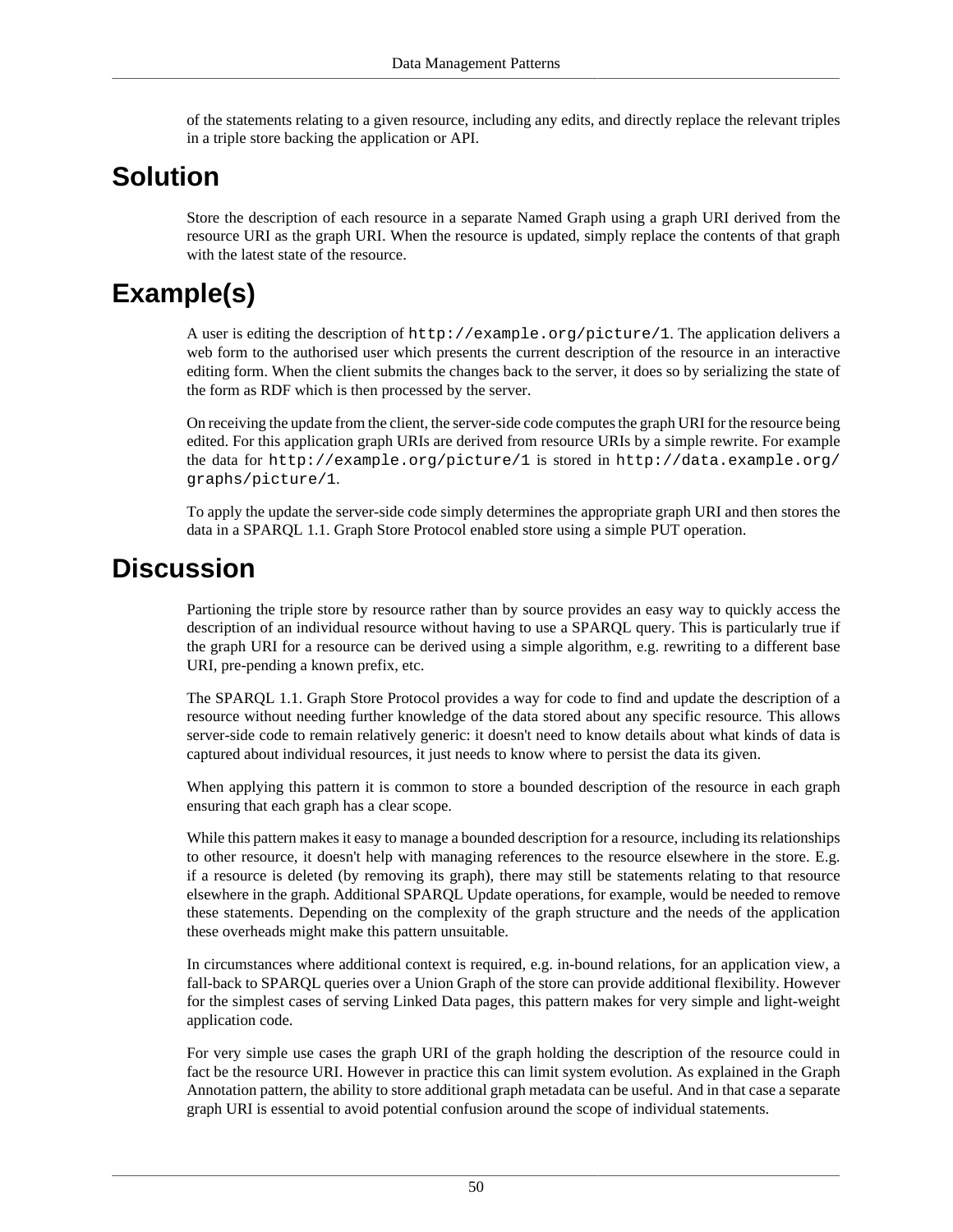of the statements relating to a given resource, including any edits, and directly replace the relevant triples in a triple store backing the application or API.

#### **Solution**

Store the description of each resource in a separate [Named Graph](#page-56-0) using a graph URI derived from the resource URI as the graph URI. When the resource is updated, simply replace the contents of that graph with the latest state of the resource.

# **Example(s)**

A user is editing the description of http://example.org/picture/1. The application delivers a web form to the authorised user which presents the current description of the resource in an interactive editing form. When the client submits the changes back to the server, it does so by serializing the state of the form as RDF which is then processed by the server.

On receiving the update from the client, the server-side code computes the graph URI for the resource being edited. For this application graph URIs are derived from resource URIs by a simple rewrite. For example the data for http://example.org/picture/1 is stored in http://data.example.org/ graphs/picture/1.

To apply the update the server-side code simply determines the appropriate graph URI and then stores the data in a SPARQL 1.1. Graph Store Protocol enabled store using a simple PUT operation.

#### **Discussion**

Partioning the triple store by resource rather than by [source](#page-54-0) provides an easy way to quickly access the description of an individual resource without having to use a SPARQL query. This is particularly true if the graph URI for a resource can be derived using a simple algorithm, e.g. rewriting to a different base URI, pre-pending a known prefix, etc.

The SPARQL 1.1. Graph Store Protocol provides a way for code to find and update the description of a resource without needing further knowledge of the data stored about any specific resource. This allows server-side code to remain relatively generic: it doesn't need to know details about what kinds of data is captured about individual resources, it just needs to know where to persist the data its given.

When applying this pattern it is common to store a [bounded description](#page-62-0) of the resource in each graph ensuring that each graph has a clear scope.

While this pattern makes it easy to manage a bounded description for a resource, including its relationships to other resource, it doesn't help with managing references to the resource elsewhere in the store. E.g. if a resource is deleted (by removing its graph), there may still be statements relating to that resource elsewhere in the graph. Additional SPARQL Update operations, for example, would be needed to remove these statements. Depending on the complexity of the graph structure and the needs of the application these overheads might make this pattern unsuitable.

In circumstances where additional context is required, e.g. in-bound relations, for an application view, a fall-back to SPARQL queries over a [Union Graph](#page-57-0) of the store can provide additional flexibility. However for the simplest cases of serving Linked Data pages, this pattern makes for very simple and light-weight application code.

For very simple use cases the graph URI of the graph holding the description of the resource could in fact be the resource URI. However in practice this can limit system evolution. As explained in the [Graph](#page-47-0) [Annotation](#page-47-0) pattern, the ability to store additional graph metadata can be useful. And in that case a separate graph URI is essential to avoid potential confusion around the scope of individual statements.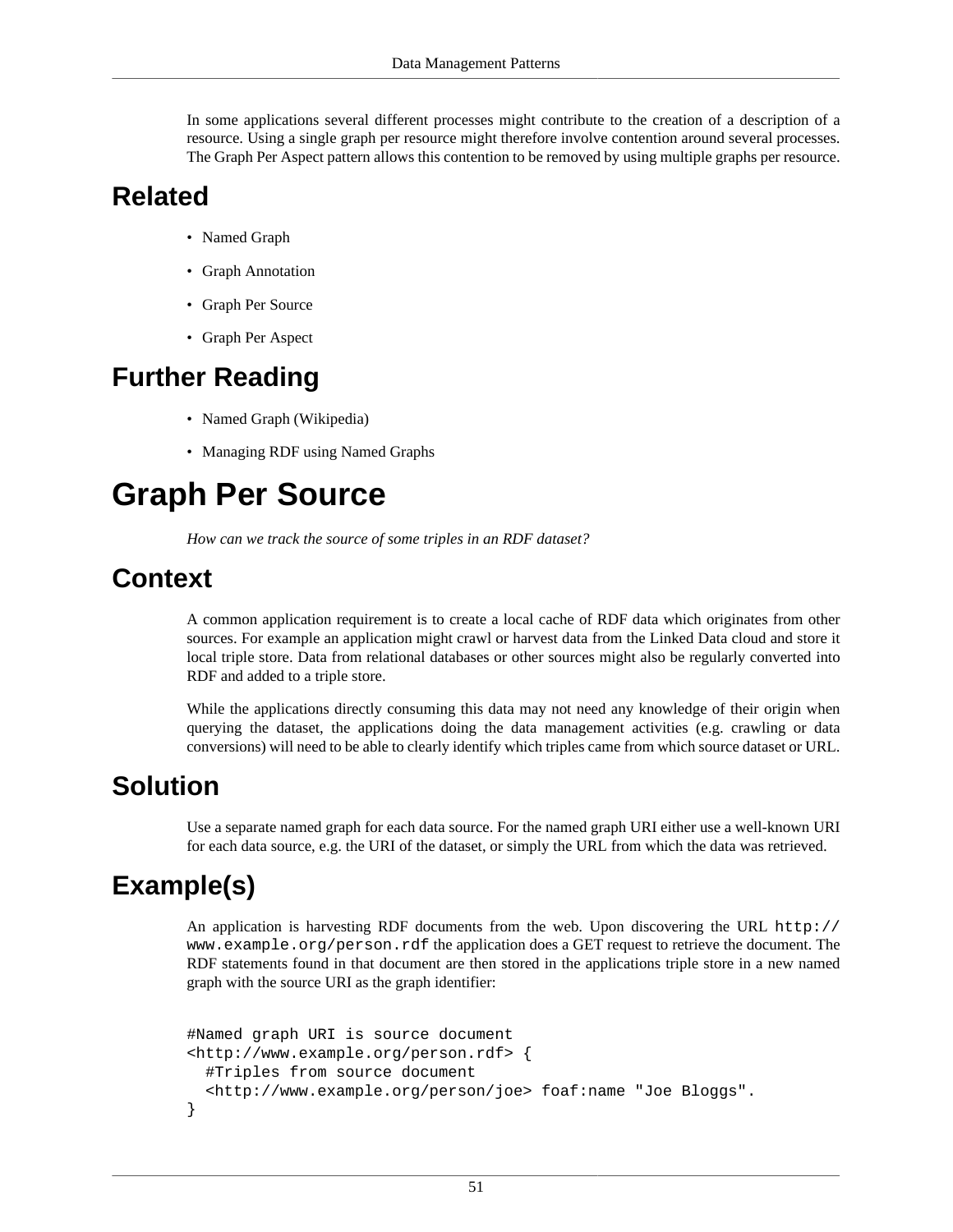In some applications several different processes might contribute to the creation of a description of a resource. Using a single graph per resource might therefore involve contention around several processes. The [Graph Per Aspect](#page-50-0) pattern allows this contention to be removed by using multiple graphs per resource.

### **Related**

- [Named Graph](#page-56-0)
- [Graph Annotation](#page-47-0)
- [Graph Per Source](#page-54-0)
- [Graph Per Aspect](#page-50-0)

#### **Further Reading**

- Named Graph (Wikipedia)
- Managing RDF using Named Graphs

# <span id="page-54-0"></span>**Graph Per Source**

*How can we track the source of some triples in an RDF dataset?*

#### **Context**

A common application requirement is to create a local cache of RDF data which originates from other sources. For example an application might crawl or harvest data from the Linked Data cloud and store it local triple store. Data from relational databases or other sources might also be regularly converted into RDF and added to a triple store.

While the applications directly consuming this data may not need any knowledge of their origin when querying the dataset, the applications doing the data management activities (e.g. crawling or data conversions) will need to be able to clearly identify which triples came from which source dataset or URL.

#### **Solution**

Use a separate [named graph](#page-56-0) for each data source. For the named graph URI either use a well-known URI for each data source, e.g. the URI of the dataset, or simply the URL from which the data was retrieved.

# **Example(s)**

An application is harvesting RDF documents from the web. Upon discovering the URL http:// www.example.org/person.rdf the application does a GET request to retrieve the document. The RDF statements found in that document are then stored in the applications triple store in a new named graph with the source URI as the graph identifier:

```
#Named graph URI is source document
<http://www.example.org/person.rdf> { 
   #Triples from source document
   <http://www.example.org/person/joe> foaf:name "Joe Bloggs". 
}
```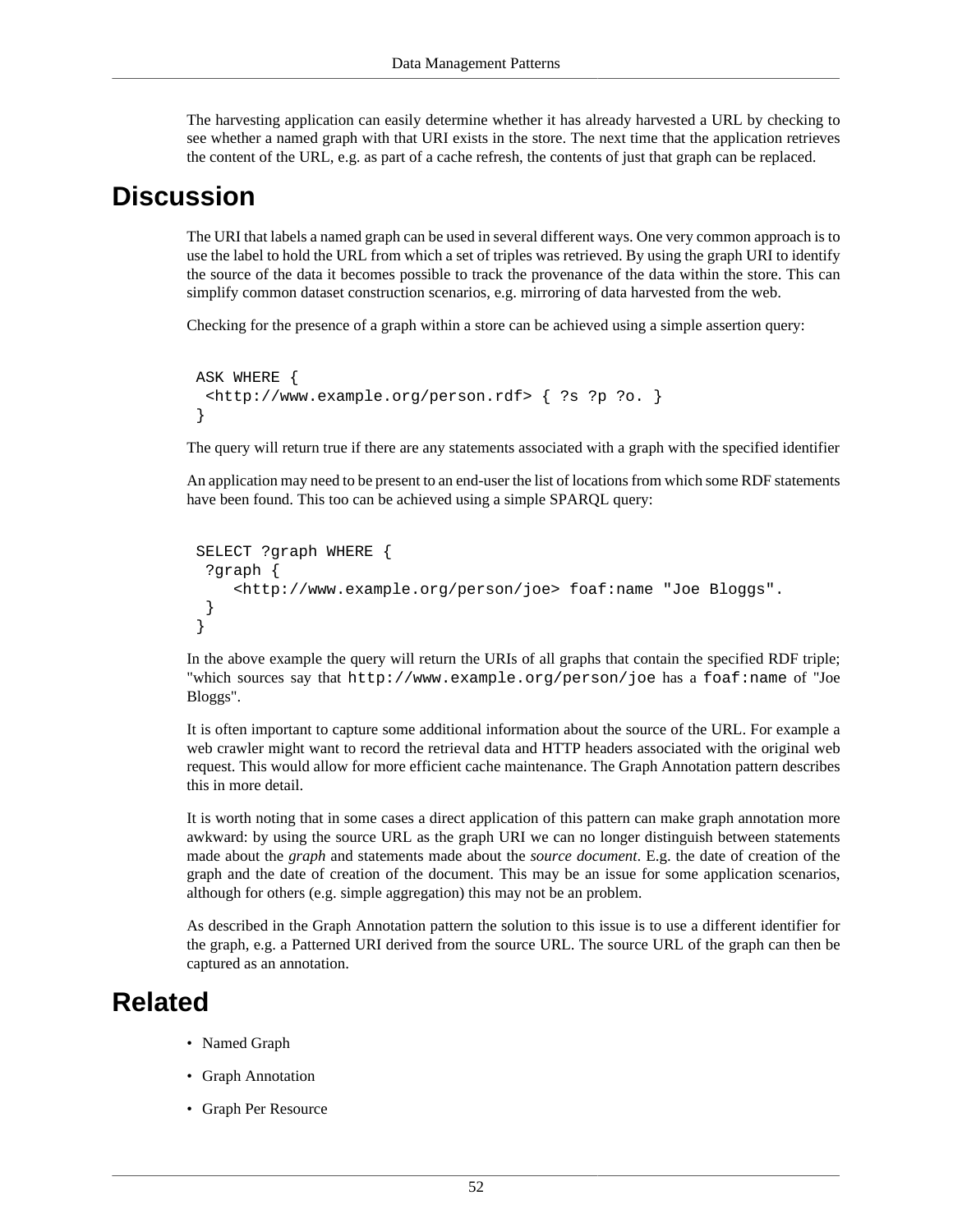The harvesting application can easily determine whether it has already harvested a URL by checking to see whether a named graph with that URI exists in the store. The next time that the application retrieves the content of the URL, e.g. as part of a cache refresh, the contents of just that graph can be replaced.

#### **Discussion**

The URI that labels a [named graph](#page-56-0) can be used in several different ways. One very common approach is to use the label to hold the URL from which a set of triples was retrieved. By using the graph URI to identify the source of the data it becomes possible to track the provenance of the data within the store. This can simplify common dataset construction scenarios, e.g. mirroring of data harvested from the web.

Checking for the presence of a graph within a store can be achieved using a simple [assertion query:](#page-60-0)

```
 ASK WHERE {
  <http://www.example.org/person.rdf> { ?s ?p ?o. }
 }
```
The query will return true if there are any statements associated with a graph with the specified identifier

An application may need to be present to an end-user the list of locations from which some RDF statements have been found. This too can be achieved using a simple SPARQL query:

```
 SELECT ?graph WHERE {
   ?graph { 
      <http://www.example.org/person/joe> foaf:name "Joe Bloggs". 
 }
 }
```
In the above example the query will return the URIs of all graphs that contain the specified RDF triple; "which sources say that http://www.example.org/person/joe has a foaf:name of "Joe Bloggs".

It is often important to capture some additional information about the source of the URL. For example a web crawler might want to record the retrieval data and HTTP headers associated with the original web request. This would allow for more efficient cache maintenance. The [Graph Annotation](#page-47-0) pattern describes this in more detail.

It is worth noting that in some cases a direct application of this pattern can make graph annotation more awkward: by using the source URL as the graph URI we can no longer distinguish between statements made about the *graph* and statements made about the *source document*. E.g. the date of creation of the graph and the date of creation of the document. This may be an issue for some application scenarios, although for others (e.g. simple aggregation) this may not be an problem.

As described in the [Graph Annotation](#page-47-0) pattern the solution to this issue is to use a different identifier for the graph, e.g. a [Patterned URI](#page-9-0) derived from the source URL. The source URL of the graph can then be captured as an annotation.

#### **Related**

- [Named Graph](#page-56-0)
- [Graph Annotation](#page-47-0)
- [Graph Per Resource](#page-52-0)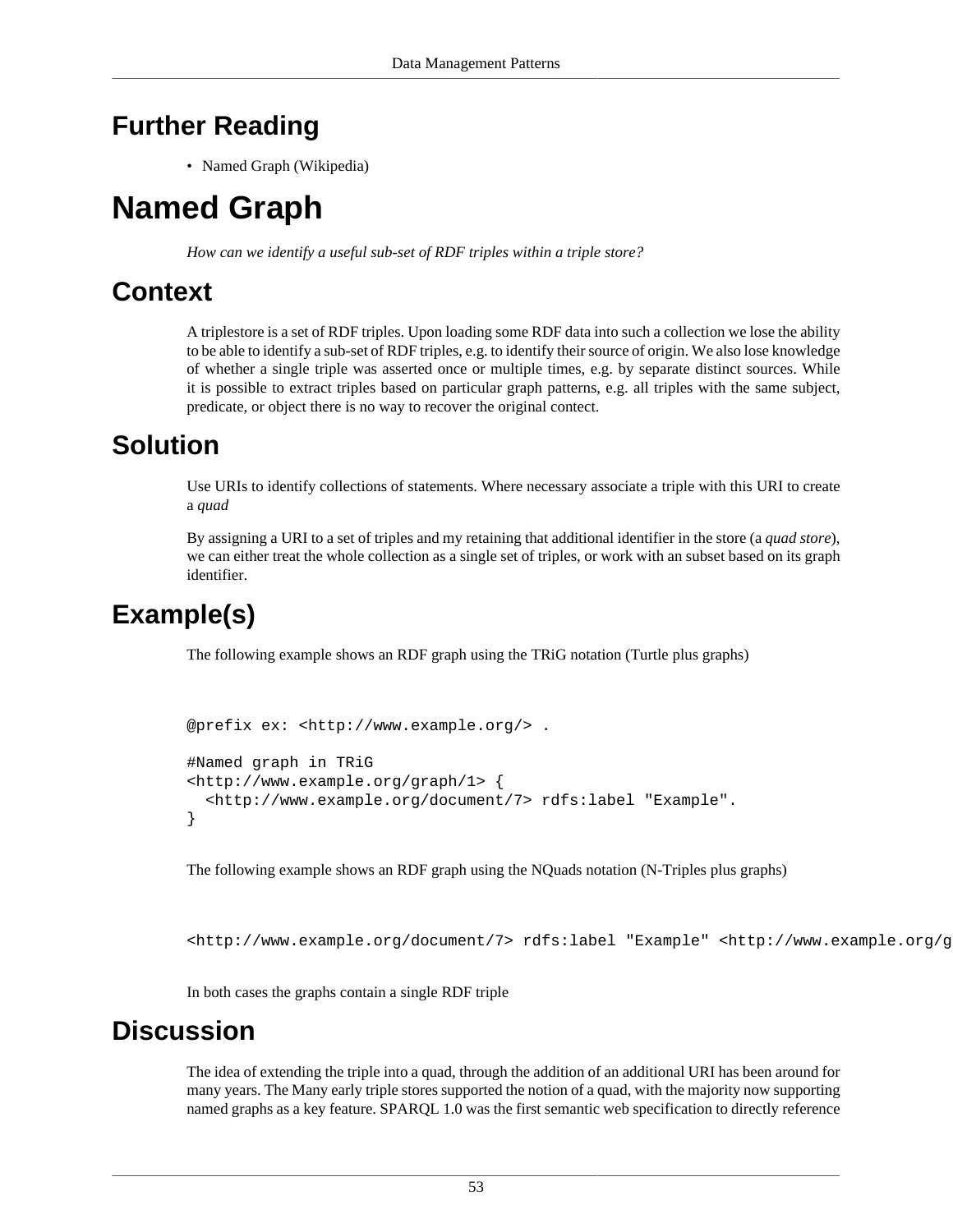## **Further Reading**

• Named Graph (Wikipedia)

# <span id="page-56-0"></span>**Named Graph**

*How can we identify a useful sub-set of RDF triples within a triple store?*

## **Context**

A triplestore is a set of RDF triples. Upon loading some RDF data into such a collection we lose the ability to be able to identify a sub-set of RDF triples, e.g. to identify their source of origin. We also lose knowledge of whether a single triple was asserted once or multiple times, e.g. by separate distinct sources. While it is possible to extract triples based on particular graph patterns, e.g. all triples with the same subject, predicate, or object there is no way to recover the original contect.

### **Solution**

Use URIs to identify collections of statements. Where necessary associate a triple with this URI to create a *quad*

By assigning a URI to a set of triples and my retaining that additional identifier in the store (a *quad store*), we can either treat the whole collection as a single set of triples, or work with an subset based on its graph identifier.

# **Example(s)**

The following example shows an RDF graph using the TRiG notation (Turtle plus graphs)

```
@prefix ex: <http://www.example.org/> .
#Named graph in TRiG
<http://www.example.org/graph/1> { 
   <http://www.example.org/document/7> rdfs:label "Example". 
}
```
The following example shows an RDF graph using the NQuads notation (N-Triples plus graphs)

<http://www.example.org/document/7> rdfs:label "Example" <http://www.example.org/graph/1>.

In both cases the graphs contain a single RDF triple

#### **Discussion**

The idea of extending the triple into a quad, through the addition of an additional URI has been around for many years. The Many early triple stores supported the notion of a quad, with the majority now supporting named graphs as a key feature. SPARQL 1.0 was the first semantic web specification to directly reference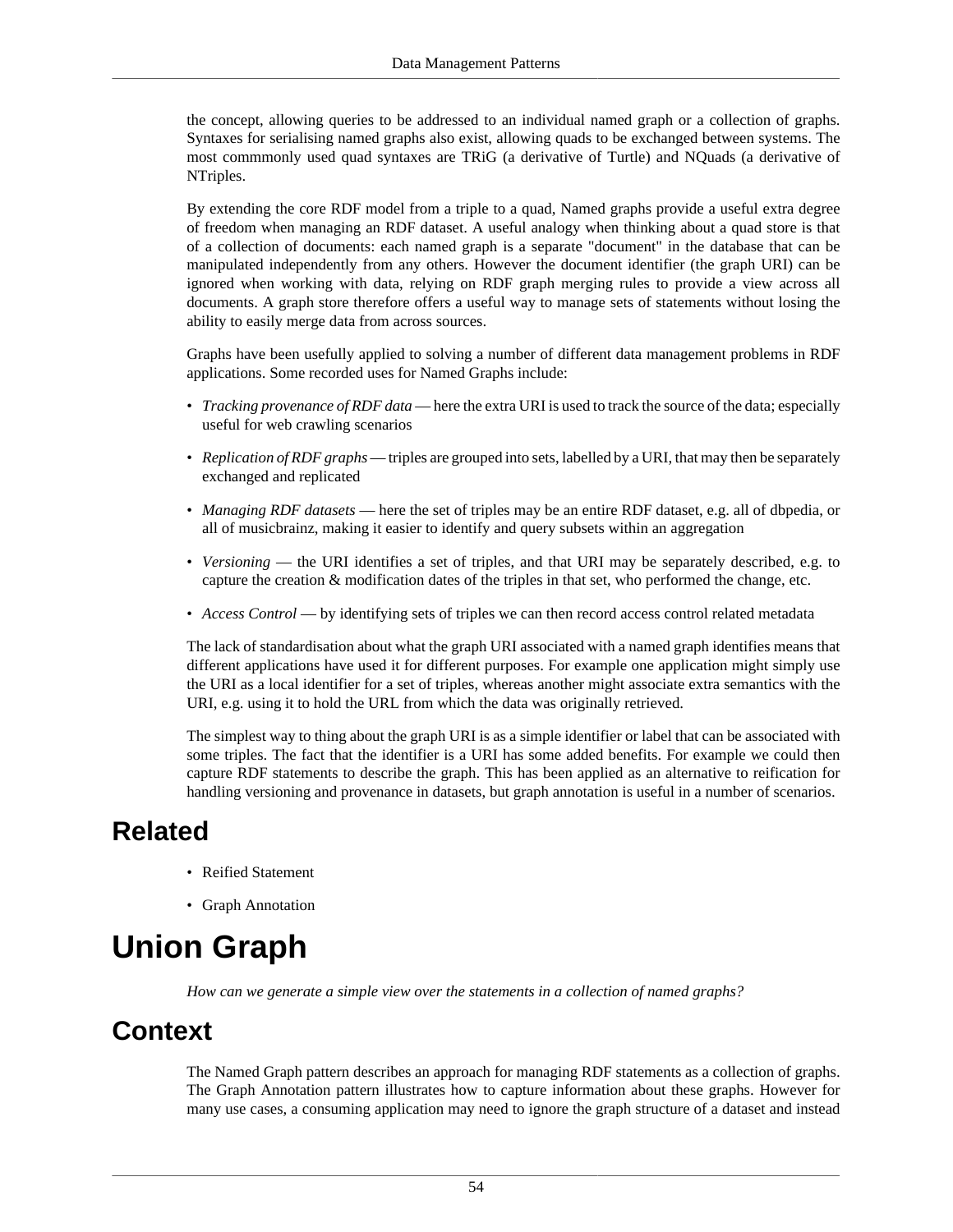the concept, allowing queries to be addressed to an individual named graph or a collection of graphs. Syntaxes for serialising named graphs also exist, allowing quads to be exchanged between systems. The most commmonly used quad syntaxes are TRiG (a derivative of Turtle) and NQuads (a derivative of NTriples.

By extending the core RDF model from a triple to a quad, Named graphs provide a useful extra degree of freedom when managing an RDF dataset. A useful analogy when thinking about a quad store is that of a collection of documents: each named graph is a separate "document" in the database that can be manipulated independently from any others. However the document identifier (the graph URI) can be ignored when working with data, relying on RDF graph merging rules to provide a view across all documents. A graph store therefore offers a useful way to manage sets of statements without losing the ability to easily merge data from across sources.

Graphs have been usefully applied to solving a number of different data management problems in RDF applications. Some recorded uses for Named Graphs include:

- *Tracking provenance of RDF data* here the extra URI is used to track the source of the data; especially useful for web crawling scenarios
- *Replication of RDF graphs* triples are grouped into sets, labelled by a URI, that may then be separately exchanged and replicated
- *Managing RDF datasets* here the set of triples may be an entire RDF dataset, e.g. all of dbpedia, or all of musicbrainz, making it easier to identify and query subsets within an aggregation
- *Versioning* the URI identifies a set of triples, and that URI may be separately described, e.g. to capture the creation & modification dates of the triples in that set, who performed the change, etc.
- *Access Control* by identifying sets of triples we can then record access control related metadata

The lack of standardisation about what the graph URI associated with a named graph identifies means that different applications have used it for different purposes. For example one application might simply use the URI as a local identifier for a set of triples, whereas another might associate extra semantics with the URI, e.g. using it to hold the URL from which the data was originally retrieved.

The simplest way to thing about the graph URI is as a simple identifier or label that can be associated with some triples. The fact that the identifier is a URI has some added benefits. For example we could then capture RDF statements to describe the graph. This has been applied as an alternative to [reification](#page-28-0) for handling versioning and provenance in datasets, but [graph annotation](#page-47-0) is useful in a number of scenarios.

#### **Related**

- [Reified Statement](#page-28-0)
- [Graph Annotation](#page-47-0)

# <span id="page-57-0"></span>**Union Graph**

*How can we generate a simple view over the statements in a collection of named graphs?*

#### **Context**

The [Named Graph](#page-56-0) pattern describes an approach for managing RDF statements as a collection of graphs. The [Graph Annotation](#page-47-0) pattern illustrates how to capture information about these graphs. However for many use cases, a consuming application may need to ignore the graph structure of a dataset and instead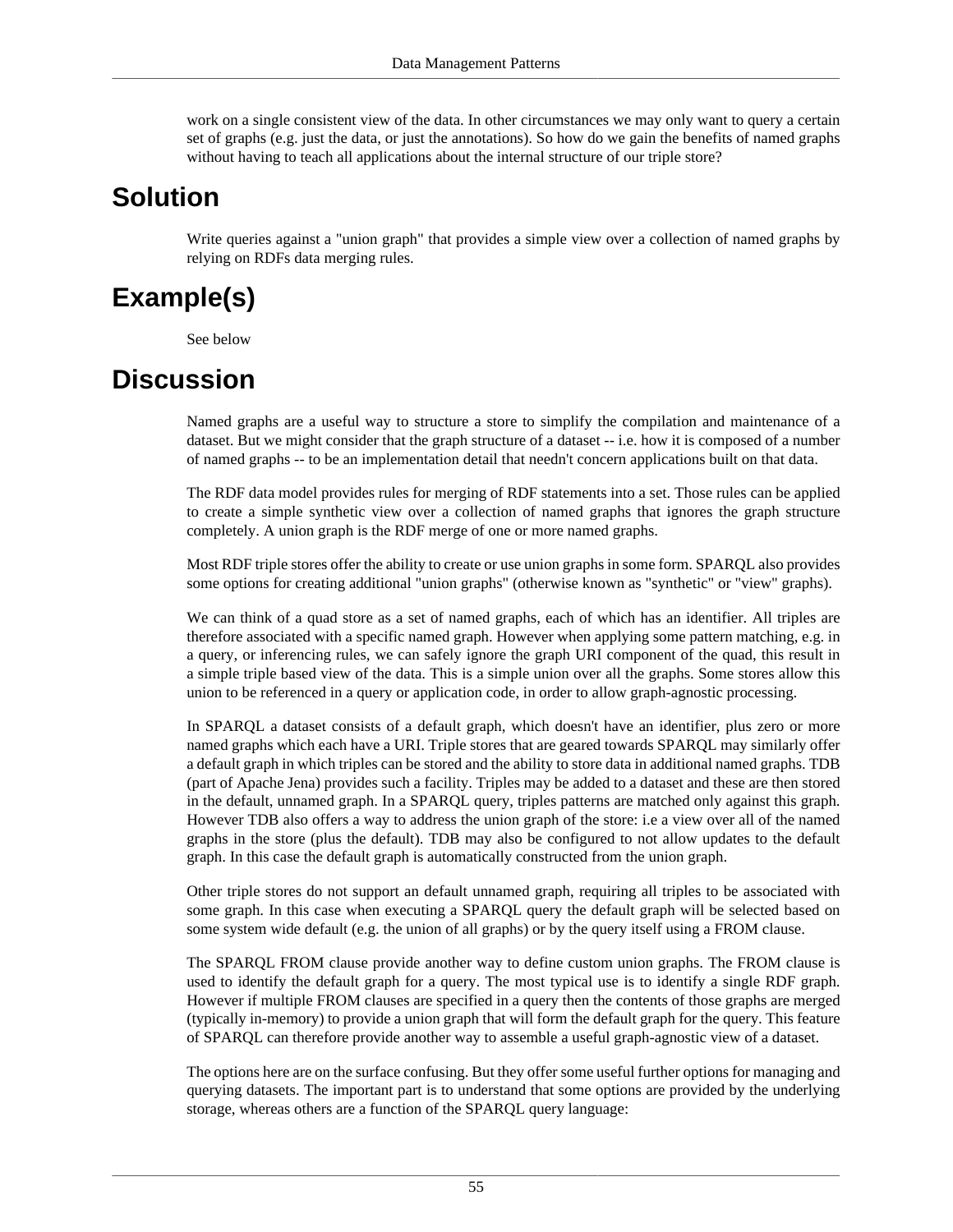work on a single consistent view of the data. In other circumstances we may only want to query a certain set of graphs (e.g. just the data, or just the annotations). So how do we gain the benefits of named graphs without having to teach all applications about the internal structure of our triple store?

### **Solution**

Write queries against a "union graph" that provides a simple view over a collection of named graphs by relying on RDFs data merging rules.

# **Example(s)**

See below

### **Discussion**

Named graphs are a useful way to structure a store to simplify the compilation and maintenance of a dataset. But we might consider that the graph structure of a dataset -- i.e. how it is composed of a number of named graphs -- to be an implementation detail that needn't concern applications built on that data.

The RDF data model provides rules for merging of RDF statements into a set. Those rules can be applied to create a simple synthetic view over a collection of named graphs that ignores the graph structure completely. A union graph is the RDF merge of one or more named graphs.

Most RDF triple stores offer the ability to create or use union graphs in some form. SPARQL also provides some options for creating additional "union graphs" (otherwise known as "synthetic" or "view" graphs).

We can think of a quad store as a set of named graphs, each of which has an identifier. All triples are therefore associated with a specific named graph. However when applying some pattern matching, e.g. in a query, or inferencing rules, we can safely ignore the graph URI component of the quad, this result in a simple triple based view of the data. This is a simple union over all the graphs. Some stores allow this union to be referenced in a query or application code, in order to allow graph-agnostic processing.

In SPARQL a dataset consists of a default graph, which doesn't have an identifier, plus zero or more named graphs which each have a URI. Triple stores that are geared towards SPARQL may similarly offer a default graph in which triples can be stored and the ability to store data in additional named graphs. TDB (part of Apache Jena) provides such a facility. Triples may be added to a dataset and these are then stored in the default, unnamed graph. In a SPARQL query, triples patterns are matched only against this graph. However TDB also offers a way to address the union graph of the store: i.e a view over all of the named graphs in the store (plus the default). TDB may also be configured to not allow updates to the default graph. In this case the default graph is automatically constructed from the union graph.

Other triple stores do not support an default unnamed graph, requiring all triples to be associated with some graph. In this case when executing a SPARQL query the default graph will be selected based on some system wide default (e.g. the union of all graphs) or by the query itself using a FROM clause.

The SPARQL FROM clause provide another way to define custom union graphs. The FROM clause is used to identify the default graph for a query. The most typical use is to identify a single RDF graph. However if multiple FROM clauses are specified in a query then the contents of those graphs are merged (typically in-memory) to provide a union graph that will form the default graph for the query. This feature of SPARQL can therefore provide another way to assemble a useful graph-agnostic view of a dataset.

The options here are on the surface confusing. But they offer some useful further options for managing and querying datasets. The important part is to understand that some options are provided by the underlying storage, whereas others are a function of the SPARQL query language: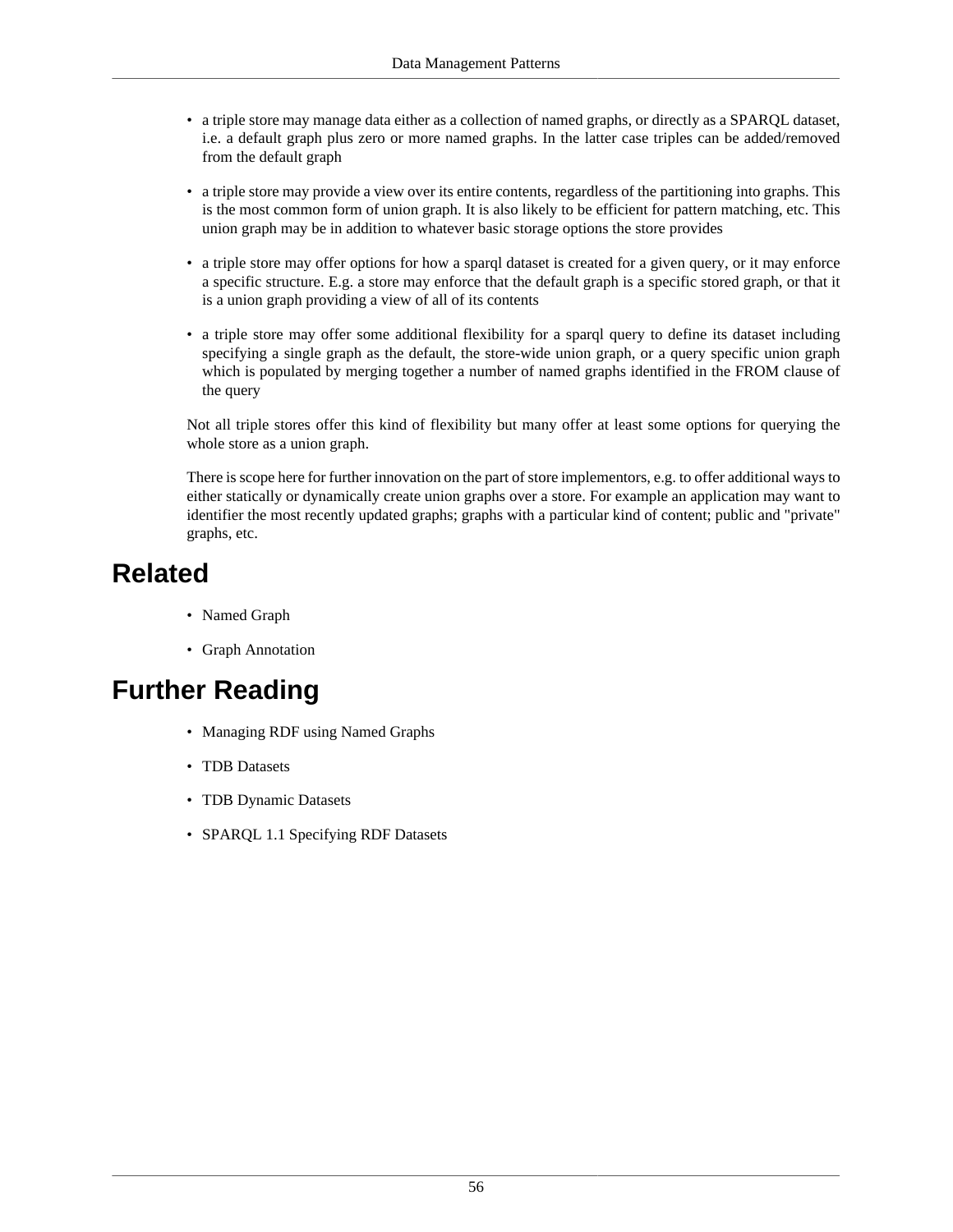- a triple store may manage data either as a collection of named graphs, or directly as a SPARQL dataset, i.e. a default graph plus zero or more named graphs. In the latter case triples can be added/removed from the default graph
- a triple store may provide a view over its entire contents, regardless of the partitioning into graphs. This is the most common form of union graph. It is also likely to be efficient for pattern matching, etc. This union graph may be in addition to whatever basic storage options the store provides
- a triple store may offer options for how a sparql dataset is created for a given query, or it may enforce a specific structure. E.g. a store may enforce that the default graph is a specific stored graph, or that it is a union graph providing a view of all of its contents
- a triple store may offer some additional flexibility for a sparql query to define its dataset including specifying a single graph as the default, the store-wide union graph, or a query specific union graph which is populated by merging together a number of named graphs identified in the FROM clause of the query

Not all triple stores offer this kind of flexibility but many offer at least some options for querying the whole store as a union graph.

There is scope here for further innovation on the part of store implementors, e.g. to offer additional ways to either statically or dynamically create union graphs over a store. For example an application may want to identifier the most recently updated graphs; graphs with a particular kind of content; public and "private" graphs, etc.

# **Related**

- [Named Graph](#page-56-0)
- [Graph Annotation](#page-47-0)

# **Further Reading**

- Managing RDF using Named Graphs
- TDB Datasets
- TDB Dynamic Datasets
- SPARQL 1.1 Specifying RDF Datasets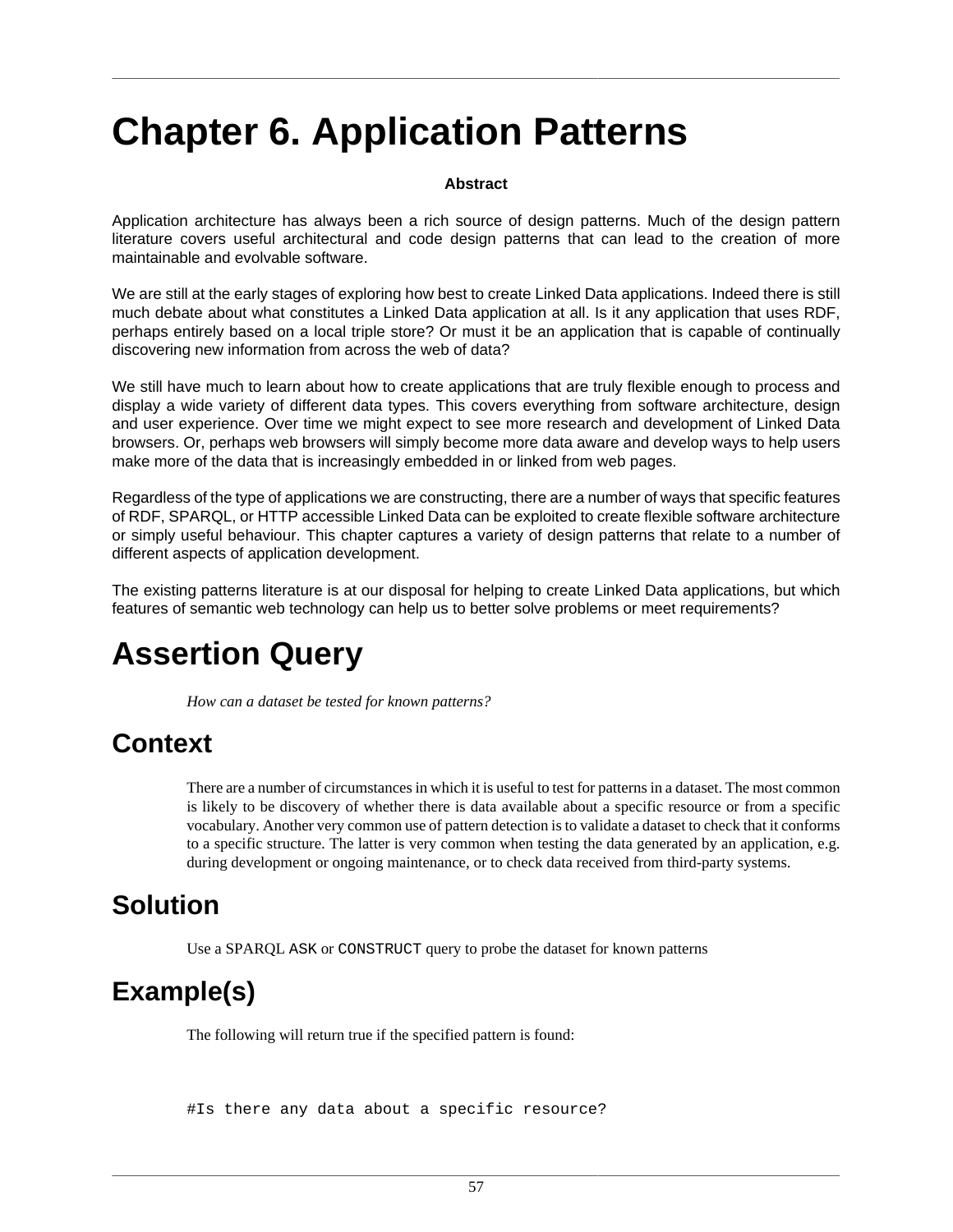# **Chapter 6. Application Patterns**

#### **Abstract**

Application architecture has always been a rich source of design patterns. Much of the design pattern literature covers useful architectural and code design patterns that can lead to the creation of more maintainable and evolvable software.

We are still at the early stages of exploring how best to create Linked Data applications. Indeed there is still much debate about what constitutes a Linked Data application at all. Is it any application that uses RDF, perhaps entirely based on a local triple store? Or must it be an application that is capable of continually discovering new information from across the web of data?

We still have much to learn about how to create applications that are truly flexible enough to process and display a wide variety of different data types. This covers everything from software architecture, design and user experience. Over time we might expect to see more research and development of Linked Data browsers. Or, perhaps web browsers will simply become more data aware and develop ways to help users make more of the data that is increasingly embedded in or linked from web pages.

Regardless of the type of applications we are constructing, there are a number of ways that specific features of RDF, SPARQL, or HTTP accessible Linked Data can be exploited to create flexible software architecture or simply useful behaviour. This chapter captures a variety of design patterns that relate to a number of different aspects of application development.

The existing patterns literature is at our disposal for helping to create Linked Data applications, but which features of semantic web technology can help us to better solve problems or meet requirements?

# <span id="page-60-0"></span>**Assertion Query**

*How can a dataset be tested for known patterns?*

# **Context**

There are a number of circumstances in which it is useful to test for patterns in a dataset. The most common is likely to be discovery of whether there is data available about a specific resource or from a specific vocabulary. Another very common use of pattern detection is to validate a dataset to check that it conforms to a specific structure. The latter is very common when testing the data generated by an application, e.g. during development or ongoing maintenance, or to check data received from third-party systems.

#### **Solution**

Use a SPARQL ASK or CONSTRUCT query to probe the dataset for known patterns

# **Example(s)**

The following will return true if the specified pattern is found:

#Is there any data about a specific resource?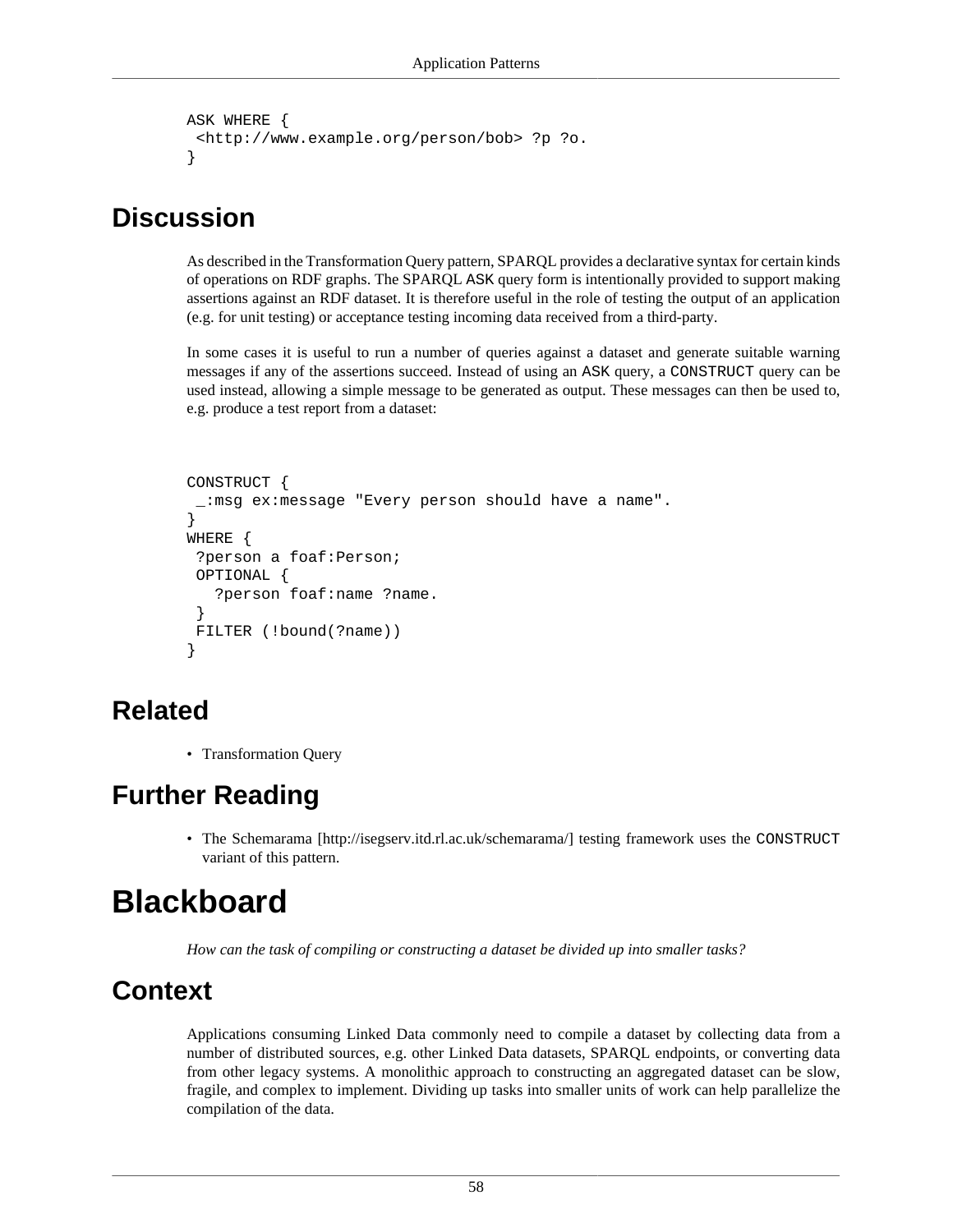```
ASK WHERE {
  <http://www.example.org/person/bob> ?p ?o.
}
```
#### **Discussion**

As described in the [Transformation Query](#page-75-0) pattern, SPARQL provides a declarative syntax for certain kinds of operations on RDF graphs. The SPARQL ASK query form is intentionally provided to support making assertions against an RDF dataset. It is therefore useful in the role of testing the output of an application (e.g. for unit testing) or acceptance testing incoming data received from a third-party.

In some cases it is useful to run a number of queries against a dataset and generate suitable warning messages if any of the assertions succeed. Instead of using an ASK query, a CONSTRUCT query can be used instead, allowing a simple message to be generated as output. These messages can then be used to, e.g. produce a test report from a dataset:

```
CONSTRUCT {
  _:msg ex:message "Every person should have a name".
} 
WHERE {
  ?person a foaf:Person;
 OPTIONAL {
    ?person foaf:name ?name.
  }
 FILTER (!bound(?name)) 
}
```
# **Related**

• [Transformation Query](#page-75-0)

# **Further Reading**

• The [Schemarama](http://isegserv.itd.rl.ac.uk/schemarama/) [<http://isegserv.itd.rl.ac.uk/schemarama/>] testing framework uses the CONSTRUCT variant of this pattern.

# <span id="page-61-0"></span>**Blackboard**

*How can the task of compiling or constructing a dataset be divided up into smaller tasks?*

#### **Context**

Applications consuming Linked Data commonly need to compile a dataset by collecting data from a number of distributed sources, e.g. other Linked Data datasets, SPARQL endpoints, or converting data from other legacy systems. A monolithic approach to constructing an aggregated dataset can be slow, fragile, and complex to implement. Dividing up tasks into smaller units of work can help parallelize the compilation of the data.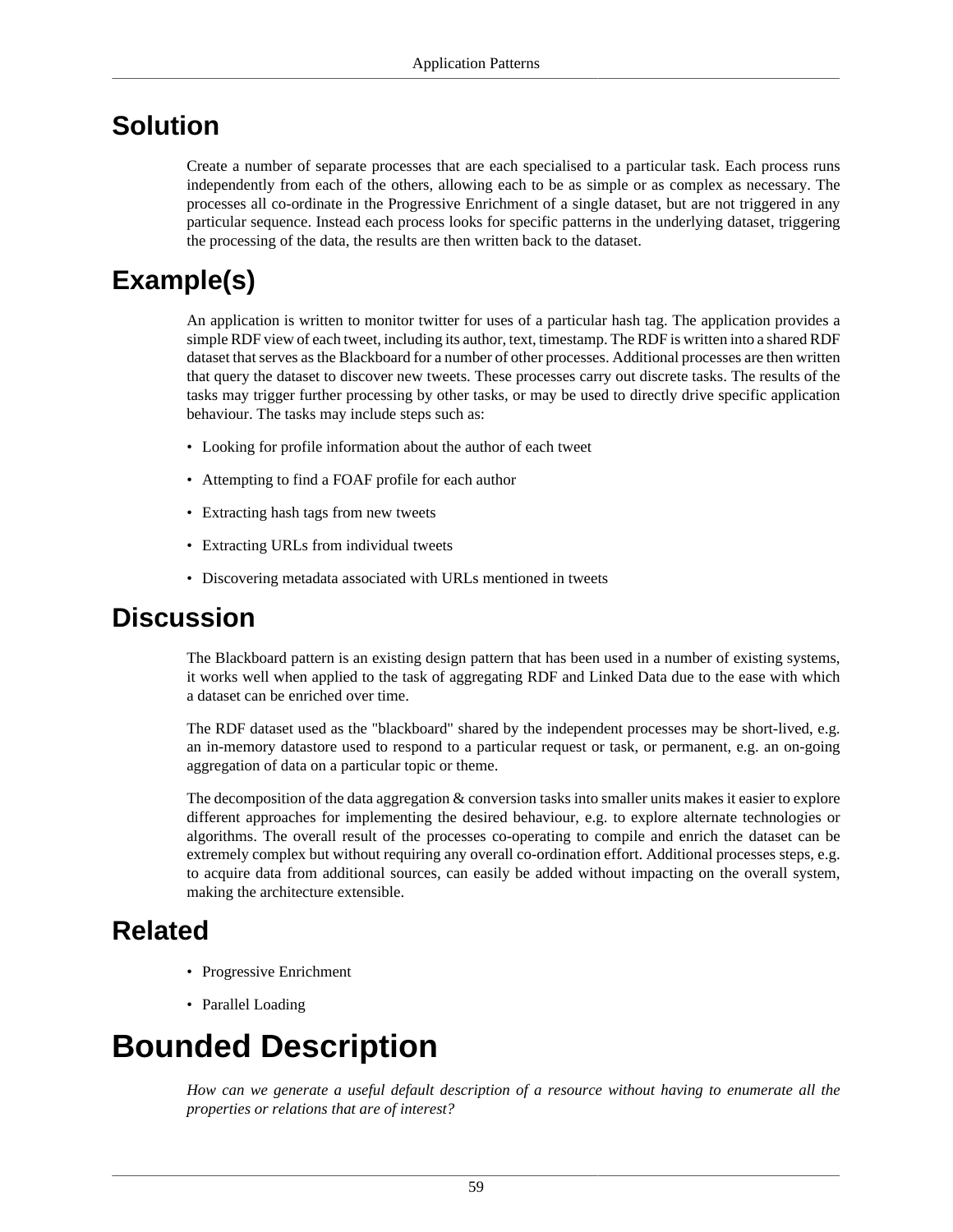#### **Solution**

Create a number of separate processes that are each specialised to a particular task. Each process runs independently from each of the others, allowing each to be as simple or as complex as necessary. The processes all co-ordinate in the [Progressive Enrichment](#page-43-0) of a single dataset, but are not triggered in any particular sequence. Instead each process looks for specific patterns in the underlying dataset, triggering the processing of the data, the results are then written back to the dataset.

### **Example(s)**

An application is written to monitor twitter for uses of a particular hash tag. The application provides a simple RDF view of each tweet, including its author, text, timestamp. The RDF is written into a shared RDF dataset that serves as the Blackboard for a number of other processes. Additional processes are then written that query the dataset to discover new tweets. These processes carry out discrete tasks. The results of the tasks may trigger further processing by other tasks, or may be used to directly drive specific application behaviour. The tasks may include steps such as:

- Looking for profile information about the author of each tweet
- Attempting to find a FOAF profile for each author
- Extracting hash tags from new tweets
- Extracting URLs from individual tweets
- Discovering metadata associated with URLs mentioned in tweets

#### **Discussion**

The Blackboard pattern is an existing design pattern that has been used in a number of existing systems, it works well when applied to the task of aggregating RDF and Linked Data due to the ease with which a dataset can be enriched over time.

The RDF dataset used as the "blackboard" shared by the independent processes may be short-lived, e.g. an in-memory datastore used to respond to a particular request or task, or permanent, e.g. an on-going aggregation of data on a particular topic or theme.

The decomposition of the data aggregation & conversion tasks into smaller units makes it easier to explore different approaches for implementing the desired behaviour, e.g. to explore alternate technologies or algorithms. The overall result of the processes co-operating to compile and enrich the dataset can be extremely complex but without requiring any overall co-ordination effort. Additional processes steps, e.g. to acquire data from additional sources, can easily be added without impacting on the overall system, making the architecture extensible.

#### **Related**

- [Progressive Enrichment](#page-43-0)
- [Parallel Loading](#page-68-0)

# <span id="page-62-0"></span>**Bounded Description**

*How can we generate a useful default description of a resource without having to enumerate all the properties or relations that are of interest?*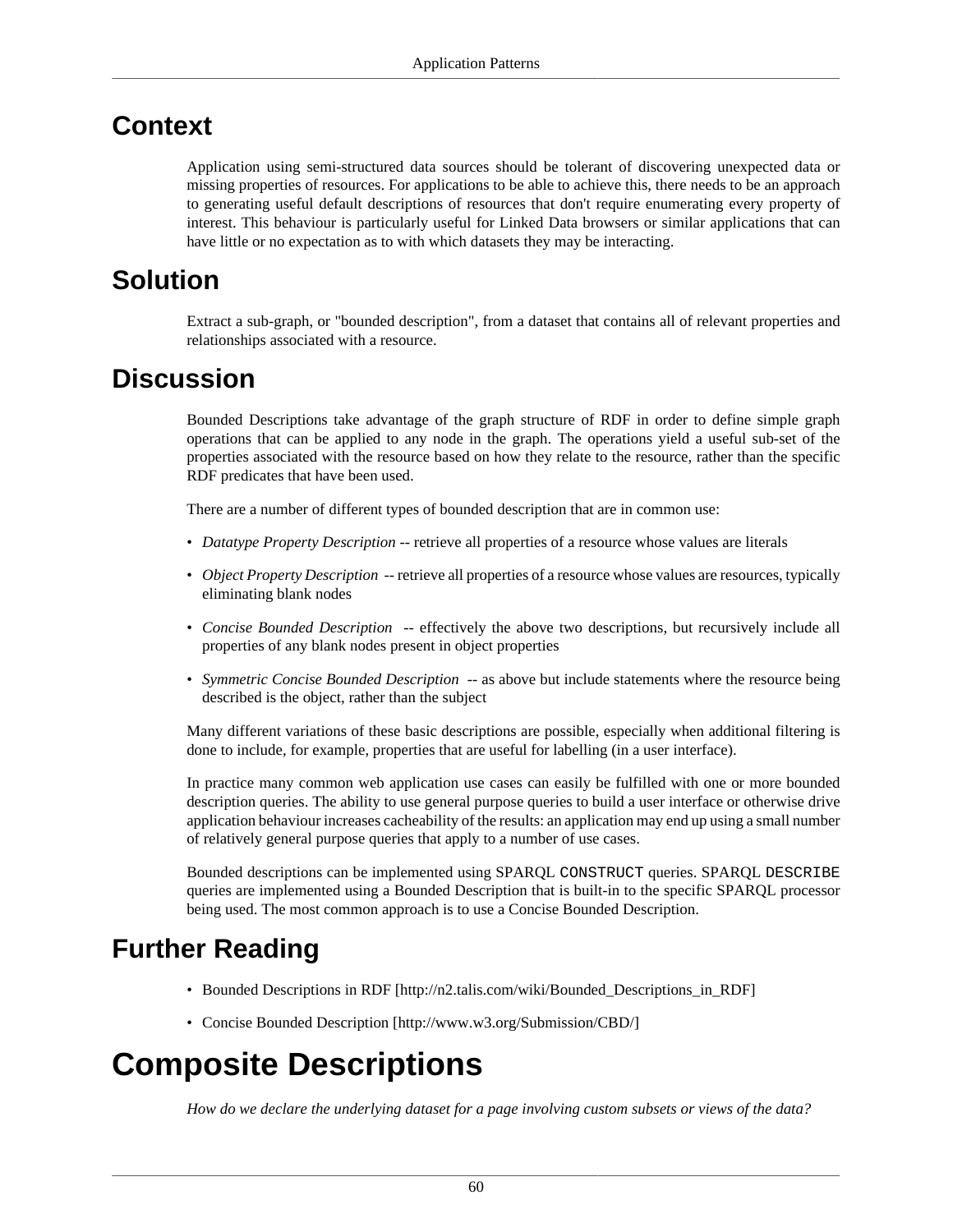#### **Context**

Application using semi-structured data sources should be tolerant of discovering unexpected data or missing properties of resources. For applications to be able to achieve this, there needs to be an approach to generating useful default descriptions of resources that don't require enumerating every property of interest. This behaviour is particularly useful for Linked Data browsers or similar applications that can have little or no expectation as to with which datasets they may be interacting.

#### **Solution**

Extract a sub-graph, or "bounded description", from a dataset that contains all of relevant properties and relationships associated with a resource.

#### **Discussion**

Bounded Descriptions take advantage of the graph structure of RDF in order to define simple graph operations that can be applied to any node in the graph. The operations yield a useful sub-set of the properties associated with the resource based on how they relate to the resource, rather than the specific RDF predicates that have been used.

There are a number of different types of bounded description that are in common use:

- *Datatype Property Description* -- retrieve all properties of a resource whose values are literals
- *Object Property Description* -- retrieve all properties of a resource whose values are resources, typically eliminating blank nodes
- *Concise Bounded Description* -- effectively the above two descriptions, but recursively include all properties of any blank nodes present in object properties
- *Symmetric Concise Bounded Description* -- as above but include statements where the resource being described is the object, rather than the subject

Many different variations of these basic descriptions are possible, especially when additional filtering is done to include, for example, properties that are useful for labelling (in a user interface).

In practice many common web application use cases can easily be fulfilled with one or more bounded description queries. The ability to use general purpose queries to build a user interface or otherwise drive application behaviour increases cacheability of the results: an application may end up using a small number of relatively general purpose queries that apply to a number of use cases.

Bounded descriptions can be implemented using SPARQL CONSTRUCT queries. SPARQL DESCRIBE queries are implemented using a Bounded Description that is built-in to the specific SPARQL processor being used. The most common approach is to use a Concise Bounded Description.

#### **Further Reading**

- [Bounded Descriptions in RDF](http://n2.talis.com/wiki/Bounded_Descriptions_in_RDF) [\[http://n2.talis.com/wiki/Bounded\\_Descriptions\\_in\\_RDF](http://n2.talis.com/wiki/Bounded_Descriptions_in_RDF)]
- [Concise Bounded Description](http://www.w3.org/Submission/CBD/) [[http://www.w3.org/Submission/CBD/\]](http://www.w3.org/Submission/CBD/)

# **Composite Descriptions**

*How do we declare the underlying dataset for a page involving custom subsets or views of the data?*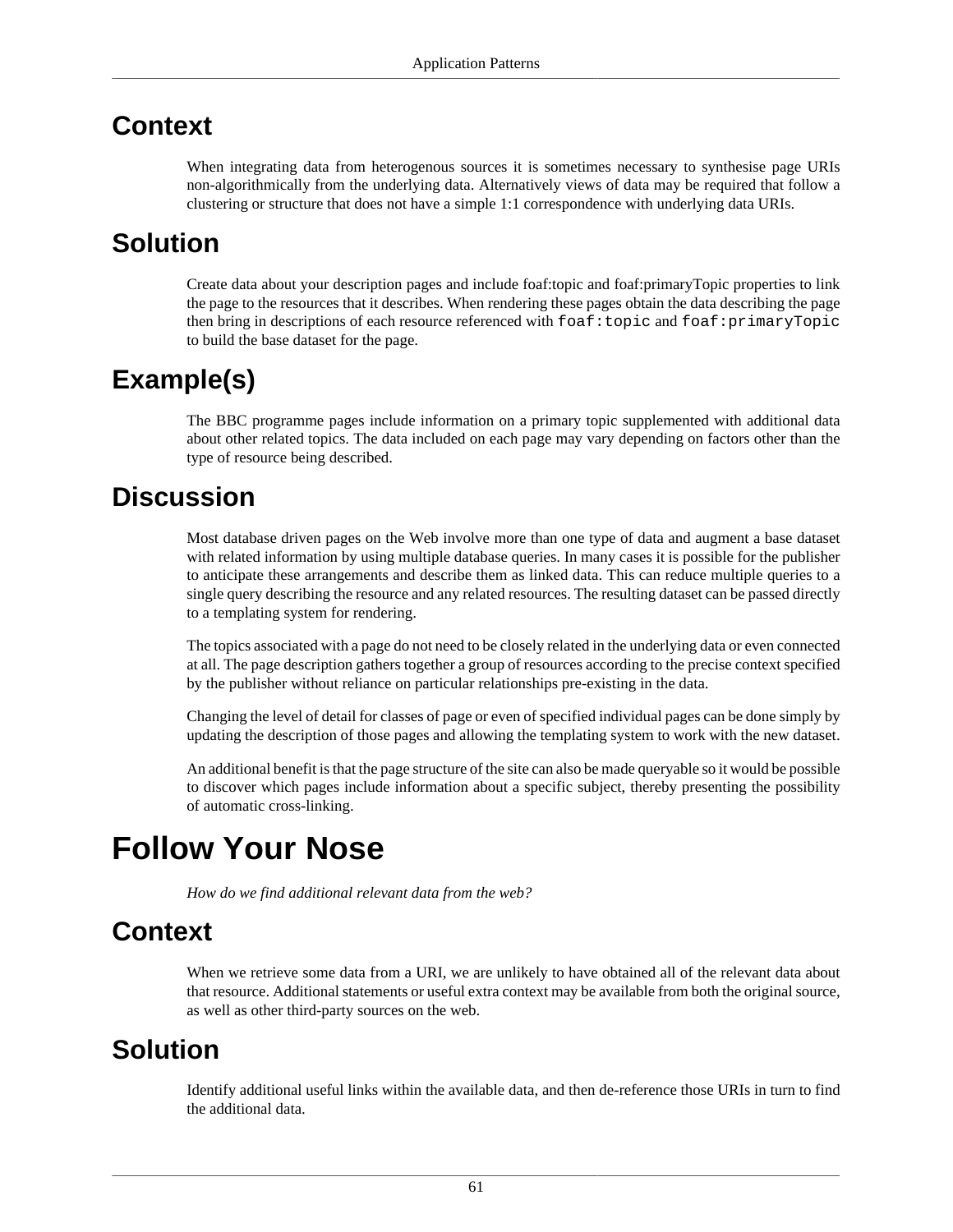#### **Context**

When integrating data from heterogenous sources it is sometimes necessary to synthesise page URIs non-algorithmically from the underlying data. Alternatively views of data may be required that follow a clustering or structure that does not have a simple 1:1 correspondence with underlying data URIs.

#### **Solution**

Create data about your description pages and include foaf:topic and foaf:primaryTopic properties to link the page to the resources that it describes. When rendering these pages obtain the data describing the page then bring in descriptions of each resource referenced with  $f$ oaf:topic and  $f$ oaf:primaryTopic to build the base dataset for the page.

### **Example(s)**

The BBC programme pages include information on a primary topic supplemented with additional data about other related topics. The data included on each page may vary depending on factors other than the type of resource being described.

#### **Discussion**

Most database driven pages on the Web involve more than one type of data and augment a base dataset with related information by using multiple database queries. In many cases it is possible for the publisher to anticipate these arrangements and describe them as linked data. This can reduce multiple queries to a single query describing the resource and any related resources. The resulting dataset can be passed directly to a templating system for rendering.

The topics associated with a page do not need to be closely related in the underlying data or even connected at all. The page description gathers together a group of resources according to the precise context specified by the publisher without reliance on particular relationships pre-existing in the data.

Changing the level of detail for classes of page or even of specified individual pages can be done simply by updating the description of those pages and allowing the templating system to work with the new dataset.

An additional benefit is that the page structure of the site can also be made queryable so it would be possible to discover which pages include information about a specific subject, thereby presenting the possibility of automatic cross-linking.

# <span id="page-64-0"></span>**Follow Your Nose**

*How do we find additional relevant data from the web?*

# **Context**

When we retrieve some data from a URI, we are unlikely to have obtained all of the relevant data about that resource. Additional statements or useful extra context may be available from both the original source, as well as other third-party sources on the web.

#### **Solution**

Identify additional useful links within the available data, and then de-reference those URIs in turn to find the additional data.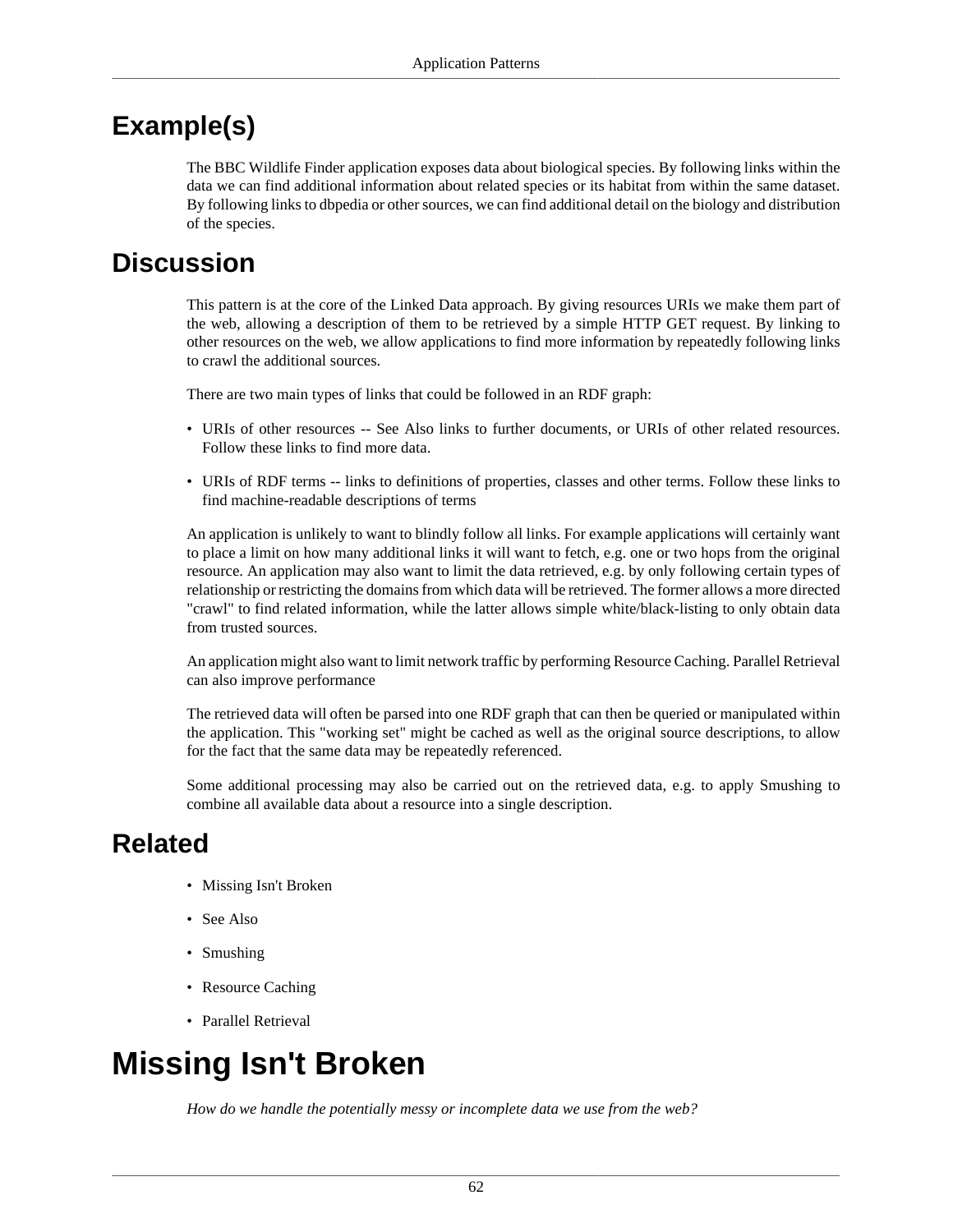# **Example(s)**

The BBC Wildlife Finder application exposes data about biological species. By following links within the data we can find additional information about related species or its habitat from within the same dataset. By following links to dbpedia or other sources, we can find additional detail on the biology and distribution of the species.

#### **Discussion**

This pattern is at the core of the Linked Data approach. By giving resources URIs we make them part of the web, allowing a description of them to be retrieved by a simple HTTP GET request. By linking to other resources on the web, we allow applications to find more information by repeatedly following links to crawl the additional sources.

There are two main types of links that could be followed in an RDF graph:

- URIs of other resources -- [See Also](#page-44-0) links to further documents, or URIs of other related resources. Follow these links to find more data.
- URIs of RDF terms -- links to definitions of properties, classes and other terms. Follow these links to find machine-readable descriptions of terms

An application is unlikely to want to blindly follow all links. For example applications will certainly want to place a limit on how many additional links it will want to fetch, e.g. one or two hops from the original resource. An application may also want to limit the data retrieved, e.g. by only following certain types of relationship or restricting the domains from which data will be retrieved. The former allows a more directed "crawl" to find related information, while the latter allows simple white/black-listing to only obtain data from trusted sources.

An application might also want to limit network traffic by performing [Resource Caching.](#page-71-0) [Parallel Retrieval](#page-69-0) can also improve performance

The retrieved data will often be parsed into one RDF graph that can then be queried or manipulated within the application. This "working set" might be cached as well as the original source descriptions, to allow for the fact that the same data may be repeatedly referenced.

Some additional processing may also be carried out on the retrieved data, e.g. to apply [Smushing](#page-72-0) to combine all available data about a resource into a single description.

# **Related**

- [Missing Isn't Broken](#page-65-0)
- [See Also](#page-44-0)
- [Smushing](#page-72-0)
- [Resource Caching](#page-71-0)
- [Parallel Retrieval](#page-68-0)

# <span id="page-65-0"></span>**Missing Isn't Broken**

*How do we handle the potentially messy or incomplete data we use from the web?*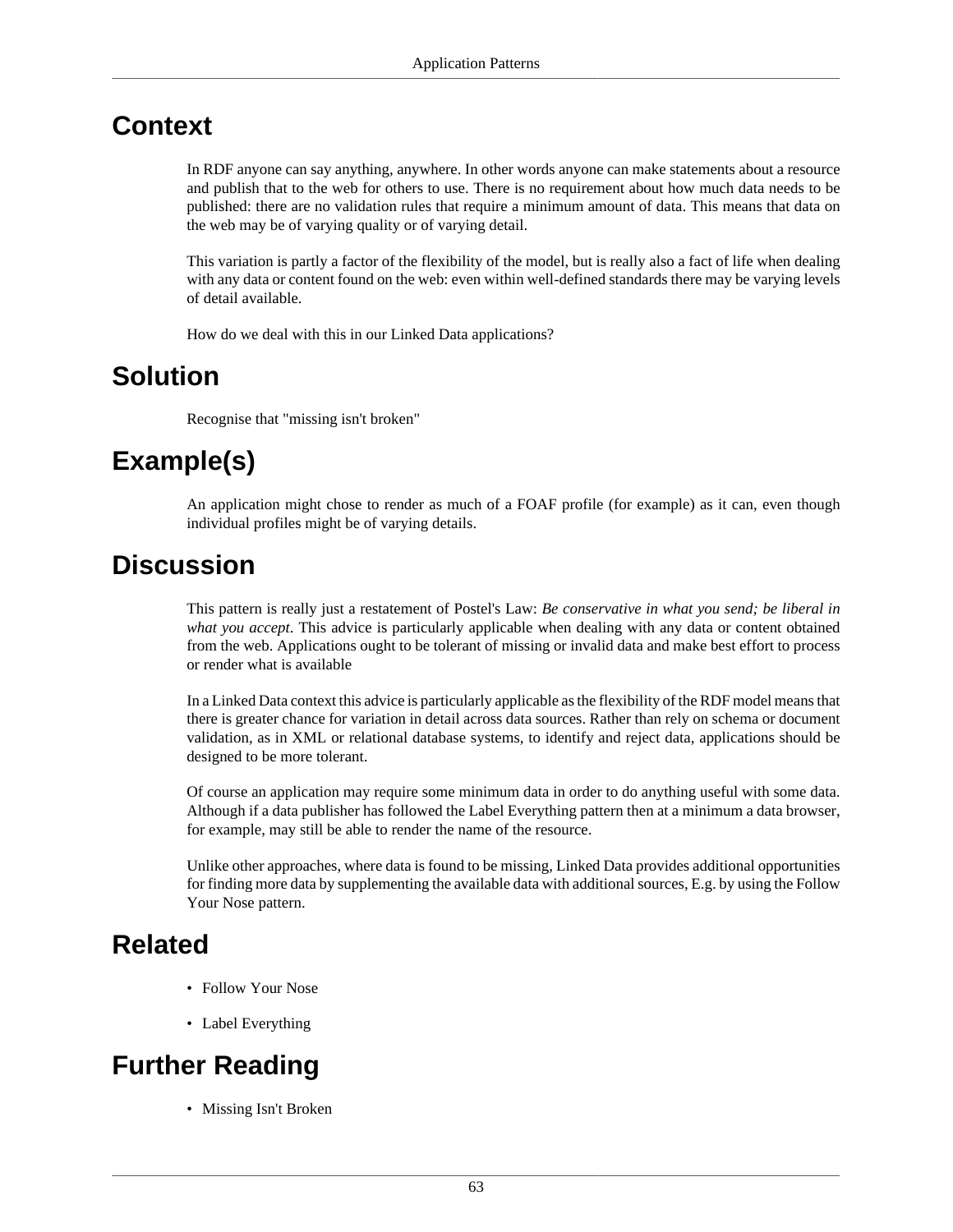#### **Context**

In RDF anyone can say anything, anywhere. In other words anyone can make statements about a resource and publish that to the web for others to use. There is no requirement about how much data needs to be published: there are no validation rules that require a minimum amount of data. This means that data on the web may be of varying quality or of varying detail.

This variation is partly a factor of the flexibility of the model, but is really also a fact of life when dealing with any data or content found on the web: even within well-defined standards there may be varying levels of detail available.

How do we deal with this in our Linked Data applications?

#### **Solution**

Recognise that "missing isn't broken"

### **Example(s)**

An application might chose to render as much of a FOAF profile (for example) as it can, even though individual profiles might be of varying details.

#### **Discussion**

This pattern is really just a restatement of Postel's Law: *Be conservative in what you send; be liberal in what you accept*. This advice is particularly applicable when dealing with any data or content obtained from the web. Applications ought to be tolerant of missing or invalid data and make best effort to process or render what is available

In a Linked Data context this advice is particularly applicable as the flexibility of the RDF model means that there is greater chance for variation in detail across data sources. Rather than rely on schema or document validation, as in XML or relational database systems, to identify and reject data, applications should be designed to be more tolerant.

Of course an application may require some minimum data in order to do anything useful with some data. Although if a data publisher has followed the [Label Everything](#page-18-0) pattern then at a minimum a data browser, for example, may still be able to render the name of the resource.

Unlike other approaches, where data is found to be missing, Linked Data provides additional opportunities for finding more data by supplementing the available data with additional sources, E.g. by using the [Follow](#page-64-0) [Your Nose](#page-64-0) pattern.

#### **Related**

- [Follow Your Nose](#page-64-0)
- [Label Everything](#page-18-0)

# **Further Reading**

• Missing Isn't Broken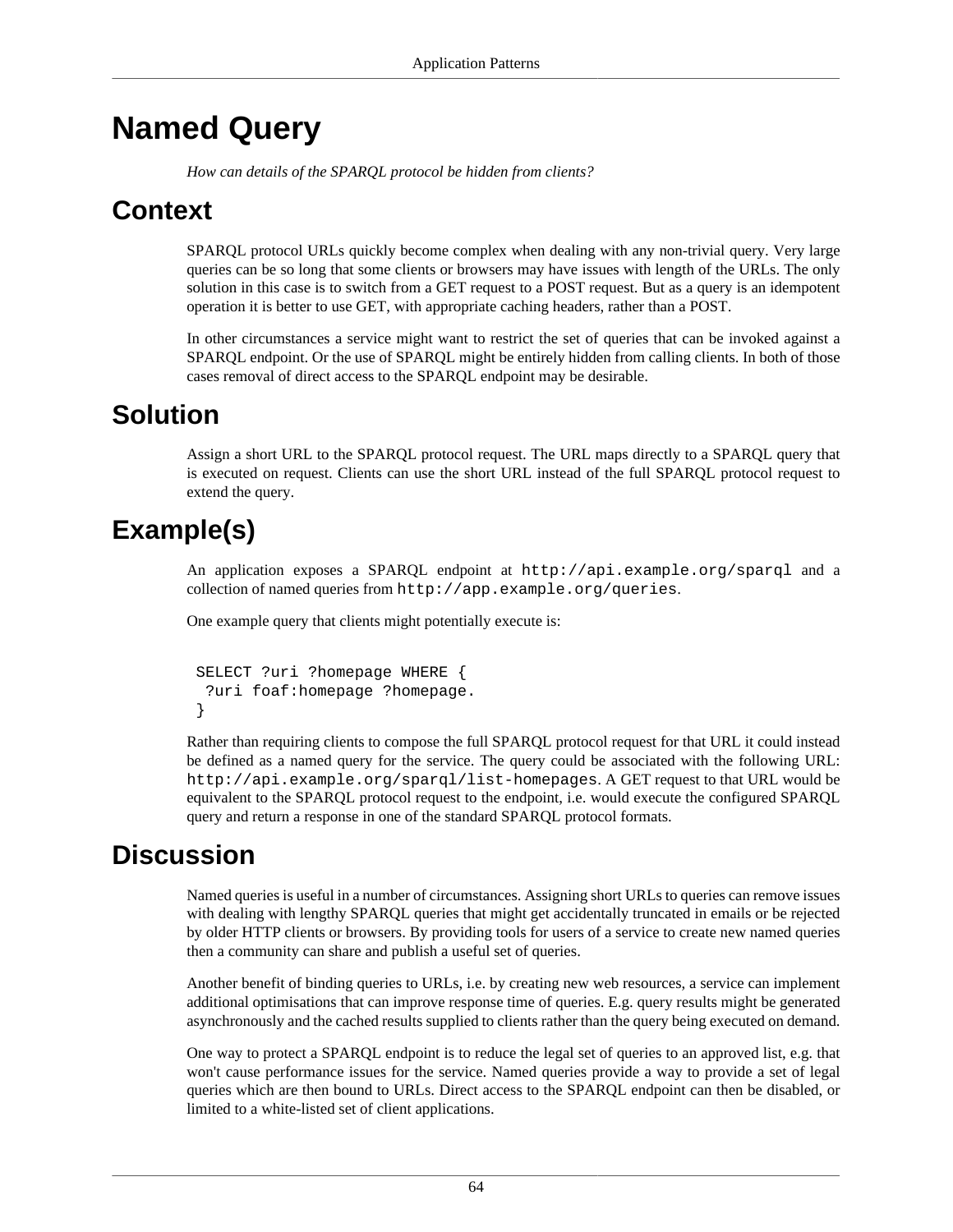# <span id="page-67-0"></span>**Named Query**

*How can details of the SPARQL protocol be hidden from clients?*

#### **Context**

SPARQL protocol URLs quickly become complex when dealing with any non-trivial query. Very large queries can be so long that some clients or browsers may have issues with length of the URLs. The only solution in this case is to switch from a GET request to a POST request. But as a query is an idempotent operation it is better to use GET, with appropriate caching headers, rather than a POST.

In other circumstances a service might want to restrict the set of queries that can be invoked against a SPARQL endpoint. Or the use of SPARQL might be entirely hidden from calling clients. In both of those cases removal of direct access to the SPARQL endpoint may be desirable.

#### **Solution**

Assign a short URL to the SPARQL protocol request. The URL maps directly to a SPARQL query that is executed on request. Clients can use the short URL instead of the full SPARQL protocol request to extend the query.

# **Example(s)**

An application exposes a SPARQL endpoint at http://api.example.org/sparql and a collection of named queries from http://app.example.org/queries.

One example query that clients might potentially execute is:

```
 SELECT ?uri ?homepage WHERE {
  ?uri foaf:homepage ?homepage.
 }
```
Rather than requiring clients to compose the full SPARQL protocol request for that URL it could instead be defined as a named query for the service. The query could be associated with the following URL: http://api.example.org/sparql/list-homepages. A GET request to that URL would be equivalent to the SPARQL protocol request to the endpoint, i.e. would execute the configured SPARQL query and return a response in one of the standard SPARQL protocol formats.

#### **Discussion**

Named queries is useful in a number of circumstances. Assigning short URLs to queries can remove issues with dealing with lengthy SPARQL queries that might get accidentally truncated in emails or be rejected by older HTTP clients or browsers. By providing tools for users of a service to create new named queries then a community can share and publish a useful set of queries.

Another benefit of binding queries to URLs, i.e. by creating new web resources, a service can implement additional optimisations that can improve response time of queries. E.g. query results might be generated asynchronously and the cached results supplied to clients rather than the query being executed on demand.

One way to protect a SPARQL endpoint is to reduce the legal set of queries to an approved list, e.g. that won't cause performance issues for the service. Named queries provide a way to provide a set of legal queries which are then bound to URLs. Direct access to the SPARQL endpoint can then be disabled, or limited to a white-listed set of client applications.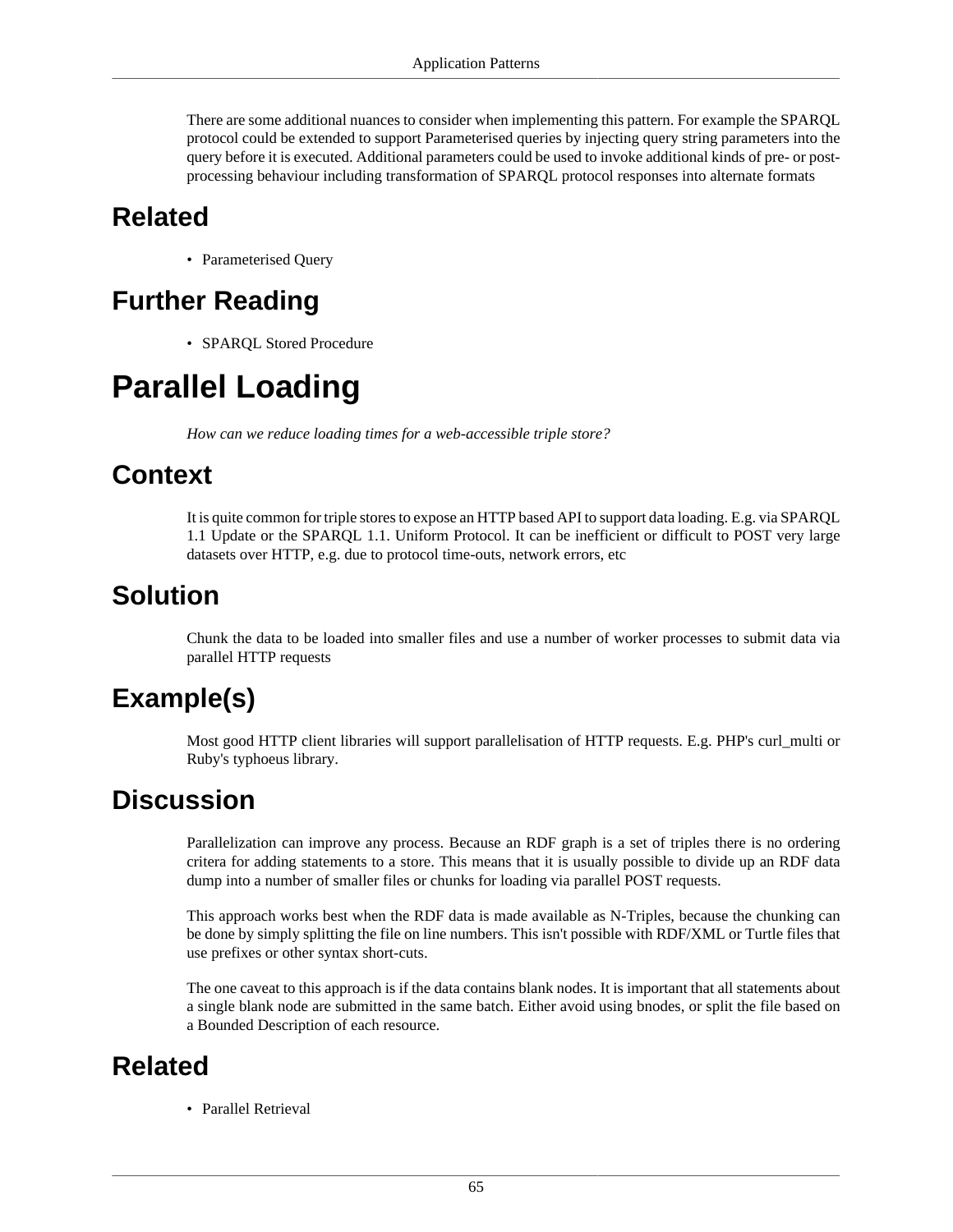There are some additional nuances to consider when implementing this pattern. For example the SPARQL protocol could be extended to support [Parameterised queries](#page-69-1) by injecting query string parameters into the query before it is executed. Additional parameters could be used to invoke additional kinds of pre- or postprocessing behaviour including transformation of SPARQL protocol responses into alternate formats

#### **Related**

• [Parameterised Query](#page-69-1)

# **Further Reading**

• SPARQL Stored Procedure

# <span id="page-68-0"></span>**Parallel Loading**

*How can we reduce loading times for a web-accessible triple store?*

#### **Context**

It is quite common for triple stores to expose an HTTP based API to support data loading. E.g. via SPARQL 1.1 Update or the SPARQL 1.1. Uniform Protocol. It can be inefficient or difficult to POST very large datasets over HTTP, e.g. due to protocol time-outs, network errors, etc

### **Solution**

Chunk the data to be loaded into smaller files and use a number of worker processes to submit data via parallel HTTP requests

# **Example(s)**

Most good HTTP client libraries will support parallelisation of HTTP requests. E.g. PHP's curl\_multi or Ruby's typhoeus library.

#### **Discussion**

Parallelization can improve any process. Because an RDF graph is a set of triples there is no ordering critera for adding statements to a store. This means that it is usually possible to divide up an RDF data dump into a number of smaller files or chunks for loading via parallel POST requests.

This approach works best when the RDF data is made available as N-Triples, because the chunking can be done by simply splitting the file on line numbers. This isn't possible with RDF/XML or Turtle files that use prefixes or other syntax short-cuts.

The one caveat to this approach is if the data contains blank nodes. It is important that all statements about a single blank node are submitted in the same batch. Either avoid using bnodes, or split the file based on a [Bounded Description](#page-62-0) of each resource.

#### **Related**

• [Parallel Retrieval](#page-69-0)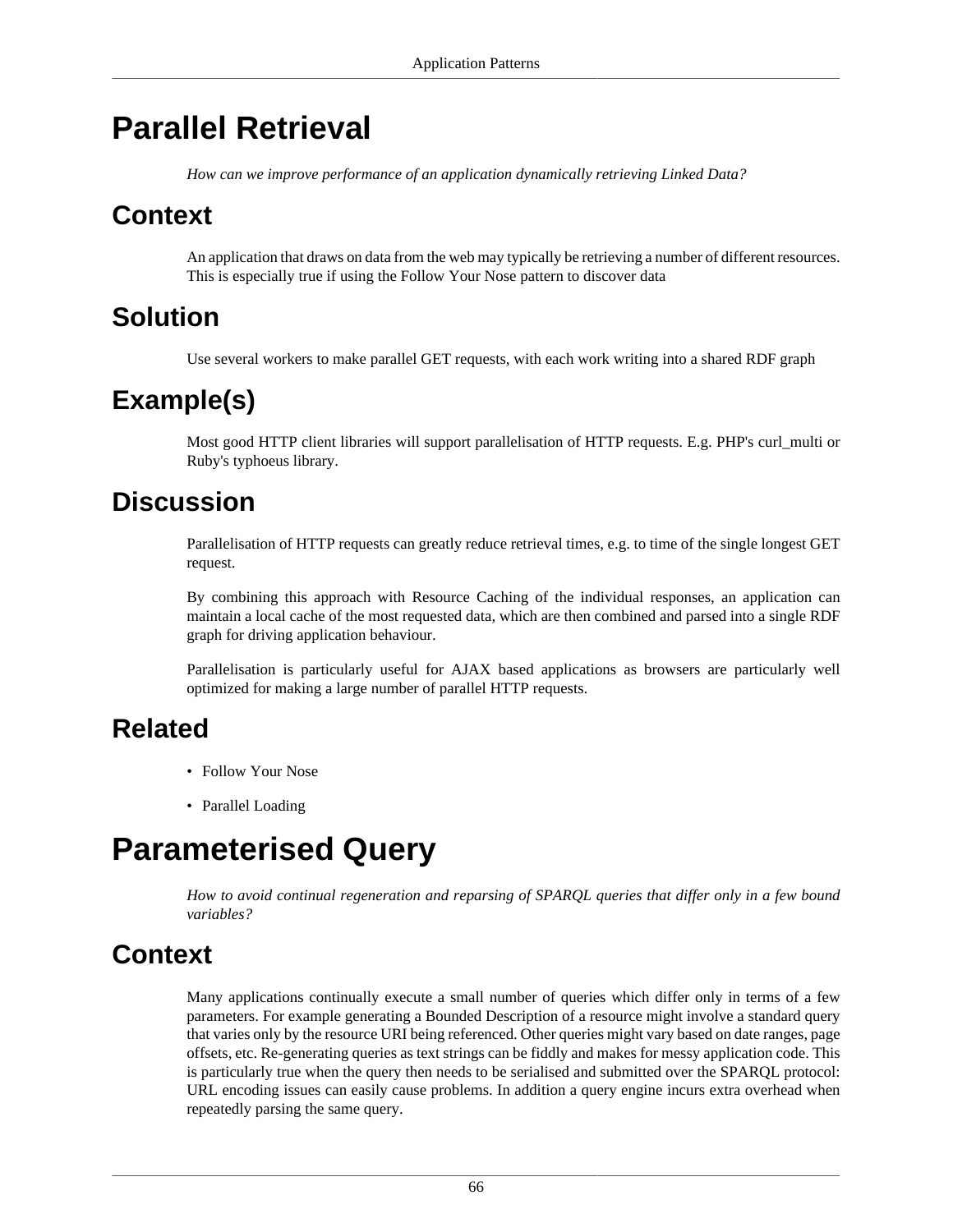# <span id="page-69-0"></span>**Parallel Retrieval**

*How can we improve performance of an application dynamically retrieving Linked Data?*

### **Context**

An application that draws on data from the web may typically be retrieving a number of different resources. This is especially true if using the [Follow Your Nose](#page-64-0) pattern to discover data

### **Solution**

Use several workers to make parallel GET requests, with each work writing into a shared RDF graph

# **Example(s)**

Most good HTTP client libraries will support parallelisation of HTTP requests. E.g. PHP's curl\_multi or Ruby's typhoeus library.

### **Discussion**

Parallelisation of HTTP requests can greatly reduce retrieval times, e.g. to time of the single longest GET request.

By combining this approach with [Resource Caching](#page-71-0) of the individual responses, an application can maintain a local cache of the most requested data, which are then combined and parsed into a single RDF graph for driving application behaviour.

Parallelisation is particularly useful for AJAX based applications as browsers are particularly well optimized for making a large number of parallel HTTP requests.

#### **Related**

- [Follow Your Nose](#page-64-0)
- [Parallel Loading](#page-68-0)

# <span id="page-69-1"></span>**Parameterised Query**

*How to avoid continual regeneration and reparsing of SPARQL queries that differ only in a few bound variables?*

# **Context**

Many applications continually execute a small number of queries which differ only in terms of a few parameters. For example generating a [Bounded Description](#page-62-0) of a resource might involve a standard query that varies only by the resource URI being referenced. Other queries might vary based on date ranges, page offsets, etc. Re-generating queries as text strings can be fiddly and makes for messy application code. This is particularly true when the query then needs to be serialised and submitted over the SPARQL protocol: URL encoding issues can easily cause problems. In addition a query engine incurs extra overhead when repeatedly parsing the same query.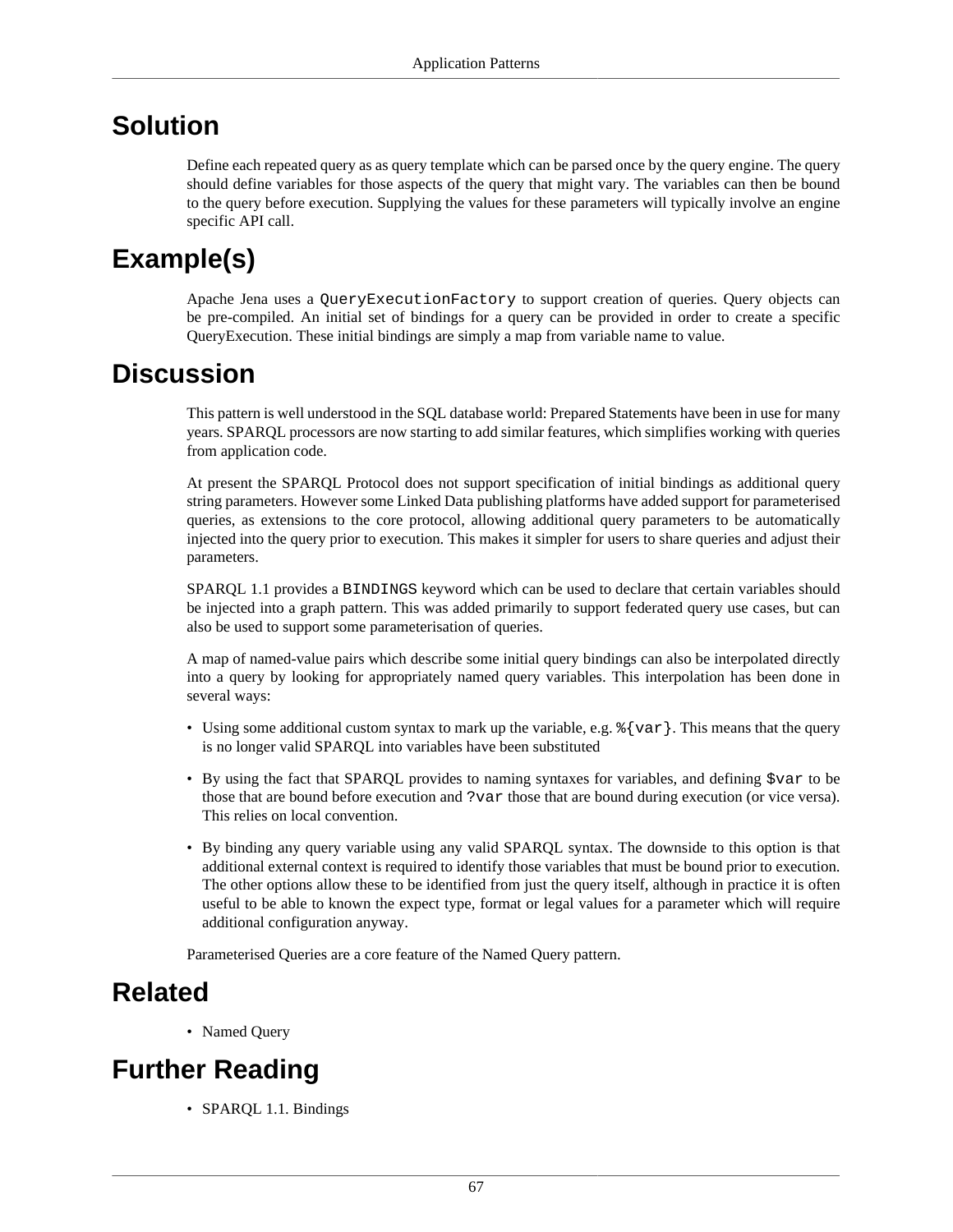#### **Solution**

Define each repeated query as as query template which can be parsed once by the query engine. The query should define variables for those aspects of the query that might vary. The variables can then be bound to the query before execution. Supplying the values for these parameters will typically involve an engine specific API call.

# **Example(s)**

Apache Jena uses a QueryExecutionFactory to support creation of queries. Query objects can be pre-compiled. An initial set of bindings for a query can be provided in order to create a specific QueryExecution. These initial bindings are simply a map from variable name to value.

#### **Discussion**

This pattern is well understood in the SQL database world: Prepared Statements have been in use for many years. SPARQL processors are now starting to add similar features, which simplifies working with queries from application code.

At present the SPARQL Protocol does not support specification of initial bindings as additional query string parameters. However some Linked Data publishing platforms have added support for parameterised queries, as extensions to the core protocol, allowing additional query parameters to be automatically injected into the query prior to execution. This makes it simpler for users to share queries and adjust their parameters.

SPARQL 1.1 provides a BINDINGS keyword which can be used to declare that certain variables should be injected into a graph pattern. This was added primarily to support federated query use cases, but can also be used to support some parameterisation of queries.

A map of named-value pairs which describe some initial query bindings can also be interpolated directly into a query by looking for appropriately named query variables. This interpolation has been done in several ways:

- Using some additional custom syntax to mark up the variable, e.g.  $\{\sqrt{x}r\}$ . This means that the query is no longer valid SPARQL into variables have been substituted
- By using the fact that SPARQL provides to naming syntaxes for variables, and defining \$var to be those that are bound before execution and ?var those that are bound during execution (or vice versa). This relies on local convention.
- By binding any query variable using any valid SPARQL syntax. The downside to this option is that additional external context is required to identify those variables that must be bound prior to execution. The other options allow these to be identified from just the query itself, although in practice it is often useful to be able to known the expect type, format or legal values for a parameter which will require additional configuration anyway.

Parameterised Queries are a core feature of the [Named Query](#page-67-0) pattern.

#### **Related**

• [Named Query](#page-67-0)

# **Further Reading**

• SPARQL 1.1. Bindings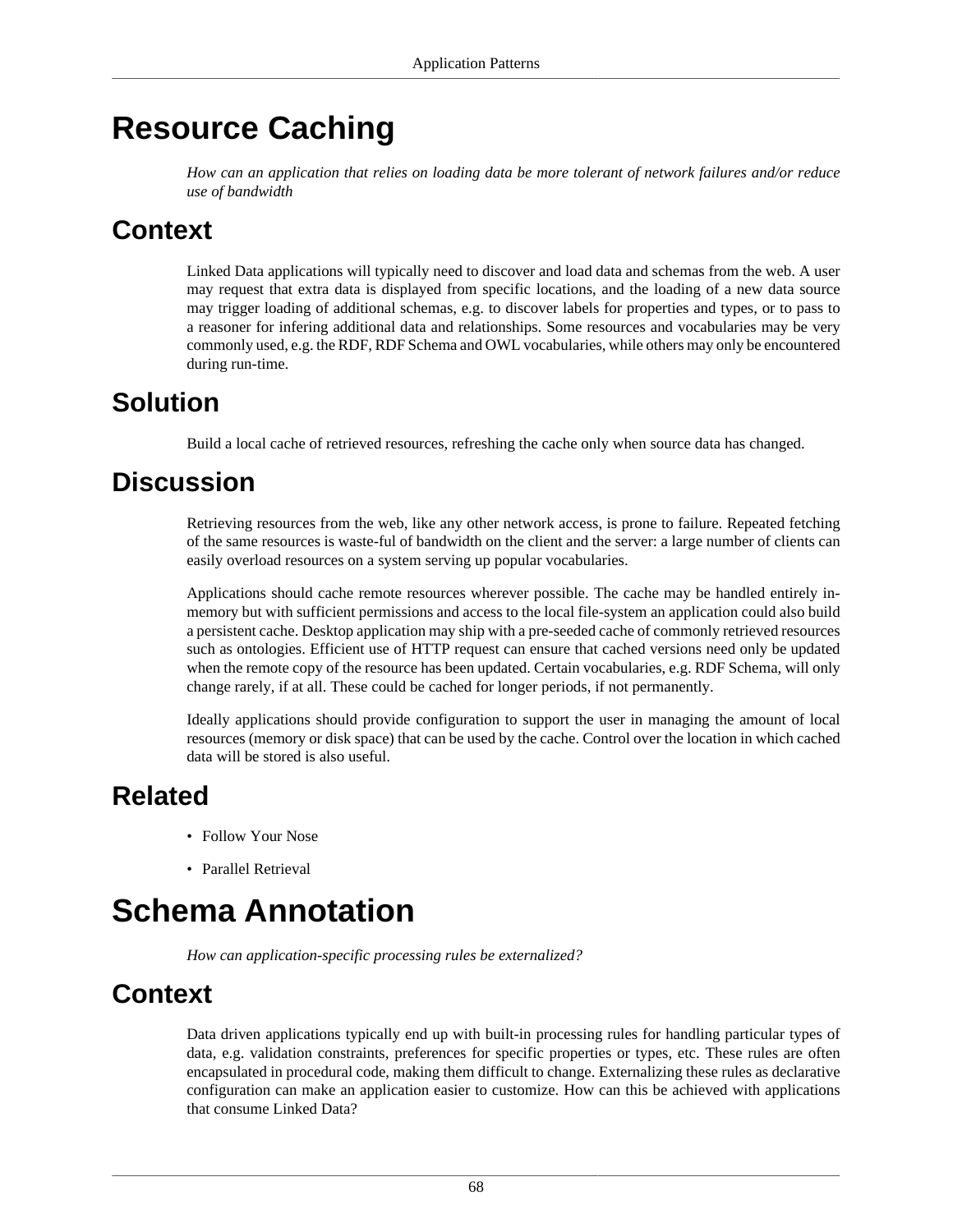# <span id="page-71-0"></span>**Resource Caching**

*How can an application that relies on loading data be more tolerant of network failures and/or reduce use of bandwidth*

### **Context**

Linked Data applications will typically need to discover and load data and schemas from the web. A user may request that extra data is displayed from specific locations, and the loading of a new data source may trigger loading of additional schemas, e.g. to discover labels for properties and types, or to pass to a reasoner for infering additional data and relationships. Some resources and vocabularies may be very commonly used, e.g. the RDF, RDF Schema and OWL vocabularies, while others may only be encountered during run-time.

# **Solution**

Build a local cache of retrieved resources, refreshing the cache only when source data has changed.

### **Discussion**

Retrieving resources from the web, like any other network access, is prone to failure. Repeated fetching of the same resources is waste-ful of bandwidth on the client and the server: a large number of clients can easily overload resources on a system serving up popular vocabularies.

Applications should cache remote resources wherever possible. The cache may be handled entirely inmemory but with sufficient permissions and access to the local file-system an application could also build a persistent cache. Desktop application may ship with a pre-seeded cache of commonly retrieved resources such as ontologies. Efficient use of HTTP request can ensure that cached versions need only be updated when the remote copy of the resource has been updated. Certain vocabularies, e.g. RDF Schema, will only change rarely, if at all. These could be cached for longer periods, if not permanently.

Ideally applications should provide configuration to support the user in managing the amount of local resources (memory or disk space) that can be used by the cache. Control over the location in which cached data will be stored is also useful.

# **Related**

- [Follow Your Nose](#page-64-0)
- [Parallel Retrieval](#page-69-0)

# **Schema Annotation**

*How can application-specific processing rules be externalized?*

# **Context**

Data driven applications typically end up with built-in processing rules for handling particular types of data, e.g. validation constraints, preferences for specific properties or types, etc. These rules are often encapsulated in procedural code, making them difficult to change. Externalizing these rules as declarative configuration can make an application easier to customize. How can this be achieved with applications that consume Linked Data?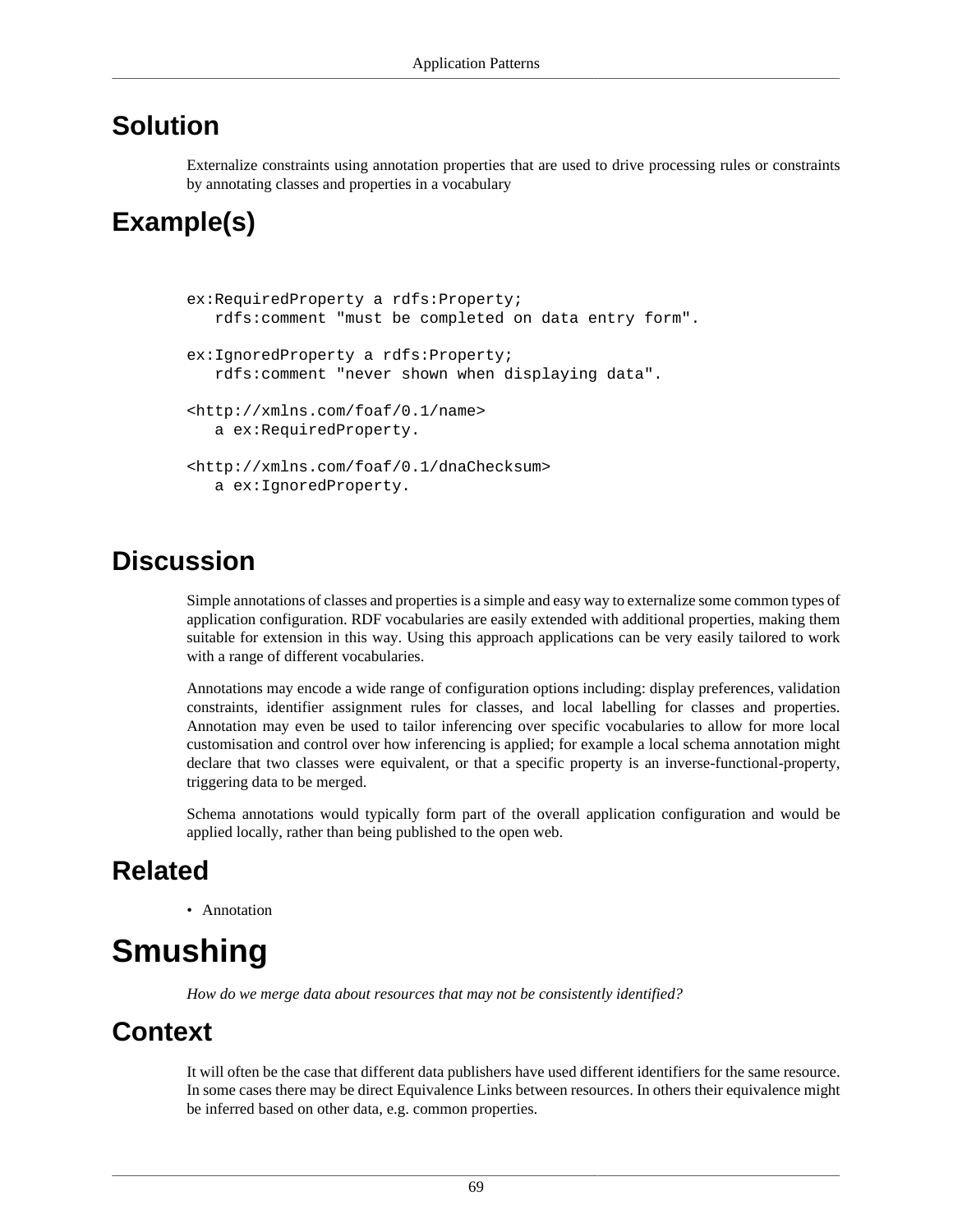#### **Solution**

Externalize constraints using annotation properties that are used to drive processing rules or constraints by annotating classes and properties in a vocabulary

## **Example(s)**

```
ex:RequiredProperty a rdfs:Property;
   rdfs:comment "must be completed on data entry form".
ex:IgnoredProperty a rdfs:Property;
   rdfs:comment "never shown when displaying data".
<http://xmlns.com/foaf/0.1/name>
   a ex:RequiredProperty.
<http://xmlns.com/foaf/0.1/dnaChecksum>
   a ex:IgnoredProperty.
```
#### **Discussion**

Simple annotations of classes and properties is a simple and easy way to externalize some common types of application configuration. RDF vocabularies are easily extended with additional properties, making them suitable for extension in this way. Using this approach applications can be very easily tailored to work with a range of different vocabularies.

Annotations may encode a wide range of configuration options including: display preferences, validation constraints, identifier assignment rules for classes, and local labelling for classes and properties. Annotation may even be used to tailor inferencing over specific vocabularies to allow for more local customisation and control over how inferencing is applied; for example a local schema annotation might declare that two classes were equivalent, or that a specific property is an inverse-functional-property, triggering data to be merged.

Schema annotations would typically form part of the overall application configuration and would be applied locally, rather than being published to the open web.

#### **Related**

• [Annotation](#page-33-0)

# **Smushing**

*How do we merge data about resources that may not be consistently identified?*

#### **Context**

It will often be the case that different data publishers have used different identifiers for the same resource. In some cases there may be direct [Equivalence Links](#page-39-0) between resources. In others their equivalence might be inferred based on other data, e.g. common properties.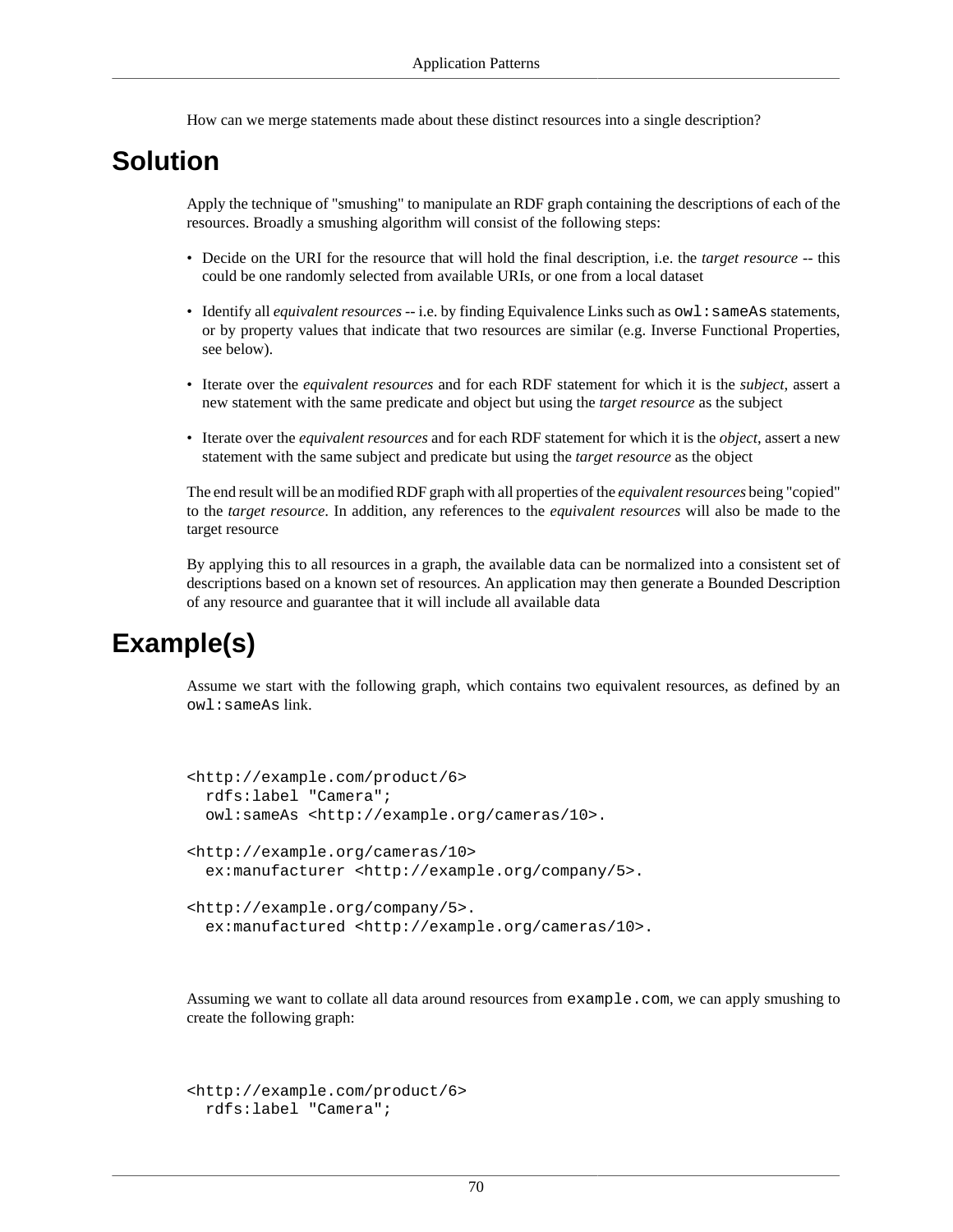How can we merge statements made about these distinct resources into a single description?

#### **Solution**

Apply the technique of "smushing" to manipulate an RDF graph containing the descriptions of each of the resources. Broadly a smushing algorithm will consist of the following steps:

- Decide on the URI for the resource that will hold the final description, i.e. the *target resource* -- this could be one randomly selected from available URIs, or one from a local dataset
- Identify all *equivalent resources* -- i.e. by finding [Equivalence Links](#page-39-0) such as  $ow1:sameAs$  statements, or by property values that indicate that two resources are similar (e.g. Inverse Functional Properties, see below).
- Iterate over the *equivalent resources* and for each RDF statement for which it is the *subject*, assert a new statement with the same predicate and object but using the *target resource* as the subject
- Iterate over the *equivalent resources* and for each RDF statement for which it is the *object*, assert a new statement with the same subject and predicate but using the *target resource* as the object

The end result will be an modified RDF graph with all properties of the *equivalent resources* being "copied" to the *target resource*. In addition, any references to the *equivalent resources* will also be made to the target resource

By applying this to all resources in a graph, the available data can be normalized into a consistent set of descriptions based on a known set of resources. An application may then generate a [Bounded Description](#page-62-0) of any resource and guarantee that it will include all available data

## **Example(s)**

Assume we start with the following graph, which contains two equivalent resources, as defined by an owl:sameAs link.

```
<http://example.com/product/6>
  rdfs:label "Camera";
  owl:sameAs <http://example.org/cameras/10>.
<http://example.org/cameras/10>
  ex:manufacturer <http://example.org/company/5>.
<http://example.org/company/5>.
   ex:manufactured <http://example.org/cameras/10>.
```
Assuming we want to collate all data around resources from example.com, we can apply smushing to

create the following graph:

```
<http://example.com/product/6>
  rdfs:label "Camera";
```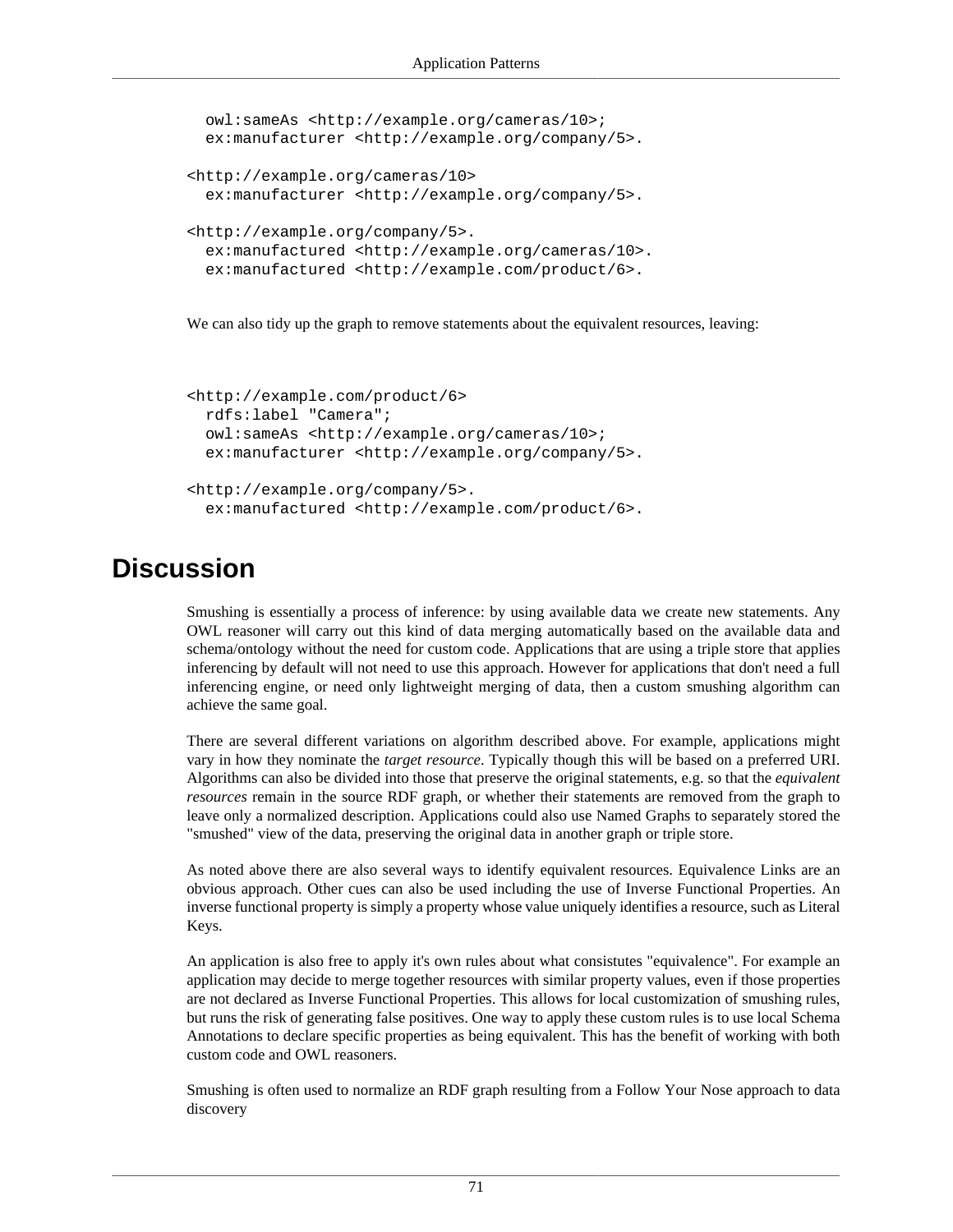```
 owl:sameAs <http://example.org/cameras/10>; 
 ex:manufacturer <http://example.org/company/5>.
<http://example.org/cameras/10>
   ex:manufacturer <http://example.org/company/5>.
<http://example.org/company/5>.
  ex:manufactured <http://example.org/cameras/10>.
  ex:manufactured <http://example.com/product/6>.
```
We can also tidy up the graph to remove statements about the equivalent resources, leaving:

```
<http://example.com/product/6>
  rdfs:label "Camera";
  owl:sameAs <http://example.org/cameras/10>; 
  ex:manufacturer <http://example.org/company/5>.
<http://example.org/company/5>.
   ex:manufactured <http://example.com/product/6>.
```
#### **Discussion**

Smushing is essentially a process of inference: by using available data we create new statements. Any OWL reasoner will carry out this kind of data merging automatically based on the available data and schema/ontology without the need for custom code. Applications that are using a triple store that applies inferencing by default will not need to use this approach. However for applications that don't need a full inferencing engine, or need only lightweight merging of data, then a custom smushing algorithm can achieve the same goal.

There are several different variations on algorithm described above. For example, applications might vary in how they nominate the *target resource*. Typically though this will be based on a preferred URI. Algorithms can also be divided into those that preserve the original statements, e.g. so that the *equivalent resources* remain in the source RDF graph, or whether their statements are removed from the graph to leave only a normalized description. Applications could also use [Named Graphs](#page-56-0) to separately stored the "smushed" view of the data, preserving the original data in another graph or triple store.

As noted above there are also several ways to identify equivalent resources. [Equivalence Links](#page-39-0) are an obvious approach. Other cues can also be used including the use of Inverse Functional Properties. An inverse functional property is simply a property whose value uniquely identifies a resource, such as [Literal](#page-8-0) [Keys.](#page-8-0)

An application is also free to apply it's own rules about what consistutes "equivalence". For example an application may decide to merge together resources with similar property values, even if those properties are not declared as Inverse Functional Properties. This allows for local customization of smushing rules, but runs the risk of generating false positives. One way to apply these custom rules is to use local [Schema](#page-71-0) [Annotations](#page-71-0) to declare specific properties as being equivalent. This has the benefit of working with both custom code and OWL reasoners.

Smushing is often used to normalize an RDF graph resulting from a [Follow Your Nose](#page-64-0) approach to data discovery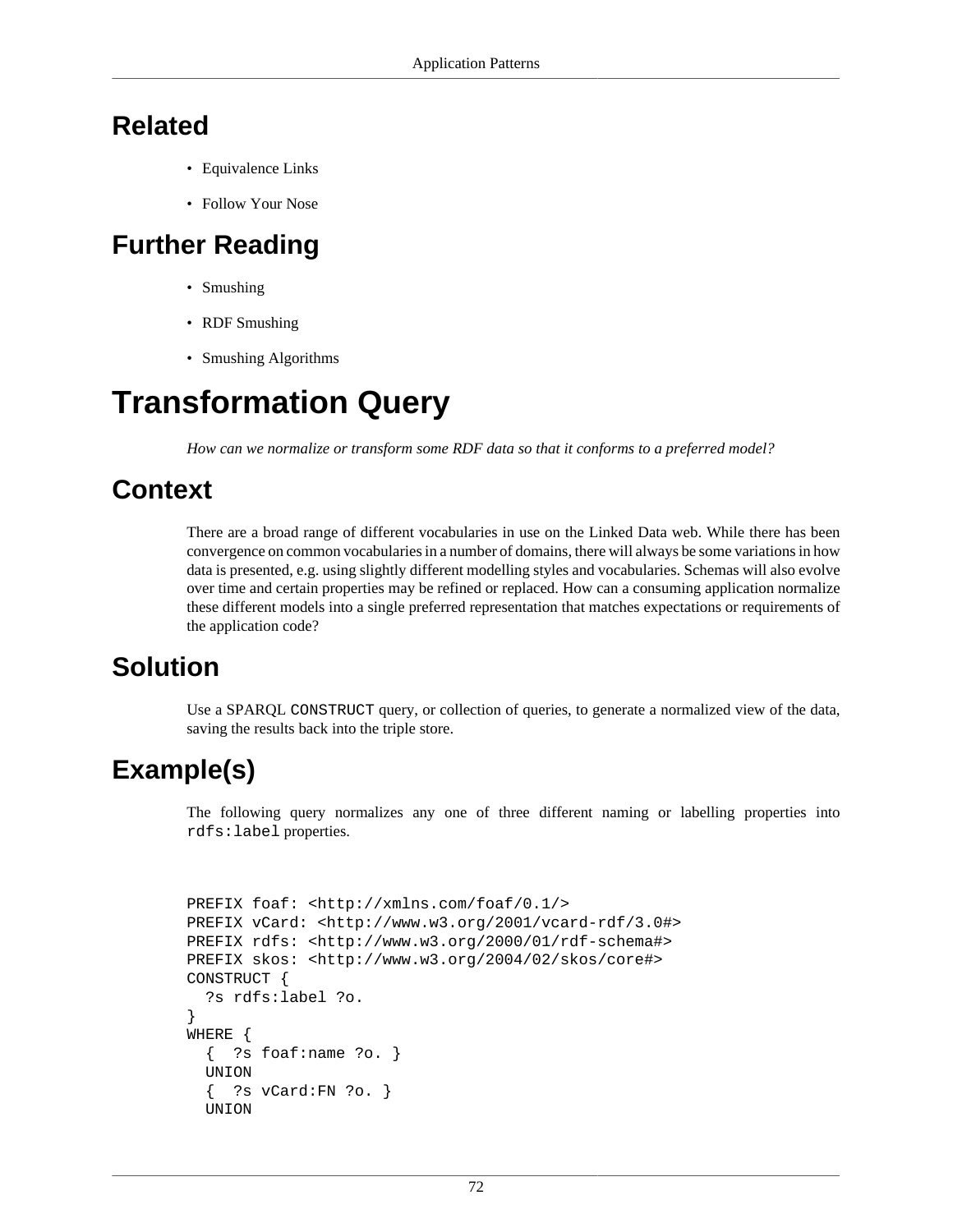## **Related**

- [Equivalence Links](#page-39-0)
- [Follow Your Nose](#page-64-0)

#### **Further Reading**

- Smushing
- RDF Smushing
- Smushing Algorithms

# **Transformation Query**

*How can we normalize or transform some RDF data so that it conforms to a preferred model?*

#### **Context**

There are a broad range of different vocabularies in use on the Linked Data web. While there has been convergence on common vocabularies in a number of domains, there will always be some variations in how data is presented, e.g. using slightly different modelling styles and vocabularies. Schemas will also evolve over time and certain properties may be refined or replaced. How can a consuming application normalize these different models into a single preferred representation that matches expectations or requirements of the application code?

## **Solution**

Use a SPARQL CONSTRUCT query, or collection of queries, to generate a normalized view of the data, saving the results back into the triple store.

## **Example(s)**

The following query normalizes any one of three different naming or labelling properties into rdfs:label properties.

```
PREFIX foaf: <http://xmlns.com/foaf/0.1/>
PREFIX vCard: <http://www.w3.org/2001/vcard-rdf/3.0#>
PREFIX rdfs: <http://www.w3.org/2000/01/rdf-schema#>
PREFIX skos: <http://www.w3.org/2004/02/skos/core#>
CONSTRUCT {
   ?s rdfs:label ?o.
}
WHERE {
  \{ ?s foaf:name ?o. \} UNION
   { ?s vCard:FN ?o. }
   UNION
```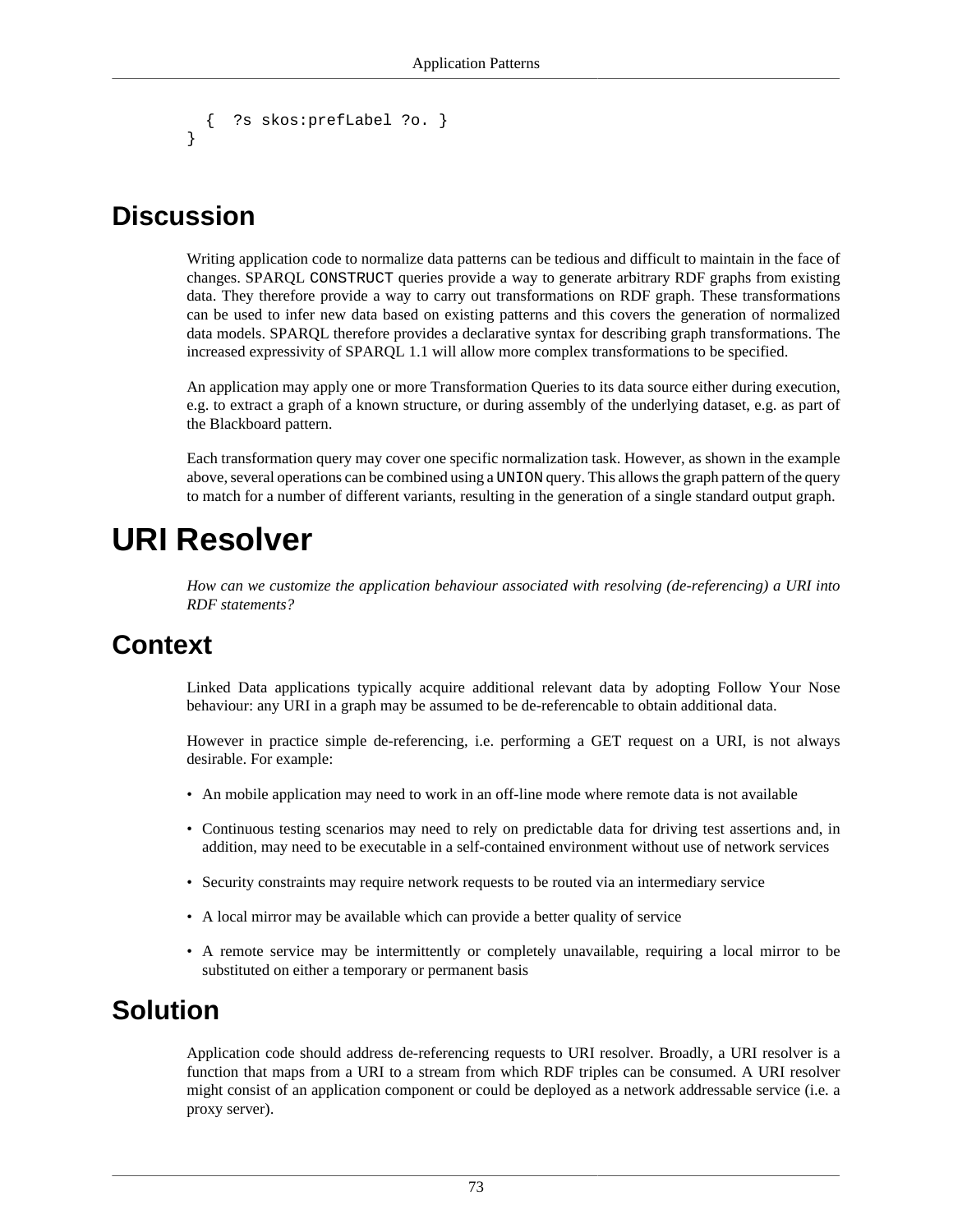```
 { ?s skos:prefLabel ?o. }
}
```
#### **Discussion**

Writing application code to normalize data patterns can be tedious and difficult to maintain in the face of changes. SPARQL CONSTRUCT queries provide a way to generate arbitrary RDF graphs from existing data. They therefore provide a way to carry out transformations on RDF graph. These transformations can be used to infer new data based on existing patterns and this covers the generation of normalized data models. SPARQL therefore provides a declarative syntax for describing graph transformations. The increased expressivity of SPARQL 1.1 will allow more complex transformations to be specified.

An application may apply one or more Transformation Queries to its data source either during execution, e.g. to extract a graph of a known structure, or during assembly of the underlying dataset, e.g. as part of the [Blackboard](#page-61-0) pattern.

Each transformation query may cover one specific normalization task. However, as shown in the example above, several operations can be combined using a UNION query. This allows the graph pattern of the query to match for a number of different variants, resulting in the generation of a single standard output graph.

# **URI Resolver**

*How can we customize the application behaviour associated with resolving (de-referencing) a URI into RDF statements?*

#### **Context**

Linked Data applications typically acquire additional relevant data by adopting [Follow Your Nose](#page-64-0) behaviour: any URI in a graph may be assumed to be de-referencable to obtain additional data.

However in practice simple de-referencing, i.e. performing a GET request on a URI, is not always desirable. For example:

- An mobile application may need to work in an off-line mode where remote data is not available
- Continuous testing scenarios may need to rely on predictable data for driving test assertions and, in addition, may need to be executable in a self-contained environment without use of network services
- Security constraints may require network requests to be routed via an intermediary service
- A local mirror may be available which can provide a better quality of service
- A remote service may be intermittently or completely unavailable, requiring a local mirror to be substituted on either a temporary or permanent basis

#### **Solution**

Application code should address de-referencing requests to URI resolver. Broadly, a URI resolver is a function that maps from a URI to a stream from which RDF triples can be consumed. A URI resolver might consist of an application component or could be deployed as a network addressable service (i.e. a proxy server).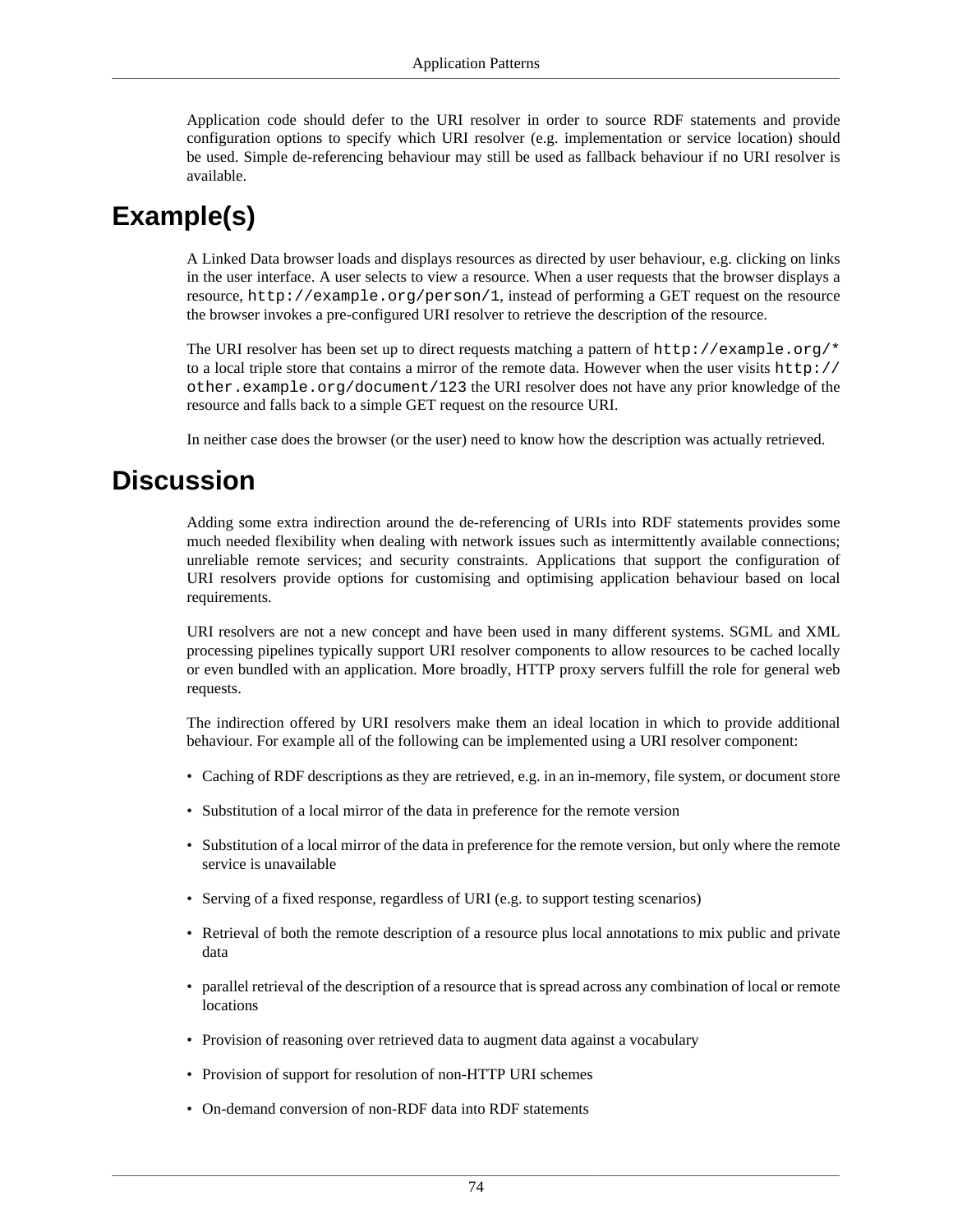Application code should defer to the URI resolver in order to source RDF statements and provide configuration options to specify which URI resolver (e.g. implementation or service location) should be used. Simple de-referencing behaviour may still be used as fallback behaviour if no URI resolver is available.

## **Example(s)**

A Linked Data browser loads and displays resources as directed by user behaviour, e.g. clicking on links in the user interface. A user selects to view a resource. When a user requests that the browser displays a resource, http://example.org/person/1, instead of performing a GET request on the resource the browser invokes a pre-configured URI resolver to retrieve the description of the resource.

The URI resolver has been set up to direct requests matching a pattern of http://example.org/\* to a local triple store that contains a mirror of the remote data. However when the user visits http:// other.example.org/document/123 the URI resolver does not have any prior knowledge of the resource and falls back to a simple GET request on the resource URI.

In neither case does the browser (or the user) need to know how the description was actually retrieved.

#### **Discussion**

Adding some extra indirection around the de-referencing of URIs into RDF statements provides some much needed flexibility when dealing with network issues such as intermittently available connections; unreliable remote services; and security constraints. Applications that support the configuration of URI resolvers provide options for customising and optimising application behaviour based on local requirements.

URI resolvers are not a new concept and have been used in many different systems. SGML and XML processing pipelines typically support URI resolver components to allow resources to be cached locally or even bundled with an application. More broadly, HTTP proxy servers fulfill the role for general web requests.

The indirection offered by URI resolvers make them an ideal location in which to provide additional behaviour. For example all of the following can be implemented using a URI resolver component:

- Caching of RDF descriptions as they are retrieved, e.g. in an in-memory, file system, or document store
- Substitution of a local mirror of the data in preference for the remote version
- Substitution of a local mirror of the data in preference for the remote version, but only where the remote service is unavailable
- Serving of a fixed response, regardless of URI (e.g. to support testing scenarios)
- Retrieval of both the remote description of a resource plus local [annotations](#page-33-0) to mix public and private data
- [parallel retrieval](#page-69-0) of the description of a resource that is spread across any combination of local or remote locations
- Provision of reasoning over retrieved data to augment data against a vocabulary
- Provision of support for resolution of non-HTTP URI schemes
- On-demand conversion of non-RDF data into RDF statements